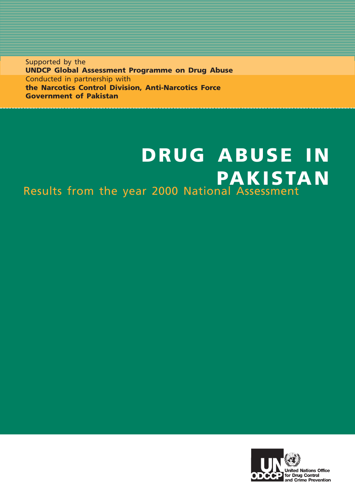Supported by the **UNDCP Global Assessment Programme on Drug Abuse** Conducted in partnership with **the Narcotics Control Division, Anti-Narcotics Force Government of Pakistan**

# **DRUG ABUSE IN PAKISTAN** Results from the year 2000 National Assessment

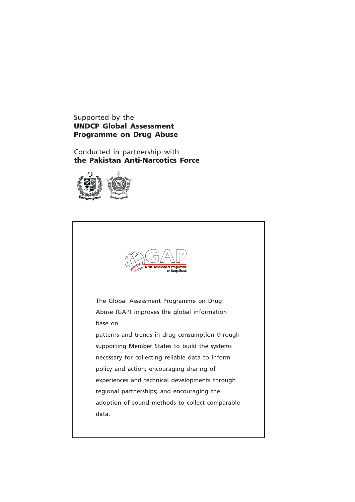#### Supported by the **UNDCP Global Assessment Programme on Drug Abuse**

Conducted in partnership with **the Pakistan Anti-Narcotics Force**



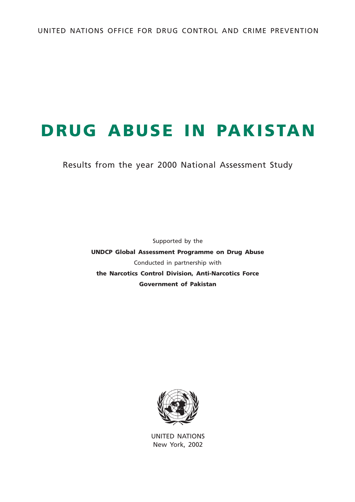# **DRUG ABUSE IN PAKISTAN**

Results from the year 2000 National Assessment Study

Supported by the **UNDCP Global Assessment Programme on Drug Abuse** Conducted in partnership with **the Narcotics Control Division, Anti-Narcotics Force Government of Pakistan**



UNITED NATIONS New York, 2002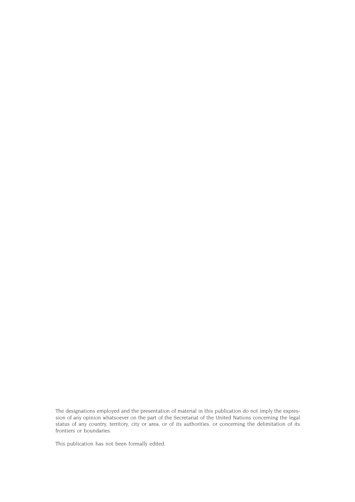The designations employed and the presentation of material in this publication do not imply the expression of any opinion whatsoever on the part of the Secretariat of the United Nations concerning the legal status of any country, territory, city or area, or of its authorities, or concerning the delimitation of its frontiers or boundaries.

This publication has not been formally edited.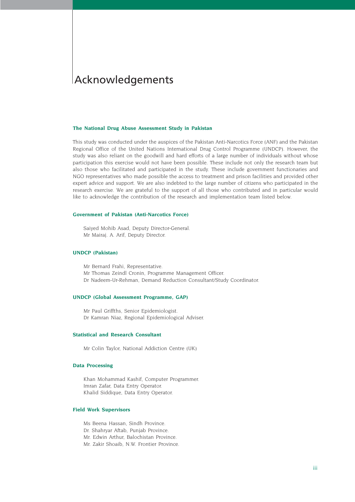## Acknowledgements

#### **The National Drug Abuse Assessment Study in Pakistan**

This study was conducted under the auspices of the Pakistan Anti-Narcotics Force (ANF) and the Pakistan Regional Office of the United Nations International Drug Control Programme (UNDCP). However, the study was also reliant on the goodwill and hard efforts of a large number of individuals without whose participation this exercise would not have been possible. These include not only the research team but also those who facilitated and participated in the study. These include government functionaries and NGO representatives who made possible the access to treatment and prison facilities and provided other expert advice and support. We are also indebted to the large number of citizens who participated in the research exercise. We are grateful to the support of all those who contributed and in particular would like to acknowledge the contribution of the research and implementation team listed below.

#### **Government of Pakistan (Anti-Narcotics Force)**

Saiyed Mohib Asad, Deputy Director-General. Mr Mairaj. A. Arif, Deputy Director.

#### **UNDCP (Pakistan)**

Mr Bernard Frahi, Representative. Mr Thomas Zeindl Cronin, Programme Management Officer. Dr Nadeem-Ur-Rehman, Demand Reduction Consultant/Study Coordinator.

#### **UNDCP (Global Assessment Programme, GAP)**

Mr Paul Griffths, Senior Epidemiologist. Dr Kamran Niaz, Regional Epidemiological Adviser.

#### **Statistical and Research Consultant**

Mr Colin Taylor, National Addiction Centre (UK)

#### **Data Processing**

Khan Mohammad Kashif, Computer Programmer. Imran Zafar, Data Entry Operator. Khalid Siddique, Data Entry Operator.

#### **Field Work Supervisors**

Ms Beena Hassan, Sindh Province. Dr. Shahryar Aftab, Punjab Province. Mr. Edwin Arthur, Balochistan Province. Mr. Zakir Shoaib, N.W. Frontier Province.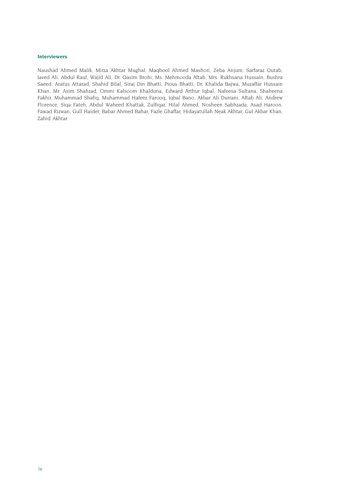#### **Interviewers**

Naushad Ahmed Malik, Mirza Akhtar Mughal, Maqbool Ahmed Mashori, Zeba Anjum, Sarfaraz Qutab, Javed Ali, Abdul Rauf, Wajid Ali, Dr. Qasim Brohi, Ms. Mehmooda Aftab, Mrs. Rukhsana Hussain, Bushra Saeed, Aratus Attarad, Shahid Bilal, Siraj Din Bhatti, Pious Bhatti, Dr. Khalida Bajwa, Muzaffar Hussain Khan, Mr. Asim Shahzad, Ommi Kalsoom Khalduna, Edward Arthur Iqbal, Nafeesa Sultana, Shaheena Fakhir, Muhammad Shafiq, Muhammad Hafeez Farooq, Iqbal Bano, Akbar Ali Durrani, Aftab Ali, Andrew Florence, Siqa Fateh, Abdul Waheed Khattak, Zulfiqar, Hilal Ahmed, Nosheen Sabhzada, Asad Haroon, Fawad Rizwan, Gull Haider, Babar Ahmed Bahar, Fazle Ghaffar, Hidayatullah Neak Akhtar, Gul Akbar Khan, Zahid Akhtar.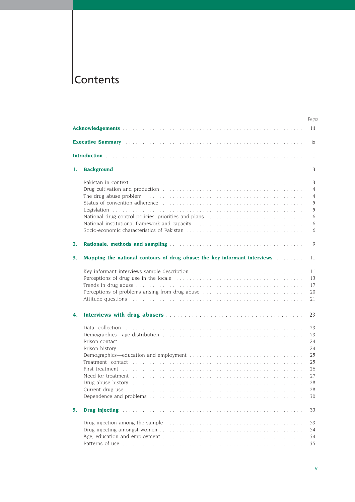## **Contents**

|    |                                                                                                                                                                                                                                                                                                                                                                                                                                                                    | Pages                                                          |
|----|--------------------------------------------------------------------------------------------------------------------------------------------------------------------------------------------------------------------------------------------------------------------------------------------------------------------------------------------------------------------------------------------------------------------------------------------------------------------|----------------------------------------------------------------|
|    |                                                                                                                                                                                                                                                                                                                                                                                                                                                                    | iii                                                            |
|    |                                                                                                                                                                                                                                                                                                                                                                                                                                                                    | ix                                                             |
|    |                                                                                                                                                                                                                                                                                                                                                                                                                                                                    | -1                                                             |
| 1. |                                                                                                                                                                                                                                                                                                                                                                                                                                                                    | 3                                                              |
|    | Pakistan in context responses in the contract of the contract of the contract of the contract of the contract o<br>The drug abuse problem (and according to the contract of the state of the state of the state of the state of the state of the state of the state of the state of the state of the state of the state of the state of the state<br>National institutional framework and capacity contained and contained in the set of the set of the set of the | 3<br>$\overline{4}$<br>$\overline{4}$<br>5<br>5<br>6<br>6<br>6 |
| 2. |                                                                                                                                                                                                                                                                                                                                                                                                                                                                    | 9                                                              |
| 3. | Mapping the national contours of drug abuse: the key informant interviews                                                                                                                                                                                                                                                                                                                                                                                          | 11                                                             |
|    | Perceptions of problems arising from drug abuse                                                                                                                                                                                                                                                                                                                                                                                                                    | 11<br>13<br>17<br>20<br>21                                     |
| 4. |                                                                                                                                                                                                                                                                                                                                                                                                                                                                    | 23                                                             |
|    | Data collection<br>First treatment documents are constructed in the contract of the contract of the contract of the contract of the contract of the contract of the contract of the contract of the contract of the contract of the contract of t<br>Drug abuse history                                                                                                                                                                                            | 23<br>23<br>24<br>24<br>25<br>25<br>26<br>27<br>28<br>28<br>30 |
| 5. | Drug injecting in the contract of the contract of the contract of the contract of the contract of the contract of the contract of the contract of the contract of the contract of the contract of the contract of the contract                                                                                                                                                                                                                                     | 33                                                             |
|    |                                                                                                                                                                                                                                                                                                                                                                                                                                                                    | 33<br>34<br>34<br>35                                           |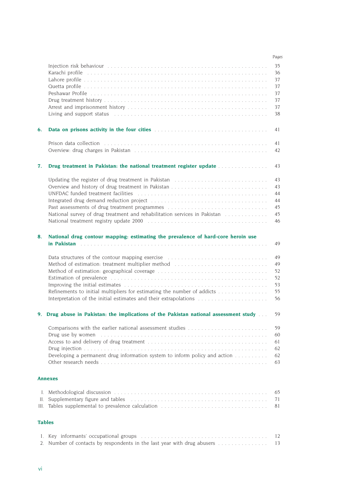|    |                                                                                                                                                                                                                                      | Pages    |
|----|--------------------------------------------------------------------------------------------------------------------------------------------------------------------------------------------------------------------------------------|----------|
|    |                                                                                                                                                                                                                                      | 35       |
|    |                                                                                                                                                                                                                                      | 36       |
|    |                                                                                                                                                                                                                                      | 37       |
|    |                                                                                                                                                                                                                                      | 37       |
|    |                                                                                                                                                                                                                                      | 37       |
|    |                                                                                                                                                                                                                                      | 37       |
|    |                                                                                                                                                                                                                                      | 37       |
|    | Living and support status enterpresent contained to the contained state of the state of the state of the state of the state of the state of the state of the state of the state of the state of the state of the state of the        | 38       |
| 6. | <b>Data on prisons activity in the four cities mature of the contract of the contract of the contract of the contract of the contract of the contract of the contract of the contract of the contract of the contract of the con</b> | 41       |
|    |                                                                                                                                                                                                                                      | 41       |
|    |                                                                                                                                                                                                                                      | 42       |
|    |                                                                                                                                                                                                                                      |          |
| 7. | Drug treatment in Pakistan: the national treatment register update                                                                                                                                                                   | 43       |
|    | Updating the register of drug treatment in Pakistan                                                                                                                                                                                  | 43       |
|    |                                                                                                                                                                                                                                      | 43       |
|    |                                                                                                                                                                                                                                      | 44       |
|    |                                                                                                                                                                                                                                      | 44       |
|    | Past assessments of drug treatment programmes (a) contain a subset of the set of the set of the set of the set of the set of the set of the set of the set of the set of the set of the set of the set of the set of the set o       | 45       |
|    | National survey of drug treatment and rehabilitation services in Pakistan [1] [1]                                                                                                                                                    | 45       |
|    |                                                                                                                                                                                                                                      | 46       |
| 8. | National drug contour mapping: estimating the prevalence of hard-core heroin use                                                                                                                                                     |          |
|    |                                                                                                                                                                                                                                      | 49       |
|    | Data structures of the contour mapping exercise                                                                                                                                                                                      | 49       |
|    | Method of estimation: treatment multiplier method                                                                                                                                                                                    | 49       |
|    |                                                                                                                                                                                                                                      | 52       |
|    |                                                                                                                                                                                                                                      | 52       |
|    |                                                                                                                                                                                                                                      | 53       |
|    | Refinements to initial multipliers for estimating the number of addicts                                                                                                                                                              | 55       |
|    |                                                                                                                                                                                                                                      | 56       |
|    | 9. Drug abuse in Pakistan: the implications of the Pakistan national assessment study                                                                                                                                                | 59       |
|    |                                                                                                                                                                                                                                      |          |
|    |                                                                                                                                                                                                                                      | 59       |
|    | Drug use by women entertainment and the contract of the contract of the contract of the contract of the contract of the contract of the contract of the contract of the contract of the contract of the contract of the contra       | 60       |
|    |                                                                                                                                                                                                                                      | 61       |
|    |                                                                                                                                                                                                                                      | 62       |
|    | Developing a permanent drug information system to inform policy and action                                                                                                                                                           | 62       |
|    |                                                                                                                                                                                                                                      | 63       |
|    | <b>Annexes</b>                                                                                                                                                                                                                       |          |
|    |                                                                                                                                                                                                                                      | 65       |
|    | II. Supplementary figure and tables entertainment in the subset of the supplementary figure and tables                                                                                                                               | 71       |
|    |                                                                                                                                                                                                                                      | 81       |
|    | <b>Tables</b>                                                                                                                                                                                                                        |          |
|    |                                                                                                                                                                                                                                      |          |
|    | 2. Number of contacts by respondents in the last year with drug abusers                                                                                                                                                              | 12<br>13 |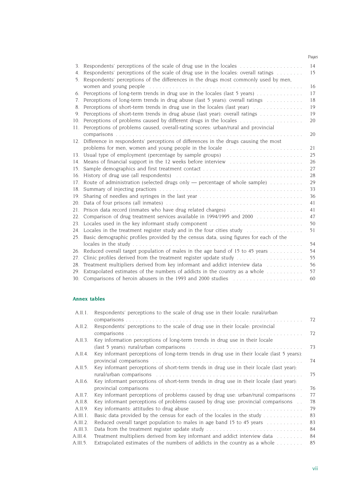|                                  |                                                                                                     | Pages |
|----------------------------------|-----------------------------------------------------------------------------------------------------|-------|
| 3.                               | Respondents' perceptions of the scale of drug use in the locales $\ldots$ , $\ldots$ , $\ldots$     | 14    |
| 4.                               | Respondents' perceptions of the scale of drug use in the locales: overall ratings                   | 15    |
|                                  | 5. Respondents' perceptions of the differences in the drugs most commonly used by men,              |       |
|                                  | women and young people contained and subsequently state and young people contained and young people | 16    |
|                                  | 6. Perceptions of long-term trends in drug use in the locales (last 5 years)                        | 17    |
| $7_{\scriptscriptstyle{\ddots}}$ | Perceptions of long-term trends in drug abuse (last 5 years): overall ratings                       | 18    |
| 8.                               | Perceptions of short-term trends in drug use in the locales (last year)                             | 19    |
| 9.                               | Perceptions of short-term trends in drug abuse (last year): overall ratings                         | 19    |
|                                  | 10. Perceptions of problems caused by different drugs in the locales                                | 20    |
|                                  | 11. Perceptions of problems caused, overall-rating scores: urban/rural and provincial               |       |
|                                  |                                                                                                     | 20    |
|                                  | 12. Difference in respondents' perceptions of differences in the drugs causing the most             |       |
|                                  | problems for men, women and young people in the locale                                              | 21    |
|                                  | 13. Usual type of employment (percentage by sample groups)                                          | 25    |
|                                  | 14. Means of financial support in the 12 weeks before interview                                     | 26    |
| 15.                              |                                                                                                     | 27    |
|                                  |                                                                                                     | 28    |
|                                  | 17. Route of administration (selected drugs only — percentage of whole sample)                      | 29    |
|                                  |                                                                                                     | 33    |
|                                  |                                                                                                     | 36    |
|                                  |                                                                                                     | 41    |
| 21.                              | Prison data record (inmates who have drug related charges)                                          | 41    |
| 22.                              | Comparison of drug treatment services available in 1994/1995 and 2000                               | 47    |
|                                  | 23. Locales used in the key informant study component                                               | 50    |
|                                  |                                                                                                     | 51    |
| 25.                              | Basic demographic profiles provided by the census data, using figures for each of the               |       |
|                                  |                                                                                                     | 54    |
|                                  | 26. Reduced overall target population of males in the age band of 15 to 45 years                    | 54    |
| 27.                              | Clinic profiles derived from the treatment register update study                                    | 55    |
| 28.                              | Treatment multipliers derived from key informant and addict interview data                          | 56    |
|                                  | 29. Extrapolated estimates of the numbers of addicts in the country as a whole                      | 57    |
|                                  | 30. Comparisons of heroin abusers in the 1993 and 2000 studies                                      | 60    |

#### **Annex tables**

| A.II.1.  | Respondents' perceptions to the scale of drug use in their locale: rural/urban                                                                                                                                                |    |
|----------|-------------------------------------------------------------------------------------------------------------------------------------------------------------------------------------------------------------------------------|----|
|          |                                                                                                                                                                                                                               | 72 |
| A.II.2.  | Respondents' perceptions to the scale of drug use in their locale. provincial                                                                                                                                                 |    |
|          |                                                                                                                                                                                                                               | 72 |
| A.II.3.  | Key information perceptions of long-term trends in drug use in their locale                                                                                                                                                   |    |
|          |                                                                                                                                                                                                                               | 73 |
| A.II.4.  | Key informant perceptions of long-term trends in drug use in their locale (last 5 years):                                                                                                                                     |    |
|          | provincial comparisons in the contract of the contract of the contract of the contract of the contract of the contract of the contract of the contract of the contract of the contract of the contract of the contract of the | 74 |
| A.II.5.  | Key informant perceptions of short-term trends in drug use in their locale (last year).                                                                                                                                       |    |
|          |                                                                                                                                                                                                                               | 75 |
| A.II.6.  | Key informant perceptions of short-term trends in drug use in their locale (last year).                                                                                                                                       |    |
|          |                                                                                                                                                                                                                               | 76 |
| A.II.7.  | Key informant perceptions of problems caused by drug use: urban/rural comparisons<br>$\sim$                                                                                                                                   | 77 |
| A.II.8.  | Key informant perceptions of problems caused by drug use: provincial comparisons                                                                                                                                              | 78 |
| A.II.9.  |                                                                                                                                                                                                                               | 79 |
| A.III.1. | Basic data provided by the census for each of the locales in the study $\ldots \ldots \ldots$                                                                                                                                 | 83 |
| A.III.2. | Reduced overall target population to males in age band 15 to 45 years                                                                                                                                                         | 83 |
| A.III.3. | Data from the treatment register update study                                                                                                                                                                                 | 84 |
| A.III.4. | Treatment multipliers derived from key informant and addict interview data                                                                                                                                                    | 84 |
| A.III.5. | Extrapolated estimates of the numbers of addicts in the country as a whole $\dots \dots$                                                                                                                                      | 85 |
|          |                                                                                                                                                                                                                               |    |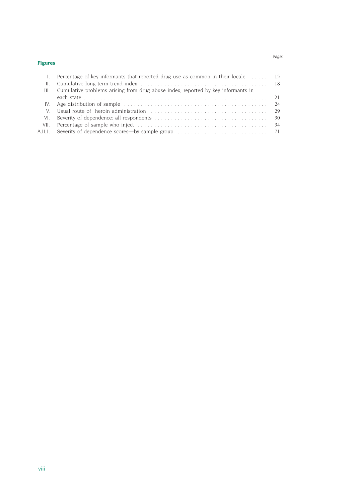#### **Figures**

| $\mathbf{L}$ | Percentage of key informants that reported drug use as common in their locale $\dots \dots$ 15 |  |
|--------------|------------------------------------------------------------------------------------------------|--|
|              |                                                                                                |  |
|              | III. Cumulative problems arising from drug abuse index, reported by key informants in          |  |
|              |                                                                                                |  |
|              |                                                                                                |  |
| V.           |                                                                                                |  |
|              |                                                                                                |  |

VII. Percentage of sample who inject . . . . . . . . . . . . . . . . . . . . . . . . . . . . . . . . . . . . . . . 34 A.II.1. Severity of dependence scores—by sample group . . . . . . . . . . . . . . . . . . . . . . . . . . . 71

*Pages*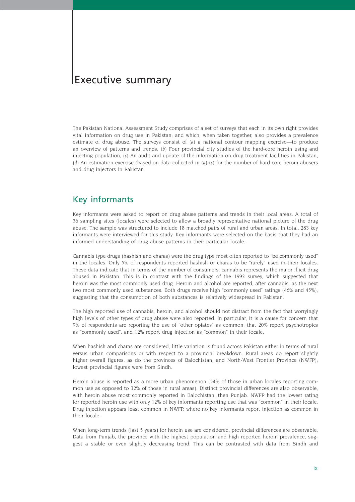## Executive summary

The Pakistan National Assessment Study comprises of a set of surveys that each in its own right provides vital information on drug use in Pakistan; and which, when taken together, also provides a prevalence estimate of drug abuse. The surveys consist of *(a)* a national contour mapping exercise—to produce an overview of patterns and trends, *(b)* Four provincial city studies of the hard-core heroin using and injecting population, *(c)* An audit and update of the information on drug treatment facilities in Pakistan, *(d)* An estimation exercise (based on data collected in *(a)-(c)* for the number of hard-core heroin abusers and drug injectors in Pakistan.

### Key informants

Key informants were asked to report on drug abuse patterns and trends in their local areas. A total of 36 sampling sites (locales) were selected to allow a broadly representative national picture of the drug abuse. The sample was structured to include 18 matched pairs of rural and urban areas. In total, 283 key informants were interviewed for this study. Key informants were selected on the basis that they had an informed understanding of drug abuse patterns in their particular locale.

Cannabis type drugs (hashish and charas) were the drug type most often reported to "be commonly used" in the locales. Only 5% of respondents reported hashish or charas to be "rarely" used in their locales. These data indicate that in terms of the number of consumers, cannabis represents the major illicit drug abused in Pakistan. This is in contrast with the findings of the 1993 survey, which suggested that heroin was the most commonly used drug. Heroin and alcohol are reported, after cannabis, as the next two most commonly used substances. Both drugs receive high "commonly used" ratings (46% and 45%), suggesting that the consumption of both substances is relatively widespread in Pakistan.

The high reported use of cannabis, heroin, and alcohol should not distract from the fact that worryingly high levels of other types of drug abuse were also reported. In particular, it is a cause for concern that 9% of respondents are reporting the use of "other opiates" as common, that 20% report psychotropics as "commonly used", and 12% report drug injection as "common" in their locale.

When hashish and charas are considered, little variation is found across Pakistan either in terms of rural versus urban comparisons or with respect to a provincial breakdown. Rural areas do report slightly higher overall figures, as do the provinces of Balochistan, and North-West Frontier Province (NWFP); lowest provincial figures were from Sindh.

Heroin abuse is reported as a more urban phenomenon (54% of those in urban locales reporting common use as opposed to 32% of those in rural areas). Distinct provincial differences are also observable, with heroin abuse most commonly reported in Balochistan, then Punjab. NWFP had the lowest rating for reported heroin use with only 12% of key informants reporting use that was *"*common*"* in their locale. Drug injection appears least common in NWFP, where no key informants report injection as common in their locale.

When long-term trends (last 5 years) for heroin use are considered, provincial differences are observable. Data from Punjab, the province with the highest population and high reported heroin prevalence, suggest a stable or even slightly decreasing trend. This can be contrasted with data from Sindh and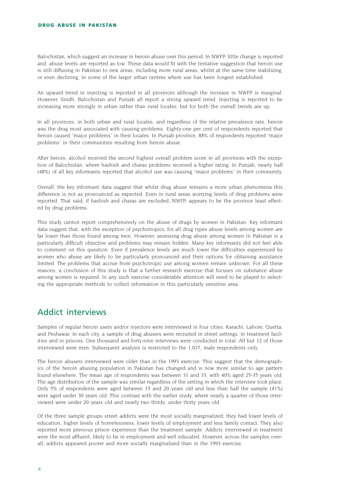Balochistan, which suggest an increase in heroin abuse over this period. In NWFP, little change is reported and, abuse levels are reported as low. These data would fit with the tentative suggestion that heroin use is still diffusing in Pakistan to new areas, including more rural areas, whilst at the same time stabilizing, or even declining, in some of the larger urban centres where use has been longest established.

An upward trend in injecting is reported in all provinces although the increase in NWFP is marginal. However, Sindh, Balochistan and Punjab all report a strong upward trend. Injecting is reported to be increasing more strongly in urban rather than rural locales, but for both the overall trends are up.

In all provinces, in both urban and rural locales, and regardless of the relative prevalence rate, heroin was the drug most associated with causing problems. Eighty-one per cent of respondents reported that heroin caused "major problems" in their locales. In Punjab province, 88% of respondents reported "major problems" in their communities resulting from heroin abuse.

After heroin, alcohol received the second highest overall problem score in all provinces with the exception of Balochistan, where hashish and charas problems received a higher rating. In Punjab, nearly half (48%) of all key informants reported that alcohol use was causing "major problems" in their community.

Overall, the key informant data suggest that whilst drug abuse remains a more urban phenomena this difference is not as pronounced as expected. Even in rural areas worrying levels of drug problems were reported. That said, if hashish and charas are excluded, NWFP, appears to be the province least effected by drug problems.

This study cannot report comprehensively on the abuse of drugs by women in Pakistan. Key informant data suggest that, with the exception of psychotropics, for all drug types abuse levels among women are far lower than those found among men. However, assessing drug abuse among women in Pakistan is a particularly difficult objective and problems may remain hidden. Many key informants did not feel able to comment on this question. Even if prevalence levels are much lower the difficulties experienced by women who abuse are likely to be particularly pronounced and their options for obtaining assistance limited. The problems that accrue from psychotropic use among women remain unknown. For all these reasons, a conclusion of this study is that a further research exercise that focuses on substance abuse among women is required. In any such exercise considerable attention will need to be played to selecting the appropriate methods to collect information in this particularly sensitive area.

## Addict interviews

Samples of regular heroin users and/or injectors were interviewed in four cities; Karachi, Lahore, Quetta, and Peshawar. In each city, a sample of drug abusers were recruited in street settings, in treatment facilities and in prisons. One thousand and forty-nine interviews were conducted in total. All but 12 of those interviewed were men. Subsequent analysis is restricted to the 1,037, male respondents only.

The heroin abusers interviewed were older than in the 1993 exercise. This suggest that the demographics of the heroin abusing population in Pakistan has changed and is now more similar to age pattern found elsewhere. The mean age of respondents was between 31 and 33, with 40% aged 25-35 years old. The age distribution of the sample was similar regardless of the setting in which the interview took place. Only 5% of respondents were aged between 15 and 20 years old and less than half the sample (41%) were aged under 30 years old. This contrast with the earlier study, where nearly a quarter of those interviewed were under 20 years old and nearly two thirds, under thirty years old.

Of the three sample groups street addicts were the most socially marginalized; they had lower levels of education, higher levels of homelessness, lower levels of employment and less family contact. They also reported more previous prison experience than the treatment sample. Addicts interviewed in treatment were the most affluent, likely to be in employment and well educated. However, across the samples overall, addicts appeared poorer and more socially marginalized than in the 1993 exercise.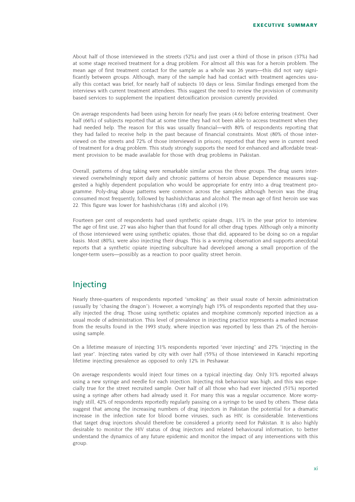About half of those interviewed in the streets (52%) and just over a third of those in prison (37%) had at some stage received treatment for a drug problem. For almost all this was for a heroin problem. The mean age of first treatment contact for the sample as a whole was 26 years—this did not vary significantly between groups. Although, many of the sample had had contact with treatment agencies usually this contact was brief, for nearly half of subjects 10 days or less. Similar findings emerged from the interviews with current treatment attendees. This suggest the need to review the provision of community based services to supplement the inpatient detoxification provision currently provided.

On average respondents had been using heroin for nearly five years (4.6) before entering treatment. Over half (66%) of subjects reported that at some time they had not been able to access treatment when they had needed help. The reason for this was usually financial—with 80% of respondents reporting that they had failed to receive help in the past because of financial constraints. Most (80% of those interviewed on the streets and 72% of those interviewed in prison), reported that they were in current need of treatment for a drug problem. This study strongly supports the need for enhanced and affordable treatment provision to be made available for those with drug problems in Pakistan.

Overall, patterns of drug taking were remarkable similar across the three groups. The drug users interviewed overwhelmingly report daily and chronic patterns of heroin abuse. Dependence measures suggested a highly dependent population who would be appropriate for entry into a drug treatment programme. Poly-drug abuse patterns were common across the samples although heroin was the drug consumed most frequently, followed by hashish/charas and alcohol. The mean age of first heroin use was 22. This figure was lower for hashish/charas (18) and alcohol (19).

Fourteen per cent of respondents had used synthetic opiate drugs, 11% in the year prior to interview. The age of first use, 27 was also higher than that found for all other drug types. Although only a minority of those interviewed were using synthetic opiates, those that did, appeared to be doing so on a regular basis. Most (80%), were also injecting their drugs. This is a worrying observation and supports anecdotal reports that a synthetic opiate injecting subculture had developed among a small proportion of the longer-term users—possibly as a reaction to poor quality street heroin.

## Injecting

Nearly three-quarters of respondents reported "smoking" as their usual route of heroin administration (usually by "chasing the dragon"). However, a worryingly high 15% of respondents reported that they usually injected the drug. Those using synthetic opiates and morphine commonly reported injection as a usual mode of administration. This level of prevalence in injecting practice represents a marked increase from the results found in the 1993 study, where injection was reported by less than 2% of the heroinusing sample.

On a lifetime measure of injecting 31% respondents reported "ever injecting" and 27% "injecting in the last year". Injecting rates varied by city with over half (55%) of those interviewed in Karachi reporting lifetime injecting prevalence as opposed to only 12% in Peshawar.

On average respondents would inject four times on a typical injecting day. Only 31% reported always using a new syringe and needle for each injection. Injecting risk behaviour was high, and this was especially true for the street recruited sample. Over half of all those who had ever injected (51%) reported using a syringe after others had already used it. For many this was a regular occurrence. More worryingly still, 42% of respondents reportedly regularly passing on a syringe to be used by others. These data suggest that among the increasing numbers of drug injectors in Pakistan the potential for a dramatic increase in the infection rate for blood borne viruses, such as HIV, is considerable. Interventions that target drug injectors should therefore be considered a priority need for Pakistan. It is also highly desirable to monitor the HIV status of drug injectors and related behavioural information, to better understand the dynamics of any future epidemic and monitor the impact of any interventions with this group.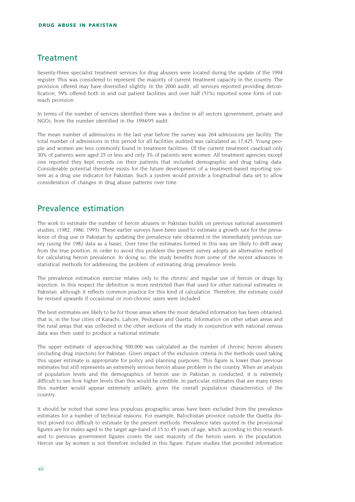## **Treatment**

Seventy-three specialist treatment services for drug abusers were located during the update of the 1994 register. This was considered to represent the majority of current treatment capacity in the country. The provision offered may have diversified slightly. In the 2000 audit, all services reported providing detoxification, 59% offered both in and out patient facilities and over half (51%) reported some form of outreach provision.

In terms of the number of services identified there was a decline in all sectors (government, private and NGO), from the number identified in the 1994/95 audit.

The mean number of admissions in the last year before the survey was 264 admissions per facility. The total number of admissions in this period for all facilities audited was calculated as 17,425. Young people and women are less commonly found in treatment facilities. Of the current treatment caseload only 30% of patients were aged 25 or less and only 3% of patients were women. All treatment agencies except one reported they kept records on their patients that included demographic and drug taking data. Considerable potential therefore exists for the future development of a treatment-based reporting system as a drug use indicator for Pakistan. Such a system would provide a longitudinal data set to allow consideration of changes in drug abuse patterns over time.

## Prevalence estimation

The work to estimate the number of heroin abusers in Pakistan builds on previous national assessment studies, (1982, 1986, 1993). These earlier surveys have been used to estimate a growth rate for the prevalence of drug use in Pakistan by updating the prevalence rate obtained in the immediately previous survey (using the 1982 data as a base). Over time the estimates formed in this way are likely to drift away from the true position. In order to avoid this problem the present survey adopts an alternative method for calculating heroin prevalence. In doing so, the study benefits from some of the recent advances in statistical methods for addressing the problem of estimating drug prevalence levels.

The prevalence estimation exercise relates only to the chronic and regular use of heroin or drugs by injection. In this respect the definition is more restricted than that used for other national estimates in Pakistan, although it reflects common practice for this kind of calculation. Therefore, the estimate could be revised upwards if occasional or non-chronic users were included.

The best estimates are likely to be for those areas where the most detailed information has been obtained, that is, in the four cities of Karachi, Lahore, Peshawar and Quetta. Information on other urban areas and the rural areas that was collected in the other sections of the study in conjunction with national census data was then used to produce a national estimate.

The upper estimate of approaching 500,000 was calculated as the number of chronic heroin abusers (including drug injectors) for Pakistan. Given impact of the exclusion criteria in the methods used taking this upper estimate is appropriate for policy and planning purposes. This figure is lower than previous estimates but still represents an extremely serious heroin abuse problem in the country. When an analysis of population levels and the demographics of heroin use in Pakistan is conducted, it is extremely difficult to see how higher levels than this would be credible. In particular, estimates that are many times this number would appear extremely unlikely, given the overall population characteristics of the country.

It should be noted that some less populous geographic areas have been excluded from the prevalence estimates for a number of technical reasons. For example, Balochistan province outside the Quetta district proved too difficult to estimate by the present methods. Prevalence rates quoted in the provisional figures are for males aged in the target age-band of 15 to 45 years of age, which according to this research and to previous government figures covers the vast majority of the heroin users in the population. Heroin use by women is not therefore included in this figure. Future studies that provided information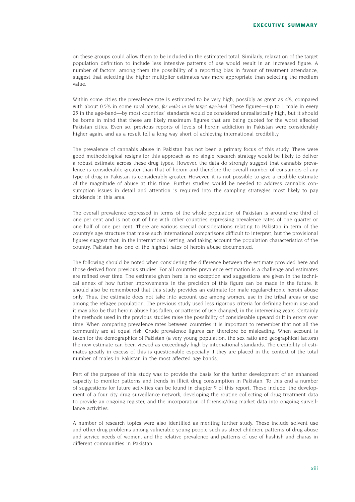on these groups could allow them to be included in the estimated total. Similarly, relaxation of the target population definition to include less intensive patterns of use would result in an increased figure. A number of factors, among them the possibility of a reporting bias in favour of treatment attendance, suggest that selecting the higher multiplier estimates was more appropriate than selecting the medium value.

Within some cities the prevalence rate is estimated to be very high, possibly as great as 4%, compared with about 0.5% in some rural areas, for males in the target age-band. These figures—up to 1 male in every 25 in the age-band—by most countries' standards would be considered unrealistically high, but it should be borne in mind that these are likely maximum figures that are being quoted for the worst affected Pakistan cities. Even so, previous reports of levels of heroin addiction in Pakistan were considerably higher again, and as a result fell a long way short of achieving international credibility.

The prevalence of cannabis abuse in Pakistan has not been a primary focus of this study. There were good methodological resigns for this approach as no single research strategy would be likely to deliver a robust estimate across these drug types. However, the data do strongly suggest that cannabis prevalence is considerable greater than that of heroin and therefore the overall number of consumers of any type of drug in Pakistan is considerably greater. However, it is not possible to give a credible estimate of the magnitude of abuse at this time. Further studies would be needed to address cannabis consumption issues in detail and attention is required into the sampling strategies most likely to pay dividends in this area.

The overall prevalence expressed in terms of the whole population of Pakistan is around one third of one per cent and is not out of line with other countries expressing prevalence rates of one quarter or one half of one per cent. There are various special considerations relating to Pakistan in term of the country's age structure that make such international comparisons difficult to interpret, but the provisional figures suggest that, in the international setting, and taking account the population characteristics of the country, Pakistan has one of the highest rates of heroin abuse documented.

The following should be noted when considering the difference between the estimate provided here and those derived from previous studies. For all countries prevalence estimation is a challenge and estimates are refined over time. The estimate given here is no exception and suggestions are given in the technical annex of how further improvements in the precision of this figure can be made in the future. It should also be remembered that this study provides an estimate for male regular/chronic heroin abuse only. Thus, the estimate does not take into account use among women, use in the tribal areas or use among the refugee population. The previous study used less rigorous criteria for defining heroin use and it may also be that heroin abuse has fallen, or patterns of use changed, in the intervening years. Certainly the methods used in the previous studies raise the possibility of considerable upward drift in errors over time. When comparing prevalence rates between countries it is important to remember that not all the community are at equal risk. Crude prevalence figures can therefore be misleading. When account is taken for the demographics of Pakistan (a very young population, the sex ratio and geographical factors) the new estimate can been viewed as exceedingly high by international standards. The credibility of estimates greatly in excess of this is questionable especially if they are placed in the context of the total number of males in Pakistan in the most affected age bands.

Part of the purpose of this study was to provide the basis for the further development of an enhanced capacity to monitor patterns and trends in illicit drug consumption in Pakistan. To this end a number of suggestions for future activities can be found in chapter 9 of this report. These include, the development of a four city drug surveillance network, developing the routine collecting of drug treatment data to provide an ongoing register, and the incorporation of forensic/drug market data into ongoing surveillance activities.

A number of research topics were also identified as meriting further study. These include solvent use and other drug problems among vulnerable young people such as street children, patterns of drug abuse and service needs of women, and the relative prevalence and patterns of use of hashish and charas in different communities in Pakistan.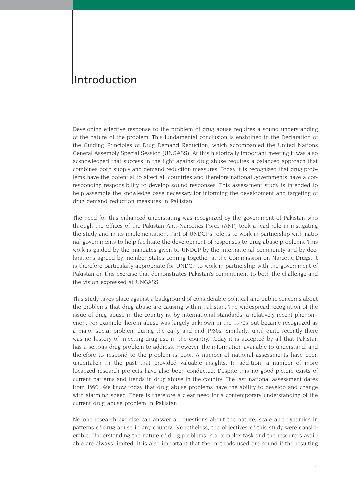## Introduction

Developing effective response to the problem of drug abuse requires a sound understanding of the nature of the problem. This fundamental conclusion is enshrined in the Declaration of the Guiding Principles of Drug Demand Reduction, which accompanied the United Nations General Assembly Special Session (UNGASS). At this historically important meeting it was also acknowledged that success in the fight against drug abuse requires a balanced approach that combines both supply and demand reduction measures. Today it is recognized that drug problems have the potential to affect all countries and therefore national governments have a corresponding responsibility to develop sound responses. This assessment study is intended to help assemble the knowledge base necessary for informing the development and targeting of drug demand reduction measures in Pakistan.

The need for this enhanced understating was recognized by the government of Pakistan who through the offices of the Pakistan Anti-Narcotics Force (ANF) took a lead role in instigating the study and in its implementation. Part of UNDCP's role is to work in partnership with natio nal governments to help facilitate the development of responses to drug abuse problems. This work is guided by the mandates given to UNDCP by the international community and by declarations agreed by member States coming together at the Commission on Narcotic Drugs. It is therefore particularly appropriate for UNDCP to work in partnership with the government of Pakistan on this exercise that demonstrates Pakistan's commitment to both the challenge and the vision expressed at UNGASS.

This study takes place against a background of considerable political and public concerns about the problems that drug abuse are causing within Pakistan. The widespread recognition of the issue of drug abuse in the country is, by international standards, a relatively recent phenomenon. For example, heroin abuse was largely unknown in the 1970s but became recognized as a major social problem during the early and mid 1980s. Similarly, until quite recently there was no history of injecting drug use in the country. Today it is accepted by all that Pakistan has a serious drug problem to address. However, the information available to understand, and therefore to respond to the problem is poor. A number of national assessments have been undertaken in the past that provided valuable insights. In addition, a number of more localized research projects have also been conducted. Despite this no good picture exists of current patterns and trends in drug abuse in the country. The last national assessment dates from 1993. We know today that drug abuse problems have the ability to develop and change with alarming speed. There is therefore a clear need for a contemporary understanding of the current drug abuse problem in Pakistan.

No one-research exercise can answer all questions about the nature, scale and dynamics in patterns of drug abuse in any country. Nonetheless, the objectives of this study were considerable. Understanding the nature of drug problems is a complex task and the resources available are always limited. It is also important that the methods used are sound if the resulting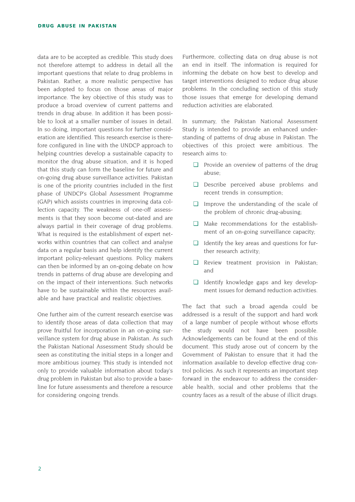data are to be accepted as credible. This study does not therefore attempt to address in detail all the important questions that relate to drug problems in Pakistan. Rather, a more realistic perspective has been adopted to focus on those areas of major importance. The key objective of this study was to produce a broad overview of current patterns and trends in drug abuse. In addition it has been possible to look at a smaller number of issues in detail. In so doing, important questions for further consideration are identified. This research exercise is therefore configured in line with the UNDCP approach to helping countries develop a sustainable capacity to monitor the drug abuse situation, and it is hoped that this study can form the baseline for future and on-going drug abuse surveillance activities. Pakistan is one of the priority countries included in the first phase of UNDCP's Global Assessment Programme (GAP) which assists countries in improving data collection capacity. The weakness of one-off assessments is that they soon become out-dated and are always partial in their coverage of drug problems. What is required is the establishment of expert networks within countries that can collect and analyse data on a regular basis and help identify the current important policy-relevant questions. Policy makers can then be informed by an on-going debate on how trends in patterns of drug abuse are developing and on the impact of their interventions. Such networks have to be sustainable within the resources available and have practical and realistic objectives.

One further aim of the current research exercise was to identify those areas of data collection that may prove fruitful for incorporation in an on-going surveillance system for drug abuse in Pakistan. As such the Pakistan National Assessment Study should be seen as constituting the initial steps in a longer and more ambitious journey. This study is intended not only to provide valuable information about today's drug problem in Pakistan but also to provide a baseline for future assessments and therefore a resource for considering ongoing trends.

Furthermore, collecting data on drug abuse is not an end in itself. The information is required for informing the debate on how best to develop and target interventions designed to reduce drug abuse problems. In the concluding section of this study those issues that emerge for developing demand reduction activities are elaborated.

In summary, the Pakistan National Assessment Study is intended to provide an enhanced understanding of patterns of drug abuse in Pakistan. The objectives of this project were ambitious. The research aims to:

- ❏ Provide an overview of patterns of the drug abuse;
- ❏ Describe perceived abuse problems and recent trends in consumption;
- ❏ Improve the understanding of the scale of the problem of chronic drug-abusing;
- ❏ Make recommendations for the establishment of an on-going surveillance capacity;
- ❏ Identify the key areas and questions for further research activity;
- ❏ Review treatment provision in Pakistan; and
- ❏ Identify knowledge gaps and key development issues for demand reduction activities.

The fact that such a broad agenda could be addressed is a result of the support and hard work of a large number of people without whose efforts the study would not have been possible. Acknowledgements can be found at the end of this document. This study arose out of concern by the Government of Pakistan to ensure that it had the information available to develop effective drug control policies. As such it represents an important step forward in the endeavour to address the considerable health, social and other problems that the country faces as a result of the abuse of illicit drugs.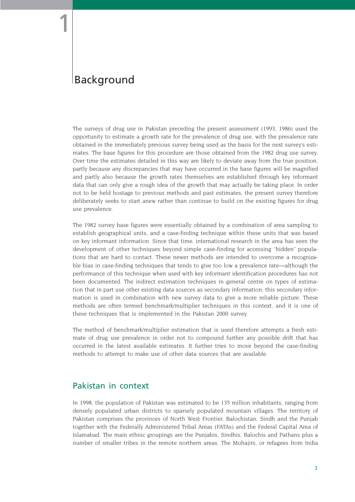1

## Background

The surveys of drug use in Pakistan preceding the present assessment (1993, 1986) used the opportunity to estimate a growth rate for the prevalence of drug use, with the prevalence rate obtained in the immediately previous survey being used as the basis for the next survey's estimates. The base figures for this procedure are those obtained from the 1982 drug use survey. Over time the estimates detailed in this way are likely to deviate away from the true position, partly because any discrepancies that may have occurred in the base figures will be magnified and partly also because the growth rates themselves are established through key informant data that can only give a rough idea of the growth that may actually be taking place. In order not to be held hostage to previous methods and past estimates, the present survey therefore deliberately seeks to start anew rather than continue to build on the existing figures for drug use prevalence.

The 1982 survey base figures were essentially obtained by a combination of area sampling to establish geographical units, and a case-finding technique within these units that was based on key informant information. Since that time, international research in the area has seen the development of other techniques beyond simple case-finding for accessing "hidden" populations that are hard to contact. These newer methods are intended to overcome a recognizable bias in case-finding techniques that tends to give too low a prevalence rate—although the performance of this technique when used with key informant identification procedures has not been documented. The indirect estimation techniques in general centre on types of estimation that in part use other existing data sources as secondary information; this secondary information is used in combination with new survey data to give a more reliable picture. These methods are often termed benchmark/multiplier techniques in this context, and it is one of these techniques that is implemented in the Pakistan 2000 survey.

The method of benchmark/multiplier estimation that is used therefore attempts a fresh estimate of drug use prevalence in order not to compound further any possible drift that has occurred in the latest available estimates. It further tries to move beyond the case-finding methods to attempt to make use of other data sources that are available.

## Pakistan in context

In 1998, the population of Pakistan was estimated to be 135 million inhabitants, ranging from densely populated urban districts to sparsely populated mountain villages. The territory of Pakistan comprises the provinces of North West Frontier, Balochistan, Sindh and the Punjab together with the Federally Administered Tribal Areas (FATAs) and the Federal Capital Area of Islamabad. The main ethnic groupings are the Punjabis, Sindhis, Balochis and Pathans plus a number of smaller tribes in the remote northern areas. The Mohajirs, or refugees from India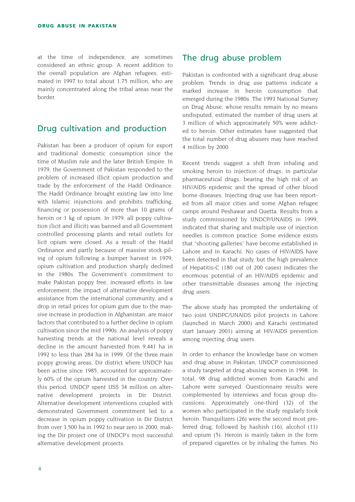at the time of independence, are sometimes considered an ethnic group. A recent addition to the overall population are Afghan refugees, estimated in 1997 to total about 1.75 million, who are mainly concentrated along the tribal areas near the border.

### Drug cultivation and production

Pakistan has been a producer of opium for export and traditional domestic consumption since the time of Muslim rule and the later British Empire. In 1979, the Government of Pakistan responded to the problem of increased illicit opium production and trade by the enforcement of the Hadd Ordinance. The Hadd Ordinance brought existing law into line with Islamic injunctions and prohibits trafficking, financing or possession of more than 10 grams of heroin or 1 kg of opium. In 1979, all poppy cultivation (licit and illicit) was banned and all Government controlled processing plants and retail outlets for licit opium were closed. As a result of the Hadd Ordinance and partly because of massive stock piling of opium following a bumper harvest in 1979, opium cultivation and production sharply declined in the 1980s. The Government's commitment to make Pakistan poppy free, increased efforts in law enforcement, the impact of alternative development assistance from the international community, and a drop in retail prices for opium gum due to the massive increase in production in Afghanistan, are major factors that contributed to a further decline in opium cultivation since the mid 1990s. An analysis of poppy harvesting trends at the national level reveals a decline in the amount harvested from 9,441 ha in 1992 to less than 284 ha in 1999. Of the three main poppy growing areas, Dir district where UNDCP has been active since 1985, accounted for approximately 60% of the opium harvested in the country. Over this period, UNDCP spent US\$ 34 million on alternative development projects in Dir District. Alternative development interventions coupled with demonstrated Government commitment led to a decrease in opium poppy cultivation in Dir District from over 3,500 ha in 1992 to near zero in 2000, making the Dir project one of UNDCP's most successful alternative development projects.

### The drug abuse problem

Pakistan is confronted with a significant drug abuse problem. Trends in drug use patterns indicate a marked increase in heroin consumption that emerged during the 1980s. The 1993 National Survey on Drug Abuse, whose results remain by no means undisputed, estimated the number of drug users at 3 million of which approximately 50% were addicted to heroin. Other estimates have suggested that the total number of drug abusers may have reached 4 million by 2000.

Recent trends suggest a shift from inhaling and smoking heroin to injection of drugs, in particular pharmaceutical drugs, bearing the high risk of an HIV/AIDS epidemic and the spread of other blood borne diseases. Injecting drug use has been reported from all major cities and some Afghan refugee camps around Peshawar and Quetta. Results from a study commissioned by UNDCP/UNAIDS in 1999, indicated that sharing and multiple use of injection needles is common practice. Some evidence exists that "shooting galleries" have become established in Lahore and in Karachi. No cases of HIV/AIDS have been detected in that study, but the high prevalence of Hepatitis-C (180 out of 200 cases) indicates the enormous potential of an HIV/AIDS epidemic and other transmittable diseases among the injecting drug users.

The above study has prompted the undertaking of two joint UNDPC/UNAIDS pilot projects in Lahore (launched in March 2000) and Karachi (estimated start January 2001) aiming at HIV/AIDS prevention among injecting drug users.

In order to enhance the knowledge base on women and drug abuse in Pakistan, UNDCP commissioned a study targeted at drug abusing women in 1998. In total, 98 drug addicted women from Karachi and Lahore were surveyed. Questionnaire results were complemented by interviews and focus group discussions. Approximately one-third (32) of the women who participated in the study regularly took heroin. Tranquilizers (26) were the second most preferred drug, followed by hashish (16), alcohol (11) and opium (5). Heroin is mainly taken in the form of prepared cigarettes or by inhaling the fumes. No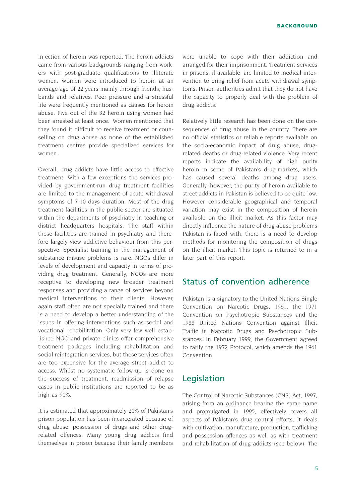injection of heroin was reported. The heroin addicts came from various backgrounds ranging from workers with post-graduate qualifications to illiterate women. Women were introduced to heroin at an average age of 22 years mainly through friends, husbands and relatives. Peer pressure and a stressful life were frequently mentioned as causes for heroin abuse. Five out of the 32 heroin using women had been arrested at least once. Women mentioned that they found it difficult to receive treatment or counselling on drug abuse as none of the established treatment centres provide specialized services for women.

Overall, drug addicts have little access to effective treatment. With a few exceptions the services provided by government-run drug treatment facilities are limited to the management of acute withdrawal symptoms of 7-10 days duration. Most of the drug treatment facilities in the public sector are situated within the departments of psychiatry in teaching or district headquarters hospitals. The staff within these facilities are trained in psychiatry and therefore largely view addictive behaviour from this perspective. Specialist training in the management of substance misuse problems is rare. NGOs differ in levels of development and capacity in terms of providing drug treatment. Generally, NGOs are more receptive to developing new broader treatment responses and providing a range of services beyond medical interventions to their clients. However, again staff often are not specially trained and there is a need to develop a better understanding of the issues in offering interventions such as social and vocational rehabilitation. Only very few well established NGO and private clinics offer comprehensive treatment packages including rehabilitation and social reintegration services, but these services often are too expensive for the average street addict to access. Whilst no systematic follow-up is done on the success of treatment, readmission of relapse cases in public institutions are reported to be as high as 90%.

It is estimated that approximately 20% of Pakistan's prison population has been incarcerated because of drug abuse, possession of drugs and other drugrelated offences. Many young drug addicts find themselves in prison because their family members were unable to cope with their addiction and arranged for their imprisonment. Treatment services in prisons, if available, are limited to medical intervention to bring relief from acute withdrawal symptoms. Prison authorities admit that they do not have the capacity to properly deal with the problem of drug addicts.

Relatively little research has been done on the consequences of drug abuse in the country. There are no official statistics or reliable reports available on the socio-economic impact of drug abuse, drugrelated deaths or drug-related violence. Very recent reports indicate the availability of high purity heroin in some of Pakistan's drug-markets, which has caused several deaths among drug users. Generally, however, the purity of heroin available to street addicts in Pakistan is believed to be quite low. However considerable geographical and temporal variation may exist in the composition of heroin available on the illicit market. As this factor may directly influence the nature of drug abuse problems Pakistan is faced with, there is a need to develop methods for monitoring the composition of drugs on the illicit market. This topic is returned to in a later part of this report.

### Status of convention adherence

Pakistan is a signatory to the United Nations Single Convention on Narcotic Drugs, 1961, the 1971 Convention on Psychotropic Substances and the 1988 United Nations Convention against Illicit Traffic in Narcotic Drugs and Psychotropic Substances. In February 1999, the Government agreed to ratify the 1972 Protocol, which amends the 1961 Convention.

#### Legislation

The Control of Narcotic Substances (CNS) Act, 1997, arising from an ordinance bearing the same name and promulgated in 1995, effectively covers all aspects of Pakistan's drug control efforts. It deals with cultivation, manufacture, production, trafficking and possession offences as well as with treatment and rehabilitation of drug addicts (see below). The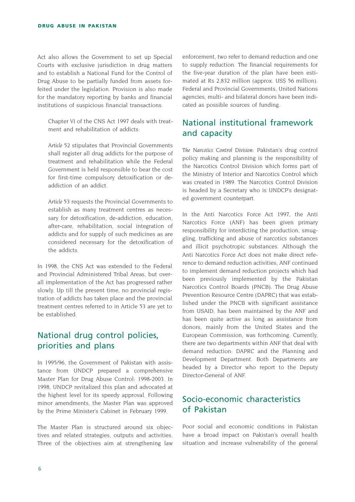Act also allows the Government to set up Special Courts with exclusive jurisdiction in drug matters and to establish a National Fund for the Control of Drug Abuse to be partially funded from assets forfeited under the legislation. Provision is also made for the mandatory reporting by banks and financial institutions of suspicious financial transactions.

Chapter VI of the CNS Act 1997 deals with treatment and rehabilitation of addicts.

*Article 52* stipulates that Provincial Governments shall register all drug addicts for the purpose of treatment and rehabilitation while the Federal Government is held responsible to bear the cost for first-time compulsory detoxification or deaddiction of an addict.

*Article 53* requests the Provincial Governments to establish as many treatment centres as necessary for detoxification, de-addiction, education, after-care, rehabilitation, social integration of addicts and for supply of such medicines as are considered necessary for the detoxification of the addicts.

In 1998, the CNS Act was extended to the Federal and Provincial Administered Tribal Areas, but overall implementation of the Act has progressed rather slowly. Up till the present time, no provincial registration of addicts has taken place and the provincial treatment centres referred to in Article 53 are yet to be established.

## National drug control policies, priorities and plans

In 1995/96, the Government of Pakistan with assistance from UNDCP prepared a comprehensive Master Plan for Drug Abuse Control: 1998-2003. In 1998, UNDCP revitalized this plan and advocated at the highest level for its speedy approval. Following minor amendments, the Master Plan was approved by the Prime Minister's Cabinet in February 1999.

The Master Plan is structured around six objectives and related strategies, outputs and activities. Three of the objectives aim at strengthening law

enforcement, two refer to demand reduction and one to supply reduction. The financial requirements for the five-year duration of the plan have been estimated at Rs 2,832 million (approx. US\$ 56 million). Federal and Provincial Governments, United Nations agencies, multi- and bilateral donors have been indicated as possible sources of funding.

## National institutional framework and capacity

*The Narcotics Control Division:* Pakistan's drug control policy making and planning is the responsibility of the Narcotics Control Division which forms part of the Ministry of Interior and Narcotics Control which was created in 1989. The Narcotics Control Division is headed by a Secretary who is UNDCP's designated government counterpart.

In the Anti Narcotics Force Act 1997, the Anti Narcotics Force (ANF) has been given primary responsibility for interdicting the production, smuggling, trafficking and abuse of narcotics substances and illicit psychotropic substances. Although the Anti Narcotics Force Act does not make direct reference to demand reduction activities, ANF continued to implement demand reduction projects which had been previously implemented by the Pakistan Narcotics Control Boards (PNCB). The Drug Abuse Prevention Resource Centre (DAPRC) that was established under the PNCB with significant assistance from USAID, has been maintained by the ANF and has been quite active as long as assistance from donors, mainly from the United States and the European Commission, was forthcoming. Currently, there are two departments within ANF that deal with demand reduction: DAPRC and the Planning and Development Department. Both Departments are headed by a Director who report to the Deputy Director-General of ANF.

## Socio-economic characteristics of Pakistan

Poor social and economic conditions in Pakistan have a broad impact on Pakistan's overall health situation and increase vulnerability of the general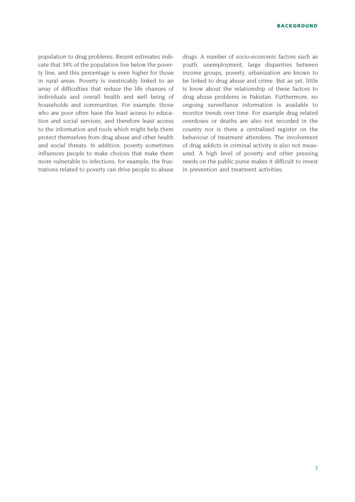population to drug problems. Recent estimates indicate that 34% of the population live below the poverty line, and this percentage is even higher for those in rural areas. Poverty is inextricably linked to an array of difficulties that reduce the life chances of individuals and overall health and well being of households and communities. For example, those who are poor often have the least access to education and social services, and therefore least access to the information and tools which might help them protect themselves from drug abuse and other health and social threats. In addition, poverty sometimes influences people to make choices that make them more vulnerable to infections, for example, the frustrations related to poverty can drive people to abuse

drugs. A number of socio-economic factors such as youth, unemployment, large disparities between income groups, poverty, urbanization are known to be linked to drug abuse and crime. But as yet, little is know about the relationship of these factors to drug abuse problems in Pakistan. Furthermore, no ongoing surveillance information is available to monitor trends over time. For example drug related overdoses or deaths are also not recorded in the country nor is there a centralized register on the behaviour of treatment attendees. The involvement of drug addicts in criminal activity is also not measured. A high level of poverty and other pressing needs on the public purse makes it difficult to invest in prevention and treatment activities.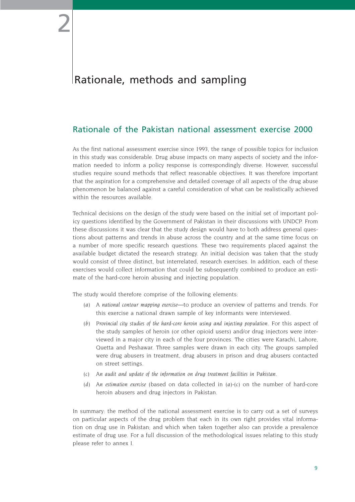## Rationale, methods and sampling

2

## Rationale of the Pakistan national assessment exercise 2000

As the first national assessment exercise since 1993, the range of possible topics for inclusion in this study was considerable. Drug abuse impacts on many aspects of society and the information needed to inform a policy response is correspondingly diverse. However, successful studies require sound methods that reflect reasonable objectives. It was therefore important that the aspiration for a comprehensive and detailed coverage of all aspects of the drug abuse phenomenon be balanced against a careful consideration of what can be realistically achieved within the resources available.

Technical decisions on the design of the study were based on the initial set of important policy questions identified by the Government of Pakistan in their discussions with UNDCP. From these discussions it was clear that the study design would have to both address general questions about patterns and trends in abuse across the country and at the same time focus on a number of more specific research questions. These two requirements placed against the available budget dictated the research strategy. An initial decision was taken that the study would consist of three distinct, but interrelated, research exercises. In addition, each of these exercises would collect information that could be subsequently combined to produce an estimate of the hard-core heroin abusing and injecting population.

The study would therefore comprise of the following elements:

- *(a) A national contour mapping exercise*—to produce an overview of patterns and trends. For this exercise a national drawn sample of key informants were interviewed.
- *(b) Provincial city studies of the hard-core heroin using and injecting population*. For this aspect of the study samples of heroin (or other opioid users) and/or drug injectors were interviewed in a major city in each of the four provinces. The cities were Karachi, Lahore, Quetta and Peshawar. Three samples were drawn in each city. The groups sampled were drug abusers in treatment, drug abusers in prison and drug abusers contacted on street settings.
- *(c) An audit and update of the information on drug treatment facilities in Pakistan.*
- *(d) An estimation exercise* (based on data collected in *(a)-(c)* on the number of hard-core heroin abusers and drug injectors in Pakistan.

In summary: the method of the national assessment exercise is to carry out a set of surveys on particular aspects of the drug problem that each in its own right provides vital information on drug use in Pakistan; and which when taken together also can provide a prevalence estimate of drug use. For a full discussion of the methodological issues relating to this study please refer to annex I.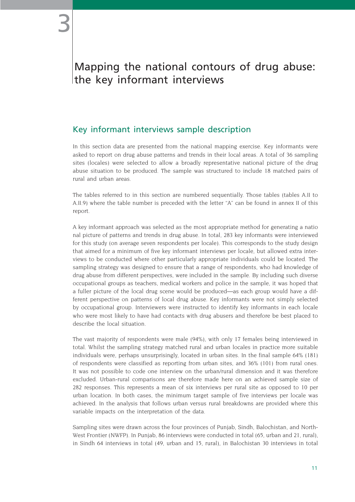## Mapping the national contours of drug abuse: the key informant interviews

## Key informant interviews sample description

In this section data are presented from the national mapping exercise. Key informants were asked to report on drug abuse patterns and trends in their local areas. A total of 36 sampling sites (locales) were selected to allow a broadly representative national picture of the drug abuse situation to be produced. The sample was structured to include 18 matched pairs of rural and urban areas.

The tables referred to in this section are numbered sequentially. Those tables (tables A.II to A.II.9) where the table number is preceded with the letter "A" can be found in annex II of this report.

A key informant approach was selected as the most appropriate method for generating a natio nal picture of patterns and trends in drug abuse. In total, 283 key informants were interviewed for this study (on average seven respondents per locale). This corresponds to the study design that aimed for a minimum of five key informant interviews per locale, but allowed extra interviews to be conducted where other particularly appropriate individuals could be located. The sampling strategy was designed to ensure that a range of respondents, who had knowledge of drug abuse from different perspectives, were included in the sample. By including such diverse occupational groups as teachers, medical workers and police in the sample, it was hoped that a fuller picture of the local drug scene would be produced—as each group would have a different perspective on patterns of local drug abuse. Key informants were not simply selected by occupational group. Interviewers were instructed to identify key informants in each locale who were most likely to have had contacts with drug abusers and therefore be best placed to describe the local situation.

The vast majority of respondents were male (94%), with only 17 females being interviewed in total. Whilst the sampling strategy matched rural and urban locales in practice more suitable individuals were, perhaps unsurprisingly, located in urban sites. In the final sample 64% (181) of respondents were classified as reporting from urban sites, and 36% (101) from rural ones. It was not possible to code one interview on the urban/rural dimension and it was therefore excluded. Urban-rural comparisons are therefore made here on an achieved sample size of 282 responses. This represents a mean of six interviews per rural site as opposed to 10 per urban location. In both cases, the minimum target sample of five interviews per locale was achieved. In the analysis that follows urban versus rural breakdowns are provided where this variable impacts on the interpretation of the data.

Sampling sites were drawn across the four provinces of Punjab, Sindh, Balochistan, and North-West Frontier (NWFP). In Punjab, 86 interviews were conducted in total (65, urban and 21, rural), in Sindh 64 interviews in total (49, urban and 15, rural), in Balochistan 30 interviews in total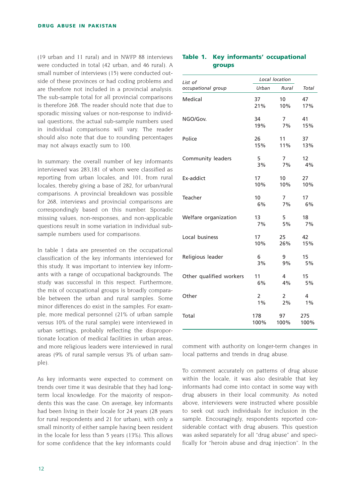(19 urban and 11 rural) and in NWFP 88 interviews were conducted in total (42 urban, and 46 rural). A small number of interviews (15) were conducted outside of these provinces or had coding problems and are therefore not included in a provincial analysis. The sub-sample total for all provincial comparisons is therefore 268. The reader should note that due to sporadic missing values or non-response to individual questions, the actual sub-sample numbers used in individual comparisons will vary. The reader should also note that due to rounding percentages may not always exactly sum to 100.

In summary: the overall number of key informants interviewed was 283,181 of whom were classified as reporting from urban locales, and 101, from rural locales, thereby giving a base of 282, for urban/rural comparisons. A provincial breakdown was possible for 268, interviews and provincial comparisons are correspondingly based on this number. Sporadic missing values, non-responses, and non-applicable questions result in some variation in individual subsample numbers used for comparisons.

In table 1 data are presented on the occupational classification of the key informants interviewed for this study. It was important to interview key informants with a range of occupational backgrounds. The study was successful in this respect. Furthermore, the mix of occupational groups is broadly comparable between the urban and rural samples. Some minor differences do exist in the samples. For example, more medical personnel (21% of urban sample versus 10% of the rural sample) were interviewed in urban settings, probably reflecting the disproportionate location of medical facilities in urban areas, and more religious leaders were interviewed in rural areas (9% of rural sample versus 3% of urban sample).

As key informants were expected to comment on trends over time it was desirable that they had longterm local knowledge. For the majority of respondents this was the case. On average, key informants had been living in their locale for 24 years (28 years for rural respondents and 21 for urban), with only a small minority of either sample having been resident in the locale for less than 5 years (13%). This allows for some confidence that the key informants could

#### **Table 1. Key informants' occupational groups**

| List of                 | Local location        |                 |                 |
|-------------------------|-----------------------|-----------------|-----------------|
| occupational group      | Urban                 | Rural           | Total           |
| Medical                 | 37                    | 10 <sup>°</sup> | 47              |
|                         | 21%                   | 10%             | 17%             |
| NGO/Gov.                | 34                    | $7^{\circ}$     | 41              |
|                         | 19%                   | 7%              | 15%             |
| Police                  | 26                    | 11              | 37              |
|                         | 15%                   | 11%             | 13%             |
| Community leaders       | 5                     | $7^{\circ}$     | 12 <sup>2</sup> |
|                         | 3%                    | 7%              | 4%              |
| Ex-addict               | 17 <sup>17</sup>      | 10 <sup>1</sup> | 27              |
|                         | 10%                   | 10%             | 10%             |
| Teacher                 | 10 <sup>°</sup>       | 7 <sup>7</sup>  | 17              |
|                         | 6%                    | 7%              | 6%              |
| Welfare organization    | 13 <sup>13</sup>      | 5               | 18              |
|                         | 7%                    | 5%              | 7%              |
| Local business          | 17 <sup>2</sup>       | 25              | 42              |
|                         | 10%                   | 26%             | 15%             |
| Religious leader        | 6                     | 9               | 15              |
|                         | 3%                    | 9%              | 5%              |
| Other qualified workers | 11                    | 4               | 15              |
|                         | 6%                    | 4%              | 5%              |
| Other                   | $\mathbf{2}^{\prime}$ | 2               | 4               |
|                         | $1\%$                 | 2%              | 1%              |
| Total                   | 178                   | 97              | 275             |
|                         | 100%                  | 100%            | 100%            |

comment with authority on longer-term changes in local patterns and trends in drug abuse.

To comment accurately on patterns of drug abuse within the locale, it was also desirable that key informants had come into contact in some way with drug abusers in their local community. As noted above, interviewers were instructed where possible to seek out such individuals for inclusion in the sample. Encouragingly, respondents reported considerable contact with drug abusers. This question was asked separately for all "drug abuse" and specifically for "heroin abuse and drug injection". In the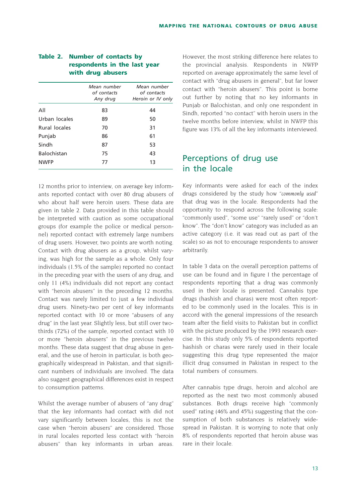|                      | Mean number<br>of contacts<br>Any drug | Mean number<br>of contacts<br>Heroin or IV only |
|----------------------|----------------------------------------|-------------------------------------------------|
| All                  | 83                                     | 44                                              |
| Urban locales        | 89                                     | 50                                              |
| <b>Rural locales</b> | 70                                     | 31                                              |
| Punjab               | 86                                     | 61                                              |
| Sindh                | 87                                     | 53                                              |
| <b>Balochistan</b>   | 75                                     | 43                                              |
| <b>NWFP</b>          | 77                                     | 13                                              |

#### **Table 2. Number of contacts by respondents in the last year with drug abusers**

12 months prior to interview, on average key informants reported contact with over 80 drug abusers of who about half were heroin users. These data are given in table 2. Data provided in this table should be interpreted with caution as some occupational groups (for example the police or medical personnel) reported contact with extremely large numbers of drug users. However, two points are worth noting. Contact with drug abusers as a group, whilst varying, was high for the sample as a whole. Only four individuals (1.5% of the sample) reported no contact in the preceding year with the users of any drug, and only 11 (4%) individuals did not report any contact with "heroin abusers" in the preceding 12 months. Contact was rarely limited to just a few individual drug users. Ninety-two per cent of key informants reported contact with 10 or more "abusers of any drug" in the last year. Slightly less, but still over twothirds (72%) of the sample, reported contact with 10 or more "heroin abusers" in the previous twelve months. These data suggest that drug abuse in general, and the use of heroin in particular, is both geographically widespread in Pakistan, and that significant numbers of individuals are involved. The data also suggest geographical differences exist in respect to consumption patterns.

Whilst the average number of abusers of "any drug" that the key informants had contact with did not vary significantly between locales, this is not the case when "heroin abusers" are considered. Those in rural locales reported less contact with "heroin abusers" than key informants in urban areas.

However, the most striking difference here relates to the provincial analysis. Respondents in NWFP reported on average approximately the same level of contact with "drug abusers in general", but far lower contact with "heroin abusers". This point is borne out further by noting that no key informants in Punjab or Balochistan, and only one respondent in Sindh, reported "no contact" with heroin users in the twelve months before interview, whilst in NWFP this figure was 13% of all the key informants interviewed.

## Perceptions of drug use in the locale

Key informants were asked for each of the index drugs considered by the study how "*commonly used"* that drug was in the locale. Respondents had the opportunity to respond across the following scale: "commonly used", "some use" "rarely used" or "don't know". The "don't know" category was included as an active category (i.e. it was read out as part of the scale) so as not to encourage respondents to answer arbitrarily.

In table 3 data on the overall perception patterns of use can be found and in figure I the percentage of respondents reporting that a drug was commonly used in their locale is presented. Cannabis type drugs (hashish and charas) were most often reported to be commonly used in the locales. This is in accord with the general impressions of the research team after the field visits to Pakistan but in conflict with the picture produced by the 1993 research exercise. In this study only 5% of respondents reported hashish or charas were rarely used in their locale suggesting this drug type represented the major illicit drug consumed in Pakistan in respect to the total numbers of consumers.

After cannabis type drugs, heroin and alcohol are reported as the next two most commonly abused substances. Both drugs receive high "commonly used" rating (46% and 45%) suggesting that the consumption of both substances is relatively widespread in Pakistan. It is worrying to note that only 8% of respondents reported that heroin abuse was rare in their locale.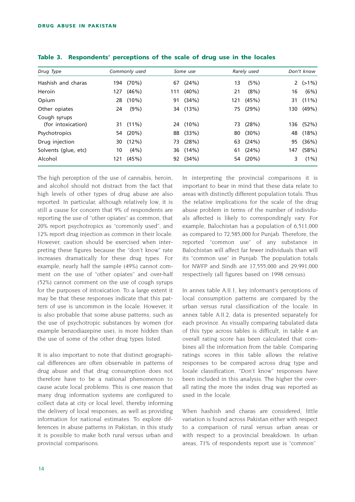| Drug Type                          |     | Commonly used |     | Some use |     | Rarely used |     | Don't know |
|------------------------------------|-----|---------------|-----|----------|-----|-------------|-----|------------|
| Hashish and charas                 | 194 | (70%)         | 67  | (24%)    | 13  | (5%)        |     | 2 $(>1\%)$ |
| Heroin                             | 127 | (46%)         | 111 | $(40\%)$ | 21  | (8%)        | 16  | (6%)       |
| Opium                              | 28  | $(10\%)$      | 91  | (34%)    | 121 | (45%)       | 31  | $(11\%)$   |
| Other opiates                      | 24  | $(9\%)$       |     | 34 (13%) |     | 75 (29%)    | 130 | (49%)      |
| Cough syrups<br>(for intoxication) |     | 31 (11%)      |     | 24 (10%) |     | 73 (28%)    | 136 | (52%)      |
| Psychotropics                      |     | 54 (20%)      |     | 88 (33%) | 80  | $(30\%)$    | 48  | (18%)      |
| Drug injection                     | 30  | $(12\%)$      | 73  | (28%)    | 63  | (24%)       | 95  | (36%)      |
| Solvents (glue, etc)               | 10  | $(4\%)$       |     | 36 (14%) | 61  | (24%)       | 147 | (58%)      |
| Alcohol                            | 121 | (45%)         | 92  | (34%)    | 54  | $(20\%)$    | 3   | $(1\%)$    |

| Table 3. Respondents' perceptions of the scale of drug use in the locales |  |  |  |
|---------------------------------------------------------------------------|--|--|--|
|---------------------------------------------------------------------------|--|--|--|

The high perception of the use of cannabis, heroin, and alcohol should not distract from the fact that high levels of other types of drug abuse are also reported. In particular, although relatively low, it is still a cause for concern that 9% of respondents are reporting the use of "other opiates" as common, that 20% report psychotropics as "commonly used", and 12% report drug injection as common in their locale. However, caution should be exercised when interpreting these figures because the "don't know" rate increases dramatically for these drug types. For example, nearly half the sample (49%) cannot comment on the use of "other opiates" and over-half (52%) cannot comment on the use of cough syrups for the purposes of intoxication. To a large extent it may be that these responses indicate that this pattern of use is uncommon in the locale. However, it is also probable that some abuse patterns, such as the use of psychotropic substances by women (for example benzodiazepine use), is more hidden than the use of some of the other drug types listed.

It is also important to note that distinct geographical differences are often observable in patterns of drug abuse and that drug consumption does not therefore have to be a national phenomenon to cause acute local problems. This is one reason that many drug information systems are configured to collect data at city or local level, thereby informing the delivery of local responses, as well as providing information for national estimates. To explore differences in abuse patterns in Pakistan, in this study it is possible to make both rural versus urban and provincial comparisons.

In interpreting the provincial comparisons it is important to bear in mind that these data relate to areas with distinctly different population totals. Thus the relative implications for the scale of the drug abuse problem in terms of the number of individuals affected is likely to correspondingly vary. For example, Balochistan has a population of 6,511,000 as compared to 72,585,000 for Punjab. Therefore, the reported "common use" of any substance in Balochistan will affect far fewer individuals than will its "common use" in Punjab. The population totals for NWFP and Sindh are 17,555,000 and 29,991,000 respectively (all figures based on 1998 census).

In annex table A.II.1, key informant's perceptions of local consumption patterns are compared by the urban versus rural classification of the locale. In annex table A.II.2, data is presented separately for each province. As visually comparing tabulated data of this type across tables is difficult, in table 4 an overall rating score has been calculated that combines all the information from the table. Comparing ratings scores in this table allows the relative responses to be compared across drug type and locale classification. "Don't know" responses have been included in this analysis. The higher the overall rating the more the index drug was reported as used in the locale.

When hashish and charas are considered, little variation is found across Pakistan either with respect to a comparison of rural versus urban areas or with respect to a provincial breakdown. In urban areas, 71% of respondents report use is "common"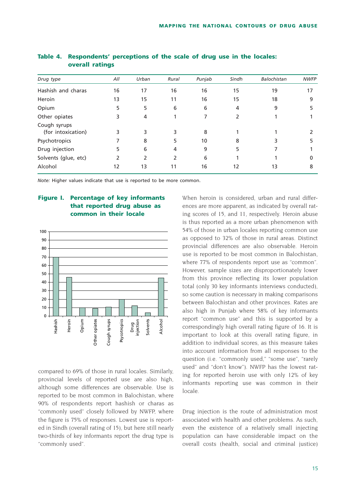| Drug type                          | All | Urban | Rural | Punjab | Sindh | Balochistan | <b>NWFP</b> |
|------------------------------------|-----|-------|-------|--------|-------|-------------|-------------|
| Hashish and charas                 | 16  | 17    | 16    | 16     | 15    | 19          | 17          |
| Heroin                             | 13  | 15    | 11    | 16     | 15    | 18          | 9           |
| Opium                              | 5   | 5     | 6     | 6      | 4     | 9           |             |
| Other opiates                      | 3   | 4     |       |        |       |             |             |
| Cough syrups<br>(for intoxication) | 3   | 3     | 3     | 8      |       |             |             |
| Psychotropics                      |     | 8     | 5     | 10     | 8     | 3           |             |
| Drug injection                     | 5   | 6     | 4     | 9      | 5     |             |             |
| Solvents (glue, etc)               | 2   | 2     | 2     | 6      |       |             | 0           |
| Alcohol                            | 12  | 13    | 11    | 16     | 12    | 13          | 8           |
|                                    |     |       |       |        |       |             |             |

| Table 4. Respondents' perceptions of the scale of drug use in the locales: |  |
|----------------------------------------------------------------------------|--|
| overall ratings                                                            |  |

*Note:* Higher values indicate that use is reported to be more common.

#### **Figure I. Percentage of key informants that reported drug abuse as common in their locale**



compared to 69% of those in rural locales. Similarly, provincial levels of reported use are also high, although some differences are observable. Use is reported to be most common in Balochistan, where 90% of respondents report hashish or charas as "commonly used" closely followed by NWFP, where the figure is 75% of responses. Lowest use is reported in Sindh (overall rating of 15), but here still nearly two-thirds of key informants report the drug type is "commonly used".

When heroin is considered, urban and rural differences are more apparent, as indicated by overall rating scores of 15, and 11, respectively. Heroin abuse is thus reported as a more urban phenomenon with 54% of those in urban locales reporting common use as opposed to 32% of those in rural areas. Distinct provincial differences are also observable. Heroin use is reported to be most common in Balochistan, where 77% of respondents report use as "common". However, sample sizes are disproportionately lower from this province reflecting its lower population total (only 30 key informants interviews conducted), so some caution is necessary in making comparisons between Balochistan and other provinces. Rates are also high in Punjab where 58% of key informants report "common use" and this is supported by a correspondingly high overall rating figure of 16. It is important to look at this overall rating figure, in addition to individual scores, as this measure takes into account information from all responses to the question (i.e. "commonly used," "some use", "rarely used" and "don't know"). NWFP has the lowest rating for reported heroin use with only 12% of key informants reporting use was common in their locale.

Drug injection is the route of administration most associated with health and other problems. As such, even the existence of a relatively small injecting population can have considerable impact on the overall costs (health, social and criminal justice)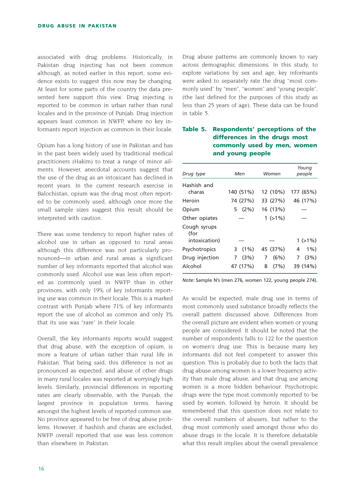associated with drug problems. Historically, in Pakistan drug injecting has not been common although, as noted earlier in this report, some evidence exists to suggest this now may be changing. At least for some parts of the country the data presented here support this view. Drug injecting is reported to be common in urban rather than rural locales and in the province of Punjab. Drug injection appears least common in NWFP, where no key informants report injection as common in their locale.

Opium has a long history of use in Pakistan and has in the past been widely used by traditional medical practitioners (Hakim) to treat a range of minor ailments. However, anecdotal accounts suggest that the use of the drug as an intoxicant has declined in recent years. In the current research exercise in Balochistan, opium was the drug most often reported to be commonly used, although once more the small sample sizes suggest this result should be interpreted with caution.

There was some tendency to report higher rates of alcohol use in urban as opposed to rural areas although this difference was not particularly pronounced—in urban and rural areas a significant number of key informants reported that alcohol was commonly used. Alcohol use was less often reported as commonly used in NWFP than in other provinces, with only 19% of key informants reporting use was common in their locale. This is a marked contrast with Punjab where 71% of key informants report the use of alcohol as common and only 3% that its use was "rare" in their locale.

Overall, the key informants reports would suggest that drug abuse, with the exception of opium, is more a feature of urban rather than rural life in Pakistan. That being said, this difference is not as pronounced as expected, and abuse of other drugs in many rural locales was reported at worryingly high levels. Similarly, provincial differences in reporting rates are clearly observable, with the Punjab, the largest province in population terms, having amongst the highest levels of reported common use. No province appeared to be free of drug abuse problems. However, if hashish and charas are excluded, NWFP overall reported that use was less common than elsewhere in Pakistan.

Drug abuse patterns are commonly known to vary across demographic dimensions. In this study, to explore variations by sex and age, key informants were asked to separately rate the drug "most commonly used" by "men", "women" and "young people", (the last defined for the purposes of this study as less than 25 years of age). These data can be found in table 5.

#### **Table 5. Respondents' perceptions of the differences in the drugs most commonly used by men, women and young people**

| Drug type                             | Men          | Women     | Young<br>people |
|---------------------------------------|--------------|-----------|-----------------|
| Hashish and                           |              |           |                 |
| charas                                | 140 (51%)    | 12 (10%)  | 177 (65%)       |
| Heroin                                | 74 (27%)     | 33 (27%)  | 46 (17%)        |
| Opium                                 | (2%)<br>5    | 16 (13%)  |                 |
| Other opiates                         |              | $1(>1\%)$ |                 |
| Cough syrups<br>(for<br>intoxication) |              |           | $1(>1\%)$       |
| Psychotropics                         | $(1\%)$<br>3 | 45 (37%)  | $1\%$<br>4      |
| Drug injection                        | (3%)<br>7    | (6%)<br>7 | (3%)<br>7       |
| Alcohol                               | 47 (17%)     | (7%)<br>8 | 39 (14%)        |

*Note:* Sample N's (men 276, women 122, young people 274).

As would be expected, male drug use in terms of most commonly used substance broadly reflects the overall pattern discussed above. Differences from the overall picture are evident when women or young people are considered. It should be noted that the number of respondents falls to 122 for the question on women's drug use. This is because many key informants did not feel competent to answer this question. This is probably due to both the facts that drug abuse among women is a lower frequency activity than male drug abuse, and that drug use among women is a more hidden behaviour. Psychotropic drugs were the type most commonly reported to be used by women, followed by heroin. It should be remembered that this question does not relate to the overall numbers of abusers, but rather to the drug most commonly used amongst those who do abuse drugs in the locale. It is therefore debatable what this result implies about the overall prevalence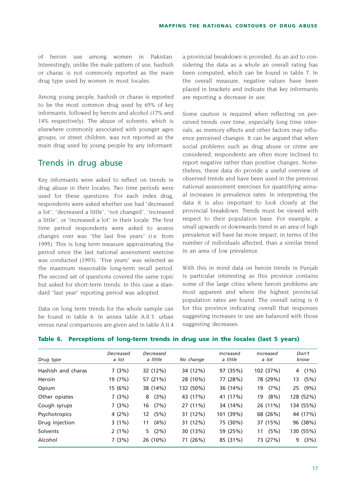of heroin use among women in Pakistan. Interestingly, unlike the male pattern of use, hashish or charas is not commonly reported as the main drug type used by women in most locales.

Among young people, hashish or charas is reported to be the most common drug used by 65% of key informants, followed by heroin and alcohol (17% and 14% respectively). The abuse of solvents, which is elsewhere commonly associated with younger ages groups, or street children, was not reported as the main drug used by young people by any informant.

### Trends in drug abuse

Key informants were asked to reflect on trends in drug abuse in their locales. Two time periods were used for these questions. For each index drug, respondents were asked whether use had "decreased a lot", "decreased a little", "not changed", "increased a little", or "increased a lot" in their locale. The first time period respondents were asked to assess changes over was "the last five years" (i.e. from 1995). This is long term measure approximating the period since the last national assessment exercise was conducted (1993). "Five years" was selected as the maximum reasonable long-term recall period. The second set of questions covered the same topic but asked for short-term trends. In this case a standard "last year" reporting period was adopted.

Data on long term trends for the whole sample can be found in table 6. In annex table A.II.3. urban versus rural comparisons are given and in table A.II.4 a provincial breakdown is provided. As an aid to considering the data as a whole an overall rating has been computed, which can be found in table 7. In the overall measure, negative values have been placed in brackets and indicate that key informants are reporting a decrease in use.

Some caution is required when reflecting on perceived trends over time, especially long time intervals, as memory effects and other factors may influence perceived changes. It can be argued that when social problems such as drug abuse or crime are considered, respondents are often more inclined to report negative rather than positive changes. Nonetheless, these data do provide a useful overview of observed trends and have been used in the previous national assessment exercises for quantifying annual increases in prevalence rates. In interpreting the data it is also important to look closely at the provincial breakdown. Trends must be viewed with respect to their population base. For example, a small upwards or downwards trend in an area of high prevalence will have far more impact, in terms of the number of individuals affected, than a similar trend in an area of low prevalence.

With this in mind data on heroin trends in Punjab is particular interesting as this province contains some of the large cities where heroin problems are most apparent and where the highest provincial population rates are found. The overall rating is 0 for this province indicating overall that responses suggesting increases in use are balanced with those suggesting decreases.

|                    | Decreased | Decreased    |           | Increased | Increased  | Don't         |
|--------------------|-----------|--------------|-----------|-----------|------------|---------------|
| Drug type          | a lot     | a little     | No change | a little  | a lot      | know          |
| Hashish and charas | 7(3%)     | 32 (12%)     | 34 (12%)  | 97 (35%)  | 102 (37%)  | $(1\%)$<br>4  |
| Heroin             | 19 (7%)   | 57 (21%)     | 28 (10%)  | 77 (28%)  | 78 (29%)   | (5%)<br>13    |
| Opium              | 15 (6%)   | 38 (14%)     | 132 (50%) | 36 (14%)  | (7%)<br>19 | $(9\%)$<br>25 |
| Other opiates      | 7(3%)     | (3%)<br>8    | 43 (17%)  | 41 (17%)  | (8%)<br>19 | 128 (52%)     |
| Cough syrups       | 7(3%)     | (7%)<br>16   | 27 (11%)  | 34 (14%)  | 26 (11%)   | 134 (55%)     |
| Psychotropics      | 4(2%)     | (5%)<br>12   | 31 (12%)  | 101 (39%) | 68 (26%)   | 44 (17%)      |
| Drug injection     | $3(1\%)$  | (4% )<br>11  | 31 (12%)  | 75 (30%)  | 37 (15%)   | 96 (38%)      |
| Solvents           | $2(1\%)$  | $(2\%)$<br>5 | 30 (13%)  | 59 (25%)  | (5%)<br>11 | 130 (55%)     |
| Alcohol            | 7(3%)     | 26 (10%)     | 71 (26%)  | 85 (31%)  | 73 (27%)   | (3%)<br>9     |

#### **Table 6. Perceptions of long-term trends in drug use in the locales (last 5 years)**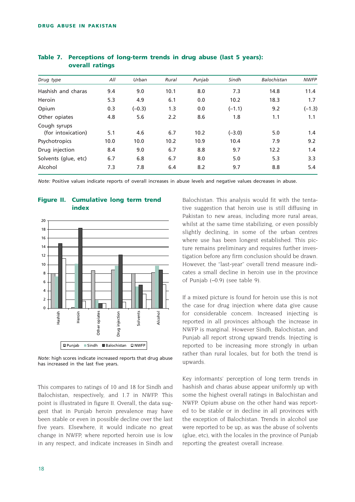| Drug type                          | All  | Urban    | Rural | Punjab | Sindh    | Balochistan | <b>NWFP</b> |
|------------------------------------|------|----------|-------|--------|----------|-------------|-------------|
| Hashish and charas                 | 9.4  | 9.0      | 10.1  | 8.0    | 7.3      | 14.8        | 11.4        |
| Heroin                             | 5.3  | 4.9      | 6.1   | 0.0    | 10.2     | 18.3        | 1.7         |
| Opium                              | 0.3  | $(-0.3)$ | 1.3   | 0.0    | $(-1.1)$ | 9.2         | $(-1.3)$    |
| Other opiates                      | 4.8  | 5.6      | 2.2   | 8.6    | 1.8      | 1.1         | 1.1         |
| Cough syrups<br>(for intoxication) | 5.1  | 4.6      | 6.7   | 10.2   | $(-3.0)$ | 5.0         | 1.4         |
| Psychotropics                      | 10.0 | 10.0     | 10.2  | 10.9   | 10.4     | 7.9         | 9.2         |
| Drug injection                     | 8.4  | 9.0      | 6.7   | 8.8    | 9.7      | 12.2        | 1.4         |
| Solvents (glue, etc)               | 6.7  | 6.8      | 6.7   | 8.0    | 5.0      | 5.3         | 3.3         |
| Alcohol                            | 7.3  | 7.8      | 6.4   | 8.2    | 9.7      | 8.8         | 5.4         |
|                                    |      |          |       |        |          |             |             |

#### **Table 7. Perceptions of long-term trends in drug abuse (last 5 years): overall ratings**

*Note:* Positive values indicate reports of overall increases in abuse levels and negative values decreases in abuse.





*Note:* high scores indicate increased reports that drug abuse has increased in the last five years.

This compares to ratings of 10 and 18 for Sindh and Balochistan, respectively, and 1.7 in NWFP. This point is illustrated in figure II. Overall, the data suggest that in Punjab heroin prevalence may have been stable or even in possible decline over the last five years. Elsewhere, it would indicate no great change in NWFP, where reported heroin use is low in any respect, and indicate increases in Sindh and Balochistan. This analysis would fit with the tentative suggestion that heroin use is still diffusing in Pakistan to new areas, including more rural areas, whilst at the same time stabilizing, or even possibly slightly declining, in some of the urban centres where use has been longest established. This picture remains preliminary and requires further investigation before any firm conclusion should be drawn. However, the "last-year" overall trend measure indicates a small decline in heroin use in the province of Punjab (–0.9) (see table 9).

If a mixed picture is found for heroin use this is not the case for drug injection where data give cause for considerable concern. Increased injecting is reported in all provinces although the increase in NWFP is marginal. However Sindh, Balochistan, and Punjab all report strong upward trends. Injecting is reported to be increasing more strongly in urban rather than rural locales, but for both the trend is upwards.

Key informants' perception of long term trends in hashish and charas abuse appear uniformly up with some the highest overall ratings in Balochistan and NWFP. Opium abuse on the other hand was reported to be stable or in decline in all provinces with the exception of Balochistan. Trends in alcohol use were reported to be up, as was the abuse of solvents (glue, etc), with the locales in the province of Punjab reporting the greatest overall increase.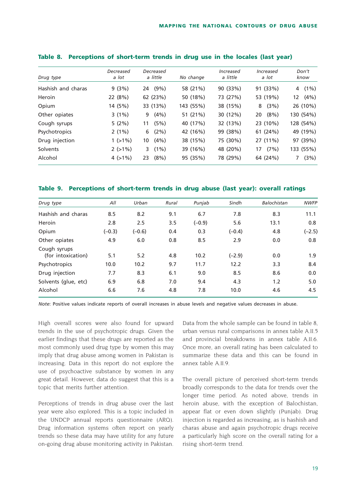| Drug type          | Decreased<br>a lot | Decreased<br>a little | No change | Increased<br>a little | Increased<br>a lot | Don't<br>know |
|--------------------|--------------------|-----------------------|-----------|-----------------------|--------------------|---------------|
| Hashish and charas | 9(3%)              | $(9\%)$<br>24         | 58 (21%)  | 90 (33%)              | 91 (33%)           | $(1\%)$<br>4  |
| Heroin             | 22 (8%)            | 62 (23%)              | 50 (18%)  | 73 (27%)              | 53 (19%)           | $(4\%)$<br>12 |
| Opium              | 14 (5%)            | 33 (13%)              | 143 (55%) | 38 (15%)              | (3%)<br>8          | 26 (10%)      |
| Other opiates      | $3(1\%)$           | (4%)<br>9             | 51 (21%)  | 30 (12%)              | $(8\%)$<br>20      | 130 (54%)     |
| Cough syrups       | 5(2%)              | (5%)<br>11            | 40 (17%)  | 32 (13%)              | 23 (10%)           | 128 (54%)     |
| Psychotropics      | $2(1\%)$           | (2%)<br>6             | 42 (16%)  | 99 (38%)              | 61 (24%)           | 49 (19%)      |
| Drug injection     | $1(>1\%)$          | (4% )<br>10           | 38 (15%)  | 75 (30%)              | 27 (11%)           | 97 (39%)      |
| Solvents           | $2(>1\%)$          | $(1\%)$<br>3.         | 39 (16%)  | 48 (20%)              | (7%)<br>17         | 133 (55%)     |
| Alcohol            | $4$ ( $>1\%$ )     | $(8\%)$<br>23         | 95 (35%)  | 78 (29%)              | 64 (24%)           | (3%)          |

| Table 8. Perceptions of short-term trends in drug use in the locales (last year) |  |  |  |  |  |  |  |
|----------------------------------------------------------------------------------|--|--|--|--|--|--|--|
|----------------------------------------------------------------------------------|--|--|--|--|--|--|--|

**Table 9. Perceptions of short-term trends in drug abuse (last year): overall ratings** 

| Drug type                          | All      | Urban    | Rural | Punjab   | Sindh    | Balochistan | <b>NWFP</b> |
|------------------------------------|----------|----------|-------|----------|----------|-------------|-------------|
| Hashish and charas                 | 8.5      | 8.2      | 9.1   | 6.7      | 7.8      | 8.3         | 11.1        |
| Heroin                             | 2.8      | 2.5      | 3.5   | $(-0.9)$ | 5.6      | 13.1        | 0.8         |
| Opium                              | $(-0.3)$ | $(-0.6)$ | 0.4   | 0.3      | $(-0.4)$ | 4.8         | $(-2.5)$    |
| Other opiates                      | 4.9      | 6.0      | 0.8   | 8.5      | 2.9      | 0.0         | 0.8         |
| Cough syrups<br>(for intoxication) | 5.1      | 5.2      | 4.8   | 10.2     | $(-2.9)$ | 0.0         | 1.9         |
| Psychotropics                      | 10.0     | 10.2     | 9.7   | 11.7     | 12.2     | 3.3         | 8.4         |
| Drug injection                     | 7.7      | 8.3      | 6.1   | 9.0      | 8.5      | 8.6         | 0.0         |
| Solvents (glue, etc)               | 6.9      | 6.8      | 7.0   | 9.4      | 4.3      | 1.2         | 5.0         |
| Alcohol                            | 6.6      | 7.6      | 4.8   | 7.8      | 10.0     | 4.6         | 4.5         |

*Note*: Positive values indicate reports of overall increases in abuse levels and negative values decreases in abuse.

High overall scores were also found for upward trends in the use of psychotropic drugs. Given the earlier findings that these drugs are reported as the most commonly used drug type by women this may imply that drug abuse among women in Pakistan is increasing. Data in this report do not explore the use of psychoactive substance by women in any great detail. However, data do suggest that this is a topic that merits further attention.

Perceptions of trends in drug abuse over the last year were also explored. This is a topic included in the UNDCP annual reports questionnaire (ARQ). Drug information systems often report on yearly trends so these data may have utility for any future on-going drug abuse monitoring activity in Pakistan. Data from the whole sample can be found in table 8, urban versus rural comparisons in annex table A.II.5 and provincial breakdowns in annex table A.II.6. Once more, an overall rating has been calculated to summarize these data and this can be found in annex table A II.9

The overall picture of perceived short-term trends broadly corresponds to the data for trends over the longer time period. As noted above, trends in heroin abuse, with the exception of Balochistan, appear flat or even down slightly (Punjab). Drug injection is regarded as increasing, as is hashish and charas abuse and again psychotropic drugs receive a particularly high score on the overall rating for a rising short-term trend.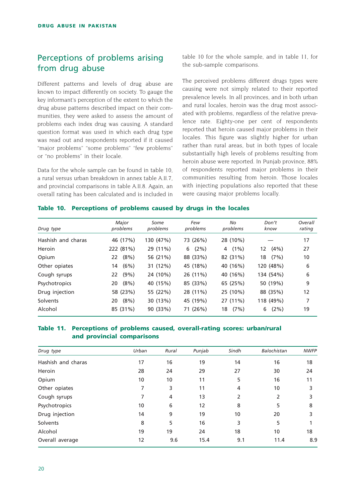## Perceptions of problems arising from drug abuse

Different patterns and levels of drug abuse are known to impact differently on society. To gauge the key informant's perception of the extent to which the drug abuse patterns described impact on their communities, they were asked to assess the amount of problems each index drug was causing. A standard question format was used in which each drug type was read out and respondents reported if it caused "major problems" "some problems" "few problems" or "no problems" in their locale.

Data for the whole sample can be found in table 10, a rural versus urban breakdown in annex table A.II.7, and provincial comparisons in table A.II.8. Again, an overall rating has been calculated and is included in table 10 for the whole sample, and in table 11, for the sub-sample comparisons.

The perceived problems different drugs types were causing were not simply related to their reported prevalence levels. In all provinces, and in both urban and rural locales, heroin was the drug most associated with problems, regardless of the relative prevalence rate. Eighty-one per cent of respondents reported that heroin caused major problems in their locales. This figure was slightly higher for urban rather than rural areas, but in both types of locale substantially high levels of problems resulting from heroin abuse were reported. In Punjab province, 88% of respondents reported major problems in their communities resulting from heroin. Those locales with injecting populations also reported that these were causing major problems locally.

#### **Table 10. Perceptions of problems caused by drugs in the locales**

| Drug type          | Major<br>problems | Some<br>problems | Few<br>problems | No<br>problems | Don't<br>know | Overall<br>rating |
|--------------------|-------------------|------------------|-----------------|----------------|---------------|-------------------|
| Hashish and charas | 46 (17%)          | 130 (47%)        | 73 (26%)        | 28 (10%)       |               | 17                |
| Heroin             | 222 (81%)         | 29 (11%)         | $(2\%)$<br>6    | $(1\%)$<br>4   | $(4\%)$<br>12 | 27                |
| Opium              | $(8\%)$<br>22     | 56 (21%)         | 88 (33%)        | 82 (31%)       | (7%)<br>18    | 10                |
| Other opiates      | (6%)<br>14        | 31 (12%)         | 45 (18%)        | 40 (16%)       | 120 (48%)     | 6                 |
| Cough syrups       | $(9\%)$<br>22     | 24 (10%)         | 26 (11%)        | 40 (16%)       | 134 (54%)     | 6                 |
| Psychotropics      | $(8\%)$<br>20     | 40 (15%)         | 85 (33%)        | 65 (25%)       | 50 (19%)      | 9                 |
| Drug injection     | 58 (23%)          | 55 (22%)         | 28 (11%)        | 25 (10%)       | 88 (35%)      | 12                |
| Solvents           | $(8\%)$<br>20     | 30 (13%)         | 45 (19%)        | 27 (11%)       | 118 (49%)     | 7                 |
| Alcohol            | 85 (31%)          | 90 (33%)         | 71 (26%)        | (7%)<br>18     | (2%)<br>6     | 19                |

#### **Table 11. Perceptions of problems caused, overall-rating scores: urban/rural and provincial comparisons**

| Drug type          | Urban | Rural | Punjab | Sindh | Balochistan | <b>NWFP</b> |
|--------------------|-------|-------|--------|-------|-------------|-------------|
| Hashish and charas | 17    | 16    | 19     | 14    | 16          | 18          |
| Heroin             | 28    | 24    | 29     | 27    | 30          | 24          |
| Opium              | 10    | 10    | 11     | 5     | 16          | 11          |
| Other opiates      | 7     | 3     | 11     | 4     | 10          | 3           |
| Cough syrups       | 7     | 4     | 13     | 2     | 2           | 3           |
| Psychotropics      | 10    | 6     | 12     | 8     | 5           | 8           |
| Drug injection     | 14    | 9     | 19     | 10    | 20          |             |
| Solvents           | 8     | 5     | 16     | 3     | 5           |             |
| Alcohol            | 19    | 19    | 24     | 18    | 10          | 18          |
| Overall average    | 12    | 9.6   | 15.4   | 9.1   | 11.4        | 8.9         |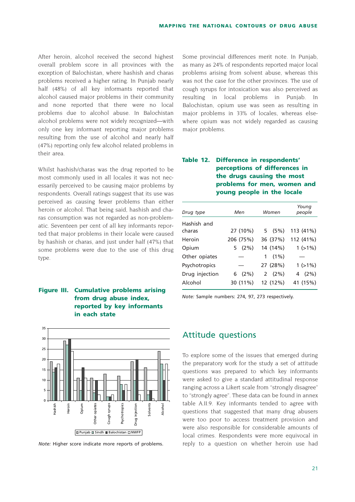After heroin, alcohol received the second highest overall problem score in all provinces with the exception of Balochistan, where hashish and charas problems received a higher rating. In Punjab nearly half (48%) of all key informants reported that alcohol caused major problems in their community and none reported that there were no local problems due to alcohol abuse. In Balochistan alcohol problems were not widely recognized—with only one key informant reporting major problems resulting from the use of alcohol and nearly half (47%) reporting only few alcohol related problems in their area.

Whilst hashish/charas was the drug reported to be most commonly used in all locales it was not necessarily perceived to be causing major problems by respondents. Overall ratings suggest that its use was perceived as causing fewer problems than either heroin or alcohol. That being said, hashish and charas consumption was not regarded as non-problematic. Seventeen per cent of all key informants reported that major problems in their locale were caused by hashish or charas, and just under half (47%) that some problems were due to the use of this drug type.

#### **Figure III. Cumulative problems arising from drug abuse index, reported by key informants in each state**



*Note:* Higher score indicate more reports of problems.

Some provincial differences merit note. In Punjab, as many as 24% of respondents reported major local problems arising from solvent abuse, whereas this was not the case for the other provinces. The use of cough syrups for intoxication was also perceived as resulting in local problems in Punjab. In Balochistan, opium use was seen as resulting in major problems in 33% of locales, whereas elsewhere opium was not widely regarded as causing major problems.

### **Table 12. Difference in respondents' perceptions of differences in the drugs causing the most problems for men, women and young people in the locale**

| Drug type      | Men       | Women     | Young<br>people |  |
|----------------|-----------|-----------|-----------------|--|
| Hashish and    |           |           |                 |  |
| charas         | 27 (10%)  | 5(5%)     | 113 (41%)       |  |
| Heroin         | 206 (75%) | 36 (37%)  | 112 (41%)       |  |
| Opium          | 5(2%)     | 14 (14%)  | $1(>1\%)$       |  |
| Other opiates  |           | $1(1\%)$  |                 |  |
| Psychotropics  |           | 27 (28%)  | $1(>1\%)$       |  |
| Drug injection | 6(2%)     | 2 $(2\%)$ | 4 $(2\%)$       |  |
| Alcohol        | 30 (11%)  | 12 (12%)  | 41 (15%)        |  |

*Note:* Sample numbers: 274, 97, 273 respectively.

### Attitude questions

To explore some of the issues that emerged during the preparatory work for the study a set of attitude questions was prepared to which key informants were asked to give a standard attitudinal response ranging across a Likert scale from "strongly disagree" to "strongly agree". These data can be found in annex table A.II.9. Key informants tended to agree with questions that suggested that many drug abusers were too poor to access treatment provision and were also responsible for considerable amounts of local crimes. Respondents were more equivocal in reply to a question on whether heroin use had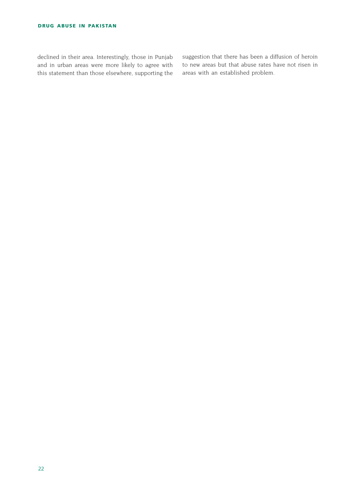declined in their area. Interestingly, those in Punjab and in urban areas were more likely to agree with this statement than those elsewhere, supporting the suggestion that there has been a diffusion of heroin to new areas but that abuse rates have not risen in areas with an established problem.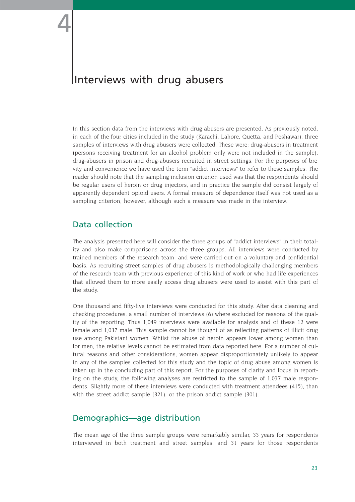# Interviews with drug abusers

In this section data from the interviews with drug abusers are presented. As previously noted, in each of the four cities included in the study (Karachi, Lahore, Quetta, and Peshawar), three samples of interviews with drug abusers were collected. These were: drug-abusers in treatment (persons receiving treatment for an alcohol problem only were not included in the sample), drug-abusers in prison and drug-abusers recruited in street settings. For the purposes of bre vity and convenience we have used the term "addict interviews" to refer to these samples. The reader should note that the sampling inclusion criterion used was that the respondents should be regular users of heroin or drug injectors, and in practice the sample did consist largely of apparently dependent opioid users. A formal measure of dependence itself was not used as a sampling criterion, however, although such a measure was made in the interview.

# Data collection

The analysis presented here will consider the three groups of "addict interviews" in their totality and also make comparisons across the three groups. All interviews were conducted by trained members of the research team, and were carried out on a voluntary and confidential basis. As recruiting street samples of drug abusers is methodologically challenging members of the research team with previous experience of this kind of work or who had life experiences that allowed them to more easily access drug abusers were used to assist with this part of the study.

One thousand and fifty-five interviews were conducted for this study. After data cleaning and checking procedures, a small number of interviews (6) where excluded for reasons of the quality of the reporting. Thus 1,049 interviews were available for analysis and of these 12 were female and 1,037 male. This sample cannot be thought of as reflecting patterns of illicit drug use among Pakistani women. Whilst the abuse of heroin appears lower among women than for men, the relative levels cannot be estimated from data reported here. For a number of cultural reasons and other considerations, women appear disproportionately unlikely to appear in any of the samples collected for this study and the topic of drug abuse among women is taken up in the concluding part of this report. For the purposes of clarity and focus in reporting on the study, the following analyses are restricted to the sample of 1,037 male respondents. Slightly more of these interviews were conducted with treatment attendees (415), than with the street addict sample (321), or the prison addict sample (301).

# Demographics—age distribution

The mean age of the three sample groups were remarkably similar, 33 years for respondents interviewed in both treatment and street samples, and 31 years for those respondents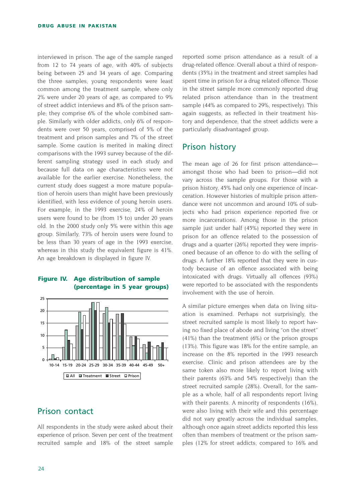interviewed in prison. The age of the sample ranged from 12 to 74 years of age, with 40% of subjects being between 25 and 34 years of age. Comparing the three samples, young respondents were least common among the treatment sample, where only 2% were under 20 years of age, as compared to 9% of street addict interviews and 8% of the prison sample; they comprise 6% of the whole combined sample. Similarly with older addicts, only 6% of respondents were over 50 years, comprised of 5% of the treatment and prison samples and 7% of the street sample. Some caution is merited in making direct comparisons with the 1993 survey because of the different sampling strategy used in each study and because full data on age characteristics were not available for the earlier exercise. Nonetheless, the current study does suggest a more mature population of heroin users than might have been previously identified, with less evidence of young heroin users. For example, in the 1993 exercise, 24% of heroin users were found to be (from 15 to) under 20 years old. In the 2000 study only 5% were within this age group. Similarly, 73% of heroin users were found to be less than 30 years of age in the 1993 exercise, whereas in this study the equivalent figure is 41%. An age breakdown is displayed in figure IV.

#### **Figure IV. Age distribution of sample (percentage in 5 year groups)**



# Prison contact

All respondents in the study were asked about their experience of prison. Seven per cent of the treatment recruited sample and 18% of the street sample reported some prison attendance as a result of a drug-related offence. Overall about a third of respondents (35%) in the treatment and street samples had spent time in prison for a drug related offence. Those in the street sample more commonly reported drug related prison attendance than in the treatment sample (44% as compared to 29%, respectively). This again suggests, as reflected in their treatment history and dependence, that the street addicts were a particularly disadvantaged group.

### Prison history

The mean age of 26 for first prison attendance amongst those who had been to prison—did not vary across the sample groups. For those with a prison history, 45% had only one experience of incarceration. However histories of multiple prison attendance were not uncommon and around 10% of subjects who had prison experience reported five or more incarcerations. Among those in the prison sample just under half (45%) reported they were in prison for an offence related to the possession of drugs and a quarter (26%) reported they were imprisoned because of an offence to do with the selling of drugs. A further 18% reported that they were in custody because of an offence associated with being intoxicated with drugs. Virtually all offences (93%) were reported to be associated with the respondents involvement with the use of heroin.

A similar picture emerges when data on living situation is examined. Perhaps not surprisingly, the street recruited sample is most likely to report having no fixed place of abode and living "on the street" (41%) than the treatment (6%) or the prison groups (13%). This figure was 18% for the entire sample, an increase on the 8% reported in the 1993 research exercise. Clinic and prison attendees are by the same token also more likely to report living with their parents (63% and 54% respectively) than the street recruited sample (28%). Overall, for the sample as a whole, half of all respondents report living with their parents. A minority of respondents (16%), were also living with their wife and this percentage did not vary greatly across the individual samples, although once again street addicts reported this less often than members of treatment or the prison samples (12% for street addicts, compared to 16% and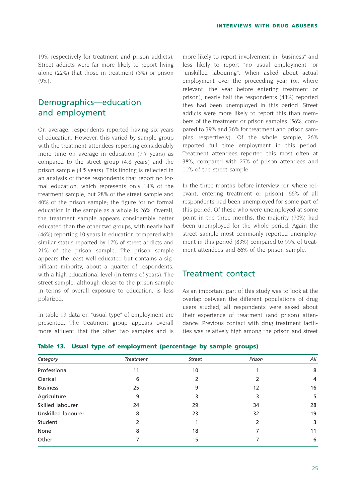19% respectively for treatment and prison addicts). Street addicts were far more likely to report living alone (22%) that those in treatment (3%) or prison (9%).

# Demographics—education and employment

On average, respondents reported having six years of education. However, this varied by sample group with the treatment attendees reporting considerably more time on average in education (7.7 years) as compared to the street group (4.8 years) and the prison sample (4.5 years). This finding is reflected in an analysis of those respondents that report no formal education, which represents only 14% of the treatment sample, but 28% of the street sample and 40% of the prison sample; the figure for no formal education in the sample as a whole is 26%. Overall, the treatment sample appears considerably better educated than the other two groups, with nearly half (46%) reporting 10 years in education compared with similar status reported by 17% of street addicts and 21% of the prison sample. The prison sample appears the least well educated but contains a significant minority, about a quarter of respondents, with a high educational level (in terms of years). The street sample, although closer to the prison sample in terms of overall exposure to education, is less polarized.

In table 13 data on "usual type" of employment are presented. The treatment group appears overall more affluent that the other two samples and is more likely to report involvement in "business" and less likely to report "no usual employment" or "unskilled labouring". When asked about actual employment over the proceeding year (or, where relevant, the year before entering treatment or prison), nearly half the respondents (43%) reported they had been unemployed in this period. Street addicts were more likely to report this than members of the treatment or prison samples (56%, compared to 39% and 36% for treatment and prison samples respectively). Of the whole sample, 26% reported full time employment in this period. Treatment attendees reported this most often at 38%, compared with 27% of prison attendees and 11% of the street sample.

In the three months before interview (or, where relevant, entering treatment or prison), 66% of all respondents had been unemployed for some part of this period. Of these who were unemployed at some point in the three months, the majority (70%) had been unemployed for the whole period. Again the street sample most commonly reported unemployment in this period (83%) compared to 55% of treatment attendees and 66% of the prison sample.

### Treatment contact

As an important part of this study was to look at the overlap between the different populations of drug users studied, all respondents were asked about their experience of treatment (and prison) attendance. Previous contact with drug treatment facilities was relatively high among the prison and street

| Table 13.  Usual type of employment (percentage by sample groups) |  |  |  |  |  |  |
|-------------------------------------------------------------------|--|--|--|--|--|--|
|-------------------------------------------------------------------|--|--|--|--|--|--|

| Category           | Treatment     | <b>Street</b> | Prison | All            |
|--------------------|---------------|---------------|--------|----------------|
| Professional       | 11            | 10            |        | 8              |
| Clerical           | 6             | 2             |        | $\overline{4}$ |
| <b>Business</b>    | 25            | 9             | 12     | 16             |
| Agriculture        | 9             | 3             | 3      | 5              |
| Skilled labourer   | 24            | 29            | 34     | 28             |
| Unskilled labourer | 8             | 23            | 32     | 19             |
| Student            | $\mathcal{P}$ |               | 2      | 3              |
| None               | 8             | 18            | 7      | 11             |
| Other              |               | 5             |        | 6              |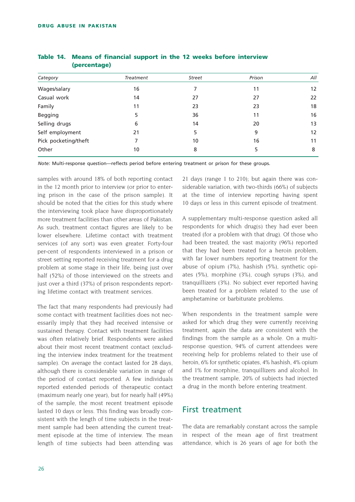|    | <b>Street</b>    | Prison | All               |
|----|------------------|--------|-------------------|
| 16 |                  | 11     | $12 \overline{ }$ |
| 14 | 27               | 27     | 22                |
| 11 | 23               | 23     | 18                |
| 5  | 36               | 11     | 16                |
| 6  | 14               | 20     | 13                |
| 21 | 5                | 9      | 12                |
| 7  | 10               | 16     | 11                |
| 10 | 8                | 5      | 8                 |
|    | <b>Treatment</b> |        |                   |

#### **Table 14. Means of financial support in the 12 weeks before interview (percentage)**

*Note:* Multi-response question—reflects period before entering treatment or prison for these groups.

samples with around 18% of both reporting contact in the 12 month prior to interview (or prior to entering prison in the case of the prison sample). It should be noted that the cities for this study where the interviewing took place have disproportionately more treatment facilities than other areas of Pakistan. As such, treatment contact figures are likely to be lower elsewhere. Lifetime contact with treatment services (of any sort) was even greater. Forty-four per-cent of respondents interviewed in a prison or street setting reported receiving treatment for a drug problem at some stage in their life, being just over half (52%) of those interviewed on the streets and just over a third (37%) of prison respondents reporting lifetime contact with treatment services.

The fact that many respondents had previously had some contact with treatment facilities does not necessarily imply that they had received intensive or sustained therapy. Contact with treatment facilities was often relatively brief. Respondents were asked about their most recent treatment contact (excluding the interview index treatment for the treatment sample). On average the contact lasted for 28 days, although there is considerable variation in range of the period of contact reported. A few individuals reported extended periods of therapeutic contact (maximum nearly one year), but for nearly half (49%) of the sample, the most recent treatment episode lasted 10 days or less. This finding was broadly consistent with the length of time subjects in the treatment sample had been attending the current treatment episode at the time of interview. The mean length of time subjects had been attending was 21 days (range 1 to 210); but again there was considerable variation, with two-thirds (66%) of subjects at the time of interview reporting having spent 10 days or less in this current episode of treatment.

A supplementary multi-response question asked all respondents for which drug(s) they had ever been treated (for a problem with that drug). Of those who had been treated, the vast majority (96%) reported that they had been treated for a heroin problem, with far lower numbers reporting treatment for the abuse of opium (7%), hashish (5%), synthetic opiates (5%), morphine (3%), cough syrups (3%), and tranquillizers (3%). No subject ever reported having been treated for a problem related to the use of amphetamine or barbiturate problems.

When respondents in the treatment sample were asked for which drug they were currently receiving treatment, again the data are consistent with the findings from the sample as a whole. On a multiresponse question, 94% of current attendees were receiving help for problems related to their use of heroin, 6% for synthetic opiates, 4% hashish, 4% opium and 1% for morphine, tranquillizers and alcohol. In the treatment sample, 20% of subjects had injected a drug in the month before entering treatment.

### First treatment

The data are remarkably constant across the sample in respect of the mean age of first treatment attendance, which is 26 years of age for both the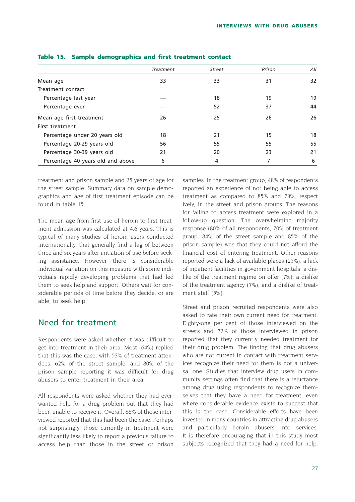|                                   | Treatment | <b>Street</b> | Prison | All |
|-----------------------------------|-----------|---------------|--------|-----|
|                                   |           |               |        |     |
| Mean age                          | 33        | 33            | 31     | 32  |
| Treatment contact                 |           |               |        |     |
| Percentage last year              |           | 18            | 19     | 19  |
| Percentage ever                   |           | 52            | 37     | 44  |
| Mean age first treatment          | 26        | 25            | 26     | 26  |
| First treatment                   |           |               |        |     |
| Percentage under 20 years old     | 18        | 21            | 15     | 18  |
| Percentage 20-29 years old        | 56        | 55            | 55     | 55  |
| Percentage 30-39 years old        | 21        | 20            | 23     | 21  |
| Percentage 40 years old and above | 6         | 4             | 7      | 6   |

#### **Table 15. Sample demographics and first treatment contact**

treatment and prison sample and 25 years of age for the street sample. Summary data on sample demographics and age of first treatment episode can be found in table 15.

The mean age from first use of heroin to first treatment admission was calculated at 4.6 years. This is typical of many studies of heroin users conducted internationally, that generally find a lag of between three and six years after initiation of use before seeking assistance. However, there is considerable individual variation on this measure with some individuals rapidly developing problems that had led them to seek help and support. Others wait for considerable periods of time before they decide, or are able, to seek help.

## Need for treatment

Respondents were asked whether it was difficult to get into treatment in their area. Most (64%) replied that this was the case, with 53% of treatment attendees, 62% of the street sample, and 80% of the prison sample reporting it was difficult for drug abusers to enter treatment in their area.

All respondents were asked whether they had everwanted help for a drug problem but that they had been unable to receive it. Overall, 66% of those interviewed reported that this had been the case. Perhaps not surprisingly, those currently in treatment were significantly less likely to report a previous failure to access help than those in the street or prison samples. In the treatment group, 48% of respondents reported an experience of not being able to access treatment as compared to 85% and 73%, respect ively, in the street and prison groups. The reasons for failing to access treatment were explored in a follow-up question. The overwhelming majority response (80% of all respondents, 70% of treatment group, 84% of the street sample and 85% of the prison sample) was that they could not afford the financial cost of entering treatment. Other reasons reported were a lack of available places (23%), a lack of inpatient facilities in government hospitals, a dislike of the treatment regime on offer (7%), a dislike of the treatment agency (7%), and a dislike of treatment staff (5%).

Street and prison recruited respondents were also asked to rate their own current need for treatment. Eighty-one per cent of those interviewed on the streets and 72% of those interviewed in prison reported that they currently needed treatment for their drug problem. The finding that drug abusers who are not current in contact with treatment services recognize their need for them is not a universal one. Studies that interview drug users in community settings often find that there is a reluctance among drug using respondents to recognize themselves that they have a need for treatment, even where considerable evidence exists to suggest that this is the case. Considerable efforts have been invested in many countries in attracting drug abusers and particularly heroin abusers into services. It is therefore encouraging that in this study most subjects recognized that they had a need for help.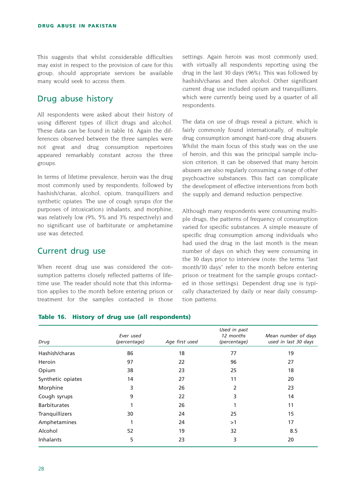This suggests that whilst considerable difficulties may exist in respect to the provision of care for this group, should appropriate services be available many would seek to access them.

# Drug abuse history

All respondents were asked about their history of using different types of illicit drugs and alcohol. These data can be found in table 16. Again the differences observed between the three samples were not great and drug consumption repertoires appeared remarkably constant across the three groups.

In terms of lifetime prevalence, heroin was the drug most commonly used by respondents, followed by hashish/charas, alcohol, opium, tranquillizers and synthetic opiates. The use of cough syrups (for the purposes of intoxication) inhalants, and morphine, was relatively low (9%, 5% and 3% respectively) and no significant use of barbiturate or amphetamine use was detected.

## Current drug use

When recent drug use was considered the consumption patterns closely reflected patterns of lifetime use. The reader should note that this information applies to the month before entering prison or treatment for the samples contacted in those

settings. Again heroin was most commonly used, with virtually all respondents reporting using the drug in the last 30 days (96%). This was followed by hashish/charas and then alcohol. Other significant current drug use included opium and tranquillizers, which were currently being used by a quarter of all respondents.

The data on use of drugs reveal a picture, which is fairly commonly found internationally, of multiple drug consumption amongst hard-core drug abusers. Whilst the main focus of this study was on the use of heroin, and this was the principal sample inclusion criterion, it can be observed that many heroin abusers are also regularly consuming a range of other psychoactive substances. This fact can complicate the development of effective interventions from both the supply and demand reduction perspective.

Although many respondents were consuming multiple drugs, the patterns of frequency of consumption varied for specific substances. A simple measure of specific drug consumption among individuals who had used the drug in the last month is the mean number of days on which they were consuming in the 30 days prior to interview (note: the terms "last month/30 days" refer to the month before entering prison or treatment for the sample groups contacted in those settings). Dependent drug use is typically characterized by daily or near daily consumption patterns.

|                     | Ever used    |                | Used in past<br>12 months | Mean number of days  |
|---------------------|--------------|----------------|---------------------------|----------------------|
| Drug                | (percentage) | Age first used | (percentage)              | used in last 30 days |
| Hashish/charas      | 86           | 18             | 77                        | 19                   |
| Heroin              | 97           | 22             | 96                        | 27                   |
| Opium               | 38           | 23             | 25                        | 18                   |
| Synthetic opiates   | 14           | 27             | 11                        | 20                   |
| Morphine            | 3            | 26             | 2                         | 23                   |
| Cough syrups        | 9            | 22             | 3                         | 14                   |
| <b>Barbiturates</b> |              | 26             |                           | 11                   |
| Tranquillizers      | 30           | 24             | 25                        | 15                   |
| Amphetamines        |              | 24             | >1                        | 17                   |
| Alcohol             | 52           | 19             | 32                        | 8.5                  |
| <b>Inhalants</b>    | 5            | 23             | 3                         | 20                   |

#### **Table 16. History of drug use (all respondents)**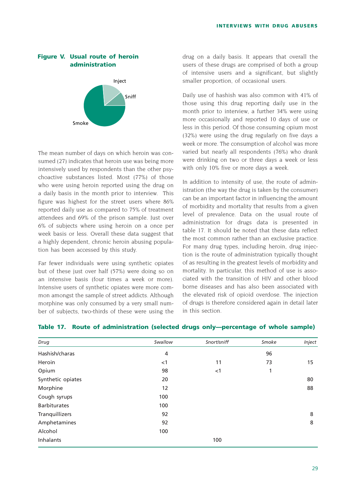### **Figure V. Usual route of heroin administration**



The mean number of days on which heroin was consumed (27) indicates that heroin use was being more intensively used by respondents than the other psychoactive substances listed. Most (77%) of those who were using heroin reported using the drug on a daily basis in the month prior to interview. This figure was highest for the street users where 86% reported daily use as compared to 75% of treatment attendees and 69% of the prison sample. Just over 6% of subjects where using heroin on a once per week basis or less. Overall these data suggest that a highly dependent, chronic heroin abusing population has been accessed by this study.

Far fewer individuals were using synthetic opiates but of these just over half (57%) were doing so on an intensive basis (four times a week or more). Intensive users of synthetic opiates were more common amongst the sample of street addicts. Although morphine was only consumed by a very small number of subjects, two-thirds of these were using the

drug on a daily basis. It appears that overall the users of these drugs are comprised of both a group of intensive users and a significant, but slightly smaller proportion, of occasional users.

Daily use of hashish was also common with 41% of those using this drug reporting daily use in the month prior to interview, a further 34% were using more occasionally and reported 10 days of use or less in this period. Of those consuming opium most (32%) were using the drug regularly on five days a week or more. The consumption of alcohol was more varied but nearly all respondents (76%) who drank were drinking on two or three days a week or less with only 10% five or more days a week.

In addition to intensity of use, the route of administration (the way the drug is taken by the consumer) can be an important factor in influencing the amount of morbidity and mortality that results from a given level of prevalence. Data on the usual route of administration for drugs data is presented in table 17. It should be noted that these data reflect the most common rather than an exclusive practice. For many drug types, including heroin, drug injection is the route of administration typically thought of as resulting in the greatest levels of morbidity and mortality. In particular, this method of use is associated with the transition of HIV and other blood borne diseases and has also been associated with the elevated risk of opioid overdose. The injection of drugs is therefore considered again in detail later in this section.

| Drug                | Swallow | Snort/sniff | Smoke | Inject |
|---------------------|---------|-------------|-------|--------|
| Hashish/charas      | 4       |             | 96    |        |
| Heroin              | $<$ 1   | 11          | 73    | 15     |
| Opium               | 98      | $<$ 1       | 1     |        |
| Synthetic opiates   | 20      |             |       | 80     |
| Morphine            | 12      |             |       | 88     |
| Cough syrups        | 100     |             |       |        |
| <b>Barbiturates</b> | 100     |             |       |        |
| Tranquillizers      | 92      |             |       | 8      |
| Amphetamines        | 92      |             |       | 8      |
| Alcohol             | 100     |             |       |        |
| Inhalants           |         | 100         |       |        |

#### **Table 17. Route of administration (selected drugs only—percentage of whole sample)**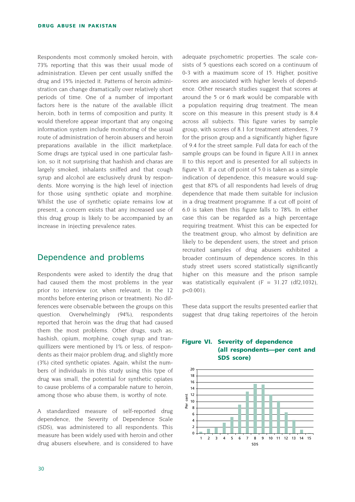Respondents most commonly smoked heroin, with 73% reporting that this was their usual mode of administration. Eleven per cent usually sniffed the drug and 15% injected it. Patterns of heroin administration can change dramatically over relatively short periods of time. One of a number of important factors here is the nature of the available illicit heroin, both in terms of composition and purity. It would therefore appear important that any ongoing information system include monitoring of the usual route of administration of heroin abusers and heroin preparations available in the illicit marketplace. Some drugs are typical used in one particular fashion, so it not surprising that hashish and charas are largely smoked, inhalants sniffed and that cough syrup and alcohol are exclusively drunk by respondents. More worrying is the high level of injection for those using synthetic opiate and morphine. Whilst the use of synthetic opiate remains low at present, a concern exists that any increased use of this drug group is likely to be accompanied by an increase in injecting prevalence rates.

### Dependence and problems

Respondents were asked to identify the drug that had caused them the most problems in the year prior to interview (or, when relevant, in the 12 months before entering prison or treatment). No differences were observable between the groups on this question. Overwhelmingly (94%), respondents reported that heroin was the drug that had caused them the most problems. Other drugs, such as; hashish, opium, morphine, cough syrup and tranquillizers were mentioned by 1% or less, of respondents as their major problem drug, and slightly more (3%) cited synthetic opiates. Again, whilst the numbers of individuals in this study using this type of drug was small, the potential for synthetic opiates to cause problems of a comparable nature to heroin, among those who abuse them, is worthy of note.

A standardized measure of self-reported drug dependence, the Severity of Dependence Scale (SDS), was administered to all respondents. This measure has been widely used with heroin and other drug abusers elsewhere, and is considered to have adequate psychometric properties. The scale consists of 5 questions each scored on a continuum of 0-3 with a maximum score of 15. Higher, positive scores are associated with higher levels of dependence. Other research studies suggest that scores at around the 5 or 6 mark would be comparable with a population requiring drug treatment. The mean score on this measure in this present study is 8.4 across all subjects. This figure varies by sample group, with scores of 8.1 for treatment attendees, 7.9 for the prison group and a significantly higher figure of 9.4 for the street sample. Full data for each of the sample groups can be found in figure A.II.I in annex II to this report and is presented for all subjects in figure VI. If a cut off point of 5.0 is taken as a simple indication of dependence, this measure would suggest that 87% of all respondents had levels of drug dependence that made them suitable for inclusion in a drug treatment programme. If a cut off point of 6.0 is taken then this figure falls to 78%. In either case this can be regarded as a high percentage requiring treatment. Whist this can be expected for the treatment group, who almost by definition are likely to be dependent users, the street and prison recruited samples of drug abusers exhibited a broader continuum of dependence scores. In this study street users scored statistically significantly higher on this measure and the prison sample was statistically equivalent  $(F = 31.27$  (df2,1032), p<0.001).

These data support the results presented earlier that suggest that drug taking repertoires of the heroin

#### **Figure VI. Severity of dependence (all respondents—per cent and SDS score)**

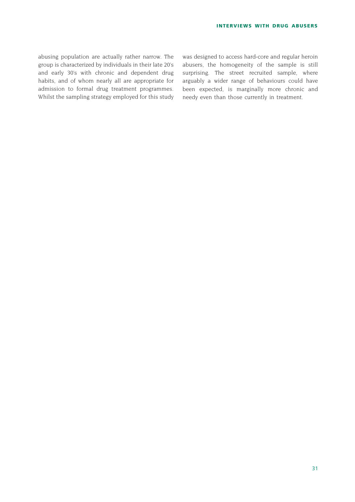abusing population are actually rather narrow. The group is characterized by individuals in their late 20's and early 30's with chronic and dependent drug habits, and of whom nearly all are appropriate for admission to formal drug treatment programmes. Whilst the sampling strategy employed for this study was designed to access hard-core and regular heroin abusers, the homogeneity of the sample is still surprising. The street recruited sample, where arguably a wider range of behaviours could have been expected, is marginally more chronic and needy even than those currently in treatment.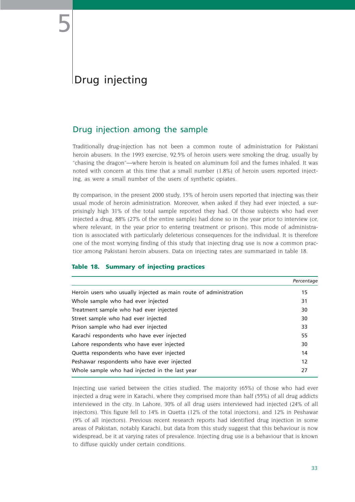# Drug injecting

# Drug injection among the sample

Traditionally drug-injection has not been a common route of administration for Pakistani heroin abusers. In the 1993 exercise, 92.5% of heroin users were smoking the drug, usually by "chasing the dragon"*—*where heroin is heated on aluminum foil and the fumes inhaled. It was noted with concern at this time that a small number (1.8%) of heroin users reported injecting, as were a small number of the users of synthetic opiates.

By comparison, in the present 2000 study, 15% of heroin users reported that injecting was their usual mode of heroin administration. Moreover, when asked if they had ever injected, a surprisingly high 31% of the total sample reported they had. Of those subjects who had ever injected a drug, 88% (27% of the entire sample) had done so in the year prior to interview (or, where relevant, in the year prior to entering treatment or prison). This mode of administration is associated with particularly deleterious consequences for the individual. It is therefore one of the most worrying finding of this study that injecting drug use is now a common practice among Pakistani heroin abusers. Data on injecting rates are summarized in table 18.

#### **Table 18. Summary of injecting practices**

|                                                                   | Percentage        |
|-------------------------------------------------------------------|-------------------|
| Heroin users who usually injected as main route of administration | 15                |
| Whole sample who had ever injected                                | 31                |
| Treatment sample who had ever injected                            | 30                |
| Street sample who had ever injected                               | 30                |
| Prison sample who had ever injected                               | 33                |
| Karachi respondents who have ever injected                        | 55                |
| Lahore respondents who have ever injected                         | 30                |
| Quetta respondents who have ever injected                         | 14                |
| Peshawar respondents who have ever injected                       | $12 \overline{ }$ |
| Whole sample who had injected in the last year                    | 27                |

Injecting use varied between the cities studied. The majority (65%) of those who had ever injected a drug were in Karachi, where they comprised more than half (55%) of all drug addicts interviewed in the city. In Lahore, 30% of all drug users interviewed had injected (24% of all injectors). This figure fell to 14% in Quetta (12% of the total injectors), and 12% in Peshawar (9% of all injectors). Previous recent research reports had identified drug injection in some areas of Pakistan, notably Karachi, but data from this study suggest that this behaviour is now widespread, be it at varying rates of prevalence. Injecting drug use is a behaviour that is known to diffuse quickly under certain conditions.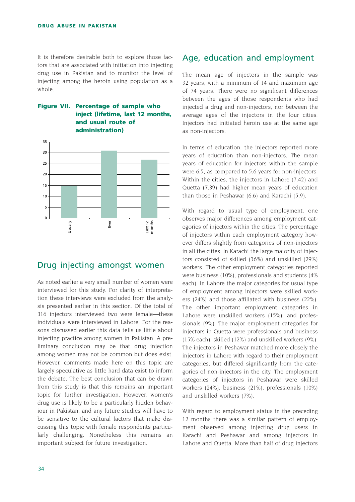It is therefore desirable both to explore those factors that are associated with initiation into injecting drug use in Pakistan and to monitor the level of injecting among the heroin using population as a whole.

#### **Figure VII. Percentage of sample who inject (lifetime, last 12 months, and usual route of administration)**



### Drug injecting amongst women

As noted earlier a very small number of women were interviewed for this study. For clarity of interpretation these interviews were excluded from the analysis presented earlier in this section. Of the total of 316 injectors interviewed two were female—these individuals were interviewed in Lahore. For the reasons discussed earlier this data tells us little about injecting practice among women in Pakistan. A preliminary conclusion may be that drug injection among women may not be common but does exist. However, comments made here on this topic are largely speculative as little hard data exist to inform the debate. The best conclusion that can be drawn from this study is that this remains an important topic for further investigation. However, women's drug use is likely to be a particularly hidden behaviour in Pakistan, and any future studies will have to be sensitive to the cultural factors that make discussing this topic with female respondents particularly challenging. Nonetheless this remains an important subject for future investigation.

### Age, education and employment

The mean age of injectors in the sample was 32 years, with a minimum of 14 and maximum age of 74 years. There were no significant differences between the ages of those respondents who had injected a drug and non-injectors, nor between the average ages of the injectors in the four cities. Injectors had initiated heroin use at the same age as non-injectors.

In terms of education, the injectors reported more years of education than non-injectors. The mean years of education for injectors within the sample were 6.5, as compared to 5.6 years for non-injectors. Within the cities, the injectors in Lahore (7.42) and Quetta (7.39) had higher mean years of education than those in Peshawar (6.6) and Karachi (5.9).

With regard to usual type of employment, one observes major differences among employment categories of injectors within the cities. The percentage of injectors within each employment category however differs slightly from categories of non-injectors in all the cities. In Karachi the large majority of injectors consisted of skilled (36%) and unskilled (29%) workers. The other employment categories reported were business (10%), professionals and students (4% each). In Lahore the major categories for usual type of employment among injectors were skilled workers (24%) and those affiliated with business (22%). The other important employment categories in Lahore were unskilled workers (15%), and professionals (9%). The major employment categories for injectors in Quetta were professionals and business (15% each), skilled (12%) and unskilled workers (9%). The injectors in Peshawar matched more closely the injectors in Lahore with regard to their employment categories, but differed significantly from the categories of non-injectors in the city. The employment categories of injectors in Peshawar were skilled workers (24%), business (21%), professionals (10%) and unskilled workers (7%).

With regard to employment status in the preceding 12 months there was a similar pattern of employment observed among injecting drug users in Karachi and Peshawar and among injectors in Lahore and Quetta. More than half of drug injectors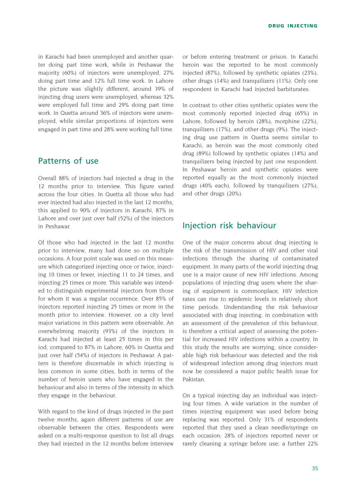in Karachi had been unemployed and another quarter doing part time work, while in Peshawar the majority (60%) of injectors were unemployed, 27% doing part time and 12% full time work. In Lahore the picture was slightly different, around 39% of injecting drug users were unemployed, whereas 32% were employed full time and 29% doing part time work. In Quetta around 36% of injectors were unemployed, while similar proportions of injectors were engaged in part time and 28% were working full time.

### Patterns of use

Overall 88% of injectors had injected a drug in the 12 months prior to interview. This figure varied across the four cities. In Quetta all those who had ever injected had also injected in the last 12 months, this applied to 90% of injectors in Karachi, 87% in Lahore and over just over half (52%) of the injectors in Peshawar.

Of those who had injected in the last 12 months prior to interview, many had done so on multiple occasions. A four point scale was used on this measure which categorized injecting once or twice, injecting 10 times or fewer, injecting 11 to 24 times, and injecting 25 times or more. This variable was intended to distinguish experimental injectors from those for whom it was a regular occurrence. Over 85% of injectors reported injecting 25 times or more in the month prior to interview. However, on a city level major variations in this pattern were observable. An overwhelming majority (93%) of the injectors in Karachi had injected at least 25 times in this per iod, compared to 87% in Lahore, 60% in Quetta and just over half (54%) of injectors in Peshawar. A pattern is therefore discernable in which injecting is less common in some cities, both in terms of the number of heroin users who have engaged in the behaviour and also in terms of the intensity in which they engage in the behaviour.

With regard to the kind of drugs injected in the past twelve months, again different patterns of use are observable between the cities. Respondents were asked on a multi-response question to list all drugs they had injected in the 12 months before interview or before entering treatment or prison. In Karachi heroin was the reported to be most commonly injected (87%), followed by synthetic opiates (23%), other drugs (14%) and tranquilizers (11%). Only one respondent in Karachi had injected barbiturates.

In contrast to other cities synthetic opiates were the most commonly reported injected drug (65%) in Lahore, followed by heroin (28%), morphine (22%), tranquilizers (17%), and other drugs (9%). The injecting drug use pattern in Quetta seems similar to Karachi, as heroin was the most commonly cited drug (89%) followed by synthetic opiates (14%) and tranquilizers being injected by just one respondent. In Peshawar heroin and synthetic opiates were reported equally as the most commonly injected drugs (40% each), followed by tranquilizers (27%), and other drugs (20%).

### Injection risk behaviour

One of the major concerns about drug injecting is the risk of the transmission of HIV and other viral infections through the sharing of contaminated equipment. In many parts of the world injecting drug use is a major cause of new HIV infections. Among populations of injecting drug users where the sharing of equipment is commonplace, HIV infection rates can rise to epidemic levels in relatively short time periods. Understanding the risk behaviour associated with drug injecting, in combination with an assessment of the prevalence of this behaviour, is therefore a critical aspect of assessing the potential for increased HIV infections within a country. In this study the results are worrying, since considerable high risk behaviour was detected and the risk of widespread infection among drug injectors must now be considered a major public health issue for Pakistan.

On a typical injecting day an individual was injecting four times. A wide variation in the number of times injecting equipment was used before being replacing was reported. Only 31% of respondents reported that they used a clean needle/syringe on each occasion; 28% of injectors reported never or rarely cleaning a syringe before use; a further 22%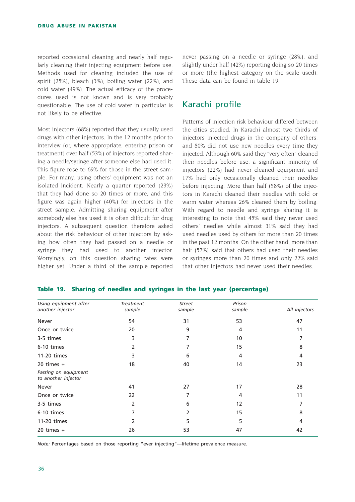reported occasional cleaning and nearly half regularly cleaning their injecting equipment before use. Methods used for cleaning included the use of spirit (25%), bleach (3%), boiling water (22%), and cold water (49%). The actual efficacy of the procedures used is not known and is very probably questionable. The use of cold water in particular is not likely to be effective.

Most injectors (68%) reported that they usually used drugs with other injectors. In the 12 months prior to interview (or, where appropriate, entering prison or treatment) over half (53%) of injectors reported sharing a needle/syringe after someone else had used it. This figure rose to 69% for those in the street sample. For many, using others' equipment was not an isolated incident. Nearly a quarter reported (23%) that they had done so 20 times or more, and this figure was again higher (40%) for injectors in the street sample. Admitting sharing equipment after somebody else has used it is often difficult for drug injectors. A subsequent question therefore asked about the risk behaviour of other injectors by asking how often they had passed on a needle or syringe they had used to another injector. Worryingly, on this question sharing rates were higher yet. Under a third of the sample reported never passing on a needle or syringe (28%), and slightly under half (42%) reporting doing so 20 times or more (the highest category on the scale used). These data can be found in table 19.

## Karachi profile

Patterns of injection risk behaviour differed between the cities studied. In Karachi almost two thirds of injectors injected drugs in the company of others, and 80% did not use new needles every time they injected. Although 60% said they "very often" cleaned their needles before use, a significant minority of injectors (22%) had never cleaned equipment and 17% had only occasionally cleaned their needles before injecting. More than half (58%) of the injectors in Karachi cleaned their needles with cold or warm water whereas 26% cleaned them by boiling. With regard to needle and syringe sharing it is interesting to note that 45% said they never used others' needles while almost 31% said they had used needles used by others for more than 20 times in the past 12 months. On the other hand, more than half (57%) said that others had used their needles or syringes more than 20 times and only 22% said that other injectors had never used their needles.

| Using equipment after                       | Treatment | Street | Prison |               |
|---------------------------------------------|-----------|--------|--------|---------------|
| another injector                            | sample    | sample | sample | All injectors |
| Never                                       | 54        | 31     | 53     | 47            |
| Once or twice                               | 20        | 9      | 4      | 11            |
| 3-5 times                                   | 3         | 7      | 10     | 7             |
| 6-10 times                                  | 2         |        | 15     | 8             |
| 11-20 times                                 | 3         | 6      | 4      | 4             |
| 20 times $+$                                | 18        | 40     | 14     | 23            |
| Passing on equipment<br>to another injector |           |        |        |               |
| Never                                       | 41        | 27     | 17     | 28            |
| Once or twice                               | 22        | 7      | 4      | 11            |
| 3-5 times                                   | 2         | 6      | 12     | 7             |
| 6-10 times                                  |           | 2      | 15     | 8             |
| 11-20 times                                 | 2         | 5      | 5      | 4             |
| $20 \times +$                               | 26        | 53     | 47     | 42            |

#### **Table 19. Sharing of needles and syringes in the last year (percentage)**

*Note:* Percentages based on those reporting "ever injecting"—lifetime prevalence measure.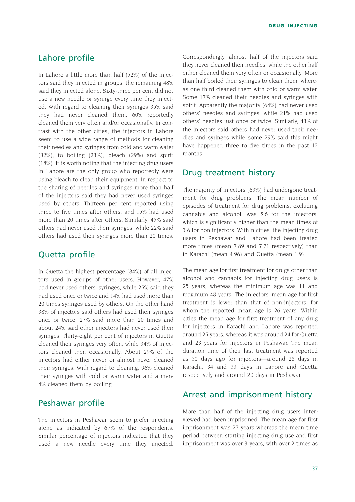## Lahore profile

In Lahore a little more than half (52%) of the injectors said they injected in groups, the remaining 48% said they injected alone. Sixty-three per cent did not use a new needle or syringe every time they injected. With regard to cleaning their syringes 35% said they had never cleaned them, 60% reportedly cleaned them very often and/or occasionally. In contrast with the other cities, the injectors in Lahore seem to use a wide range of methods for cleaning their needles and syringes from cold and warm water (32%), to boiling (23%), bleach (29%) and spirit (18%). It is worth noting that the injecting drug users in Lahore are the only group who reportedly were using bleach to clean their equipment. In respect to the sharing of needles and syringes more than half of the injectors said they had never used syringes used by others. Thirteen per cent reported using three to five times after others, and 15% had used more than 20 times after others. Similarly, 45% said others had never used their syringes, while 22% said others had used their syringes more than 20 times.

## Quetta profile

In Quetta the highest percentage (84%) of all injectors used in groups of other users. However, 47% had never used others' syringes, while 25% said they had used once or twice and 14% had used more than 20 times syringes used by others. On the other hand 38% of injectors said others had used their syringes once or twice, 27% said more than 20 times and about 24% said other injectors had never used their syringes. Thirty-eight per cent of injectors in Quetta cleaned their syringes very often, while 34% of injectors cleaned then occasionally. About 29% of the injectors had either never or almost never cleaned their syringes. With regard to cleaning, 96% cleaned their syringes with cold or warm water and a mere 4% cleaned them by boiling.

### Peshawar profile

The injectors in Peshawar seem to prefer injecting alone as indicated by 67% of the respondents. Similar percentage of injectors indicated that they used a new needle every time they injected. Correspondingly, almost half of the injectors said they never cleaned their needles, while the other half either cleaned them very often or occasionally. More than half boiled their syringes to clean them, whereas one third cleaned them with cold or warm water. Some 17% cleaned their needles and syringes with spirit. Apparently the majority (64%) had never used others' needles and syringes, while 21% had used others' needles just once or twice. Similarly, 43% of the injectors said others had never used their needles and syringes while some 29% said this might have happened three to five times in the past 12 months.

### Drug treatment history

The majority of injectors (63%) had undergone treatment for drug problems. The mean number of episodes of treatment for drug problems, excluding cannabis and alcohol, was 5.6 for the injectors, which is significantly higher than the mean times of 3.6 for non injectors. Within cities, the injecting drug users in Peshawar and Lahore had been treated more times (mean 7.89 and 7.71 respectively) than in Karachi (mean 4.96) and Quetta (mean 1.9).

The mean age for first treatment for drugs other than alcohol and cannabis for injecting drug users is 25 years, whereas the minimum age was 11 and maximum 48 years. The injectors' mean age for first treatment is lower than that of non-injectors, for whom the reported mean age is 26 years. Within cities the mean age for first treatment of any drug for injectors in Karachi and Lahore was reported around 25 years, whereas it was around 24 for Quetta and 23 years for injectors in Peshawar. The mean duration time of their last treatment was reported as 30 days ago for injectors—around 28 days in Karachi, 34 and 33 days in Lahore and Quetta respectively and around 20 days in Peshawar.

### Arrest and imprisonment history

More than half of the injecting drug users interviewed had been imprisoned. The mean age for first imprisonment was 27 years whereas the mean time period between starting injecting drug use and first imprisonment was over 3 years, with over 2 times as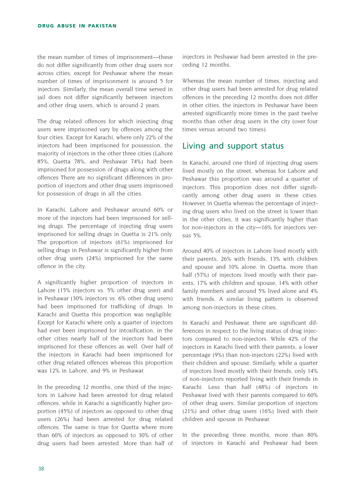the mean number of times of imprisonment—these do not differ significantly from other drug users nor across cities, except for Peshawar where the mean number of times of imprisonment is around 5 for injectors. Similarly, the mean overall time served in jail does not differ significantly between injectors and other drug users, which is around 2 years.

The drug related offences for which injecting drug users were imprisoned vary by offences among the four cities. Except for Karachi, where only 22% of the injectors had been imprisoned for possession, the majority of injectors in the other three cities (Lahore 85%, Quetta 78%, and Peshawar 74%) had been imprisoned for possession of drugs along with other offences There are no significant differences in proportion of injectors and other drug users imprisoned for possession of drugs in all the cities.

In Karachi, Lahore and Peshawar around 60% or more of the injectors had been imprisoned for selling drugs. The percentage of injecting drug users imprisoned for selling drugs in Quetta is 21% only. The proportion of injectors (61%) imprisoned for selling drugs in Peshawar is significantly higher from other drug users (24%) imprisoned for the same offence in the city.

A significantly higher proportion of injectors in Lahore (15% injectors vs. 5% other drug user) and in Peshawar (30% injectors vs. 6% other drug users) had been imprisoned for trafficking of drugs. In Karachi and Quetta this proportion was negligible. Except for Karachi where only a quarter of injectors had ever been imprisoned for intoxification, in the other cities nearly half of the injectors had been imprisoned for these offences as well. Over half of the injectors in Karachi had been imprisoned for other drug related offences whereas this proportion was 12% in Lahore, and 9% in Peshawar.

In the preceding 12 months, one third of the injectors in Lahore had been arrested for drug related offences, while in Karachi a significantly higher proportion (45%) of injectors as opposed to other drug users (26%) had been arrested for drug related offences. The same is true for Quetta where more than 60% of injectors as opposed to 30% of other drug users had been arrested. More than half of injectors in Peshawar had been arrested in the preceding 12 months.

Whereas the mean number of times, injecting and other drug users had been arrested for drug related offences in the preceding 12 months does not differ in other cities, the injectors in Peshawar have been arrested significantly more times in the past twelve months than other drug users in the city (over four times versus around two times).

# Living and support status

In Karachi, around one third of injecting drug users lived mostly on the street, whereas for Lahore and Peshawar this proportion was around a quarter of injectors. This proportion does not differ significantly among other drug users in these cities. However, in Quetta whereas the percentage of injecting drug users who lived on the street is lower than in the other cities, it was significantly higher than for non-injectors in the city—16% for injectors versus 5%.

Around 40% of injectors in Lahore lived mostly with their parents, 26% with friends, 13% with children and spouse and 10% alone. In Quetta, more than half (57%) of injectors lived mostly with their parents, 17% with children and spouse, 14% with other family members and around 5% lived alone and 4% with friends. A similar living pattern is observed among non-injectors in these cities.

In Karachi and Peshawar, there are significant differences in respect to the living status of drug injectors compared to non-injectors. While 42% of the injectors in Karachi lived with their parents, a lower percentage (9%) than non-injectors (22%) lived with their children and spouse. Similarly, while a quarter of injectors lived mostly with their friends, only 14% of non-injectors reported living with their friends in Karachi. Less than half (48%) of injectors in Peshawar lived with their parents compared to 60% of other drug users. Similar proportion of injectors (21%) and other drug users (16%) lived with their children and spouse in Peshawar.

In the preceding three months, more than 80% of injectors in Karachi and Peshawar had been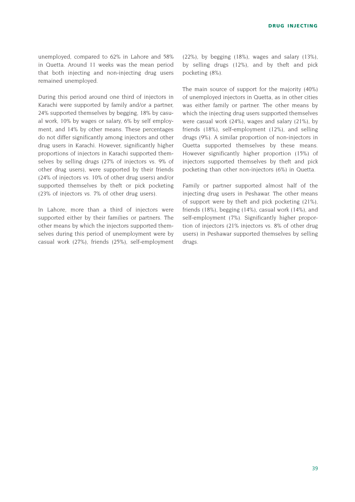unemployed, compared to 62% in Lahore and 58% in Quetta. Around 11 weeks was the mean period that both injecting and non-injecting drug users remained unemployed.

During this period around one third of injectors in Karachi were supported by family and/or a partner, 24% supported themselves by begging, 18% by casual work, 10% by wages or salary, 6% by self employment, and 14% by other means. These percentages do not differ significantly among injectors and other drug users in Karachi. However, significantly higher proportions of injectors in Karachi supported themselves by selling drugs (27% of injectors vs. 9% of other drug users), were supported by their friends (24% of injectors vs. 10% of other drug users) and/or supported themselves by theft or pick pocketing (23% of injectors vs. 7% of other drug users).

In Lahore, more than a third of injectors were supported either by their families or partners. The other means by which the injectors supported themselves during this period of unemployment were by casual work (27%), friends (25%), self-employment

(22%), by begging (18%), wages and salary (13%), by selling drugs (12%), and by theft and pick pocketing (8%).

The main source of support for the majority (40%) of unemployed injectors in Quetta, as in other cities was either family or partner. The other means by which the injecting drug users supported themselves were casual work (24%), wages and salary (21%), by friends (18%), self-employment (12%), and selling drugs (9%). A similar proportion of non-injectors in Quetta supported themselves by these means. However significantly higher proportion (15%) of injectors supported themselves by theft and pick pocketing than other non-injectors (6%) in Quetta.

Family or partner supported almost half of the injecting drug users in Peshawar. The other means of support were by theft and pick pocketing (21%), friends (18%), begging (14%), casual work (14%), and self-employment (7%). Significantly higher proportion of injectors (21% injectors vs. 8% of other drug users) in Peshawar supported themselves by selling drugs.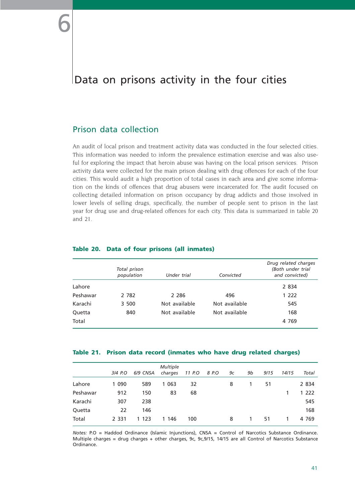# Data on prisons activity in the four cities

## Prison data collection

An audit of local prison and treatment activity data was conducted in the four selected cities. This information was needed to inform the prevalence estimation exercise and was also useful for exploring the impact that heroin abuse was having on the local prison services. Prison activity data were collected for the main prison dealing with drug offences for each of the four cities. This would audit a high proportion of total cases in each area and give some information on the kinds of offences that drug abusers were incarcerated for. The audit focused on collecting detailed information on prison occupancy by drug addicts and those involved in lower levels of selling drugs, specifically, the number of people sent to prison in the last year for drug use and drug-related offences for each city. This data is summarized in table 20 and 21.

|          | Total prison<br>population | Under trial   | Convicted     | Drug related charges<br>(Both under trial<br>and convicted) |
|----------|----------------------------|---------------|---------------|-------------------------------------------------------------|
| Lahore   |                            |               |               | 2 8 3 4                                                     |
| Peshawar | 2 782                      | 2 2 8 6       | 496           | 1 2 2 2                                                     |
| Karachi  | 3 500                      | Not available | Not available | 545                                                         |
| Quetta   | 840                        | Not available | Not available | 168                                                         |
| Total    |                            |               |               | 4 7 6 9                                                     |

#### **Table 20. Data of four prisons (all inmates)**

#### **Table 21. Prison data record (inmates who have drug related charges)**

|          |         |          | <b>Multiple</b> |        |       |    |    |      |       |         |
|----------|---------|----------|-----------------|--------|-------|----|----|------|-------|---------|
|          | 3/4 P.O | 6/9 CNSA | charges         | 11 P.O | 8 P.O | 9с | 9b | 9/15 | 14/15 | Total   |
| Lahore   | 1 0 9 0 | 589      | 1 0 6 3         | 32     |       | 8  | 1  | 51   |       | 2 8 3 4 |
| Peshawar | 912     | 150      | 83              | 68     |       |    |    |      |       | 1 222   |
| Karachi  | 307     | 238      |                 |        |       |    |    |      |       | 545     |
| Quetta   | 22      | 146      |                 |        |       |    |    |      |       | 168     |
| Total    | 2 3 3 1 | 1 1 2 3  | 1 146           | 100    |       | 8  |    | 51   |       | 4 7 6 9 |

*Notes:* P.O = Haddod Ordinance (Islamic Injunctions), CNSA = Control of Narcotics Substance Ordinance. Multiple charges = drug charges + other charges, 9c, 9c,9/15, 14/15 are all Control of Narcotics Substance Ordinance.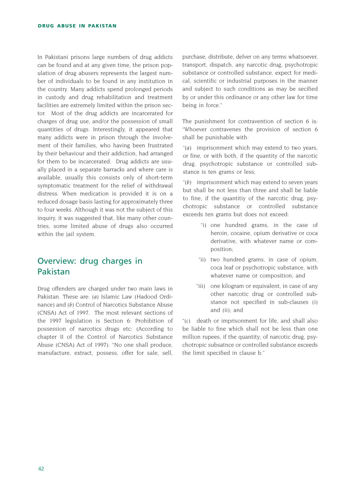In Pakistani prisons large numbers of drug addicts can be found and at any given time, the prison population of drug abusers represents the largest number of individuals to be found in any institution in the country. Many addicts spend prolonged periods in custody and drug rehabilitation and treatment facilities are extremely limited within the prison sector. Most of the drug addicts are incarcerated for charges of drug use, and/or the possession of small quantities of drugs. Interestingly, it appeared that many addicts were in prison through the involvement of their families, who having been frustrated by their behaviour and their addiction, had arranged for them to be incarcerated. Drug addicts are usually placed in a separate barracks and where care is available, usually this consists only of short-term symptomatic treatment for the relief of withdrawal distress. When medication is provided it is on a reduced dosage basis lasting for approximately three to four weeks. Although it was not the subject of this inquiry, it was suggested that, like many other countries, some limited abuse of drugs also occurred within the jail system.

# Overview: drug charges in Pakistan

Drug offenders are charged under two main laws in Pakistan. These are: *(a)* Islamic Law (Hadood Ordinance) and *(b)* Control of Narcotics Substance Abuse (CNSA) Act of 1997. The most relevant sections of the 1997 legislation is Section 6: Prohibition of possession of narcotics drugs etc: (According to chapter II of the Control of Narcotics Substance Abuse (CNSA) Act of 1997). "No one shall produce, manufacture, extract, possess, offer for sale, sell, purchase, distribute, delver on any terms whatsoever, transport, dispatch, any narcotic drug, psychotropic substance or controlled substance, expect for medical, scientific or industrial purposes in the manner and subject to such conditions as may be secified by or under this ordinance or any other law for time being in force."

The punishment for contravention of section 6 is: "Whoever contravenes the provision of section 6 shall be punishable with:

*"(a)* imprisonment which may extend to two years, or fine, or with both, if the quantity of the narcotic drug, psychotropic substance or controlled substance is ten grams or less;

*"(b)* imprisonment which may extend to seven years but shall be not less than three and shall be liable to fine, if the quantitiy of the narcotic drug, psychotropic substance or controlled substance exceeds ten grams but does not exceed:

- "i) one hundred grams, in the case of heroin, cocaine, opium derivative or coca derivative, with whatever name or composition;
- "ii) two hundred grams, in case of opium, coca leaf or psychotropic substance, with whatever name or composition; and
- "iii) one kilogram or equivalent, in case of any other narcotic drug or controlled substance not specified in sub-clauses (i) and (ii); and

*"(c)* death or imprisonment for life, and shall also be liable to fine which shall not be less than one million rupees, if the quantity; of narcotic drug, psychotropic subsatnce or controlled substance exceeds the limit specified in clause b."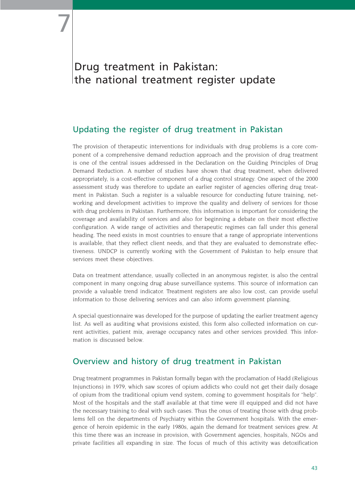# Drug treatment in Pakistan: the national treatment register update

7

# Updating the register of drug treatment in Pakistan

The provision of therapeutic interventions for individuals with drug problems is a core component of a comprehensive demand reduction approach and the provision of drug treatment is one of the central issues addressed in the Declaration on the Guiding Principles of Drug Demand Reduction. A number of studies have shown that drug treatment, when delivered appropriately, is a cost-effective component of a drug control strategy. One aspect of the 2000 assessment study was therefore to update an earlier register of agencies offering drug treatment in Pakistan. Such a register is a valuable resource for conducting future training, networking and development activities to improve the quality and delivery of services for those with drug problems in Pakistan. Furthermore, this information is important for considering the coverage and availability of services and also for beginning a debate on their most effective configuration. A wide range of activities and therapeutic regimes can fall under this general heading. The need exists in most countries to ensure that a range of appropriate interventions is available, that they reflect client needs, and that they are evaluated to demonstrate effectiveness. UNDCP is currently working with the Government of Pakistan to help ensure that services meet these objectives.

Data on treatment attendance, usually collected in an anonymous register, is also the central component in many ongoing drug abuse surveillance systems. This source of information can provide a valuable trend indicator. Treatment registers are also low cost, can provide useful information to those delivering services and can also inform government planning.

A special questionnaire was developed for the purpose of updating the earlier treatment agency list. As well as auditing what provisions existed, this form also collected information on current activities, patient mix, average occupancy rates and other services provided. This information is discussed below.

# Overview and history of drug treatment in Pakistan

Drug treatment programmes in Pakistan formally began with the proclamation of Hadd (Religious Injunctions) in 1979, which saw scores of opium addicts who could not get their daily dosage of opium from the traditional opium vend system, coming to government hospitals for "help". Most of the hospitals and the staff available at that time were ill equipped and did not have the necessary training to deal with such cases. Thus the onus of treating those with drug problems fell on the departments of Psychiatry within the Government hospitals. With the emergence of heroin epidemic in the early 1980s, again the demand for treatment services grew. At this time there was an increase in provision, with Government agencies, hospitals, NGOs and private facilities all expanding in size. The focus of much of this activity was detoxification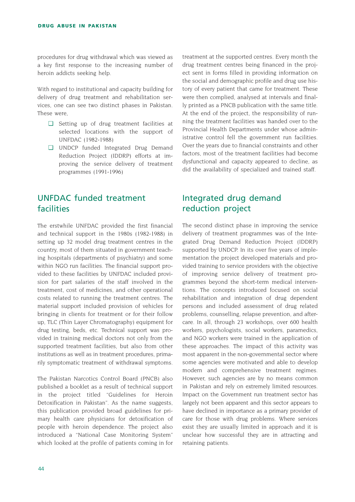procedures for drug withdrawal which was viewed as a key first response to the increasing number of heroin addicts seeking help.

With regard to institutional and capacity building for delivery of drug treatment and rehabilitation services, one can see two distinct phases in Pakistan. These were,

- ❏ Setting up of drug treatment facilities at selected locations with the support of UNFDAC (1982-1988)
- ❏ UNDCP funded Integrated Drug Demand Reduction Project (IDDRP) efforts at improving the service delivery of treatment programmes (1991-1996)

# UNFDAC funded treatment facilities

The erstwhile UNFDAC provided the first financial and technical support in the 1980s (1982-1988) in setting up 32 model drug treatment centres in the country, most of them situated in government teaching hospitals (departments of psychiatry) and some within NGO run facilities. The financial support provided to these facilities by UNFDAC included provision for part salaries of the staff involved in the treatment, cost of medicines, and other operational costs related to running the treatment centres. The material support included provision of vehicles for bringing in clients for treatment or for their follow up, TLC (Thin Layer Chromatography) equipment for drug testing, beds, etc. Technical support was provided in training medical doctors not only from the supported treatment facilities, but also from other institutions as well as in treatment procedures, primarily symptomatic treatment of withdrawal symptoms.

The Pakistan Narcotics Control Board (PNCB) also published a booklet as a result of technical support in the project titled "Guidelines for Heroin Detoxification in Pakistan". As the name suggests, this publication provided broad guidelines for primary health care physicians for detoxification of people with heroin dependence. The project also introduced a "National Case Monitoring System" which looked at the profile of patients coming in for treatment at the supported centres. Every month the drug treatment centres being financed in the project sent in forms filled in providing information on the social and demographic profile and drug use history of every patient that came for treatment. These were then complied, analysed at intervals and finally printed as a PNCB publication with the same title. At the end of the project, the responsibility of running the treatment facilities was handed over to the Provincial Health Departments under whose administrative control fell the government run facilities. Over the years due to financial constraints and other factors, most of the treatment facilities had become dysfunctional and capacity appeared to decline, as did the availability of specialized and trained staff.

# Integrated drug demand reduction project

The second distinct phase in improving the service delivery of treatment programmes was of the Integrated Drug Demand Reduction Project (IDDRP) supported by UNDCP. In its over five years of implementation the project developed materials and provided training to service providers with the objective of improving service delivery of treatment programmes beyond the short-term medical interventions. The concepts introduced focused on social rehabilitation and integration of drug dependent persons and included assessment of drug related problems, counselling, relapse prevention, and aftercare. In all, through 23 workshops, over 600 health workers, psychologists, social workers, paramedics, and NGO workers were trained in the application of these approaches. The impact of this activity was most apparent in the non-governmental sector where some agencies were motivated and able to develop modern and comprehensive treatment regimes. However, such agencies are by no means common in Pakistan and rely on extremely limited resources. Impact on the Government run treatment sector has largely not been apparent and this sector appears to have declined in importance as a primary provider of care for those with drug problems. Where services exist they are usually limited in approach and it is unclear how successful they are in attracting and retaining patients.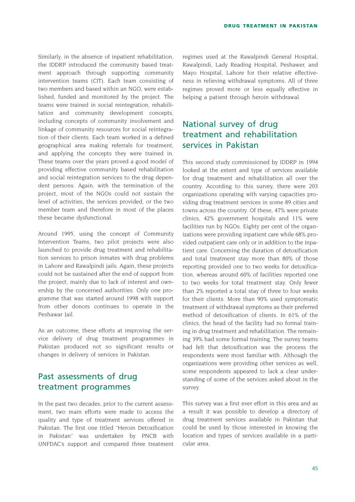Similarly, in the absence of inpatient rehabilitation, the IDDRP introduced the community based treatment approach through supporting community intervention teams (CIT). Each team consisting of two members and based within an NGO, were established, funded and monitored by the project. The teams were trained in social reintegration, rehabilitation and community development concepts, including concepts of community involvement and linkage of community resources for social reintegration of their clients. Each team worked in a defined geographical area making referrals for treatment, and applying the concepts they were trained in. These teams over the years proved a good model of providing effective community based rehabilitation and social reintegration services to the drug dependent persons. Again, with the termination of the project, most of the NGOs could not sustain the level of activities, the services provided, or the two member team and therefore in most of the places these became dysfunctional.

Around 1995, using the concept of Community Intervention Teams, two pilot projects were also launched to provide drug treatment and rehabilitation services to prison inmates with drug problems in Lahore and Rawalpindi jails. Again, these projects could not be sustained after the end of support from the project, mainly due to lack of interest and ownership by the concerned authorities. Only one programme that was started around 1998 with support from other donors continues to operate in the Peshawar Jail.

As an outcome, these efforts at improving the service delivery of drug treatment programmes in Pakistan produced not so significant results or changes in delivery of services in Pakistan.

# Past assessments of drug treatment programmes

In the past two decades, prior to the current assessment, two main efforts were made to access the quality and type of treatment services offered in Pakistan. The first one titled "Heroin Detoxification in Pakistan" was undertaken by PNCB with UNFDAC's support and compared three treatment regimes used at the Rawalpindi General Hospital, Rawalpindi, Lady Reading Hospital, Peshawer, and Mayo Hospital, Lahore for their relative effectiveness in relieving withdrawal symptoms. All of three regimes proved more or less equally effective in helping a patient through heroin withdrawal.

# National survey of drug treatment and rehabilitation services in Pakistan

This second study commissioned by IDDRP in 1994 looked at the extent and type of services available for drug treatment and rehabilitation all over the country. According to this survey, there were 203 organizations operating with varying capacities providing drug treatment services in some 89 cities and towns across the country. Of these, 47% were private clinics, 42% government hospitals and 11% were facilities run by NGOs. Eighty per cent of the organizations were providing inpatient care while 68% provided outpatient care only or in addition to the inpatient care. Concerning the duration of detoxification and total treatment stay more than 80% of those reporting provided one to two weeks for detoxification, whereas around 60% of facilities reported one to two weeks for total treatment stay. Only fewer than 2% reported a total stay of three to four weeks for their clients. More than 90% used symptomatic treatment of withdrawal symptoms as their preferred method of detoxification of clients. In 61% of the clinics, the head of the facility had no formal training in drug treatment and rehabilitation. The remaining 39% had some formal training. The survey teams had felt that detoxification was the process the respondents were most familiar with. Although the organizations were providing other services as well, some respondents appeared to lack a clear understanding of some of the services asked about in the survey.

This survey was a first ever effort in this area and as a result it was possible to develop a directory of drug treatment services available in Pakistan that could be used by those interested in knowing the location and types of services available in a particular area.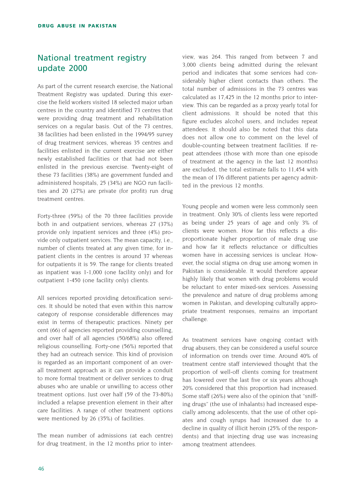# National treatment registry update 2000

As part of the current research exercise, the National Treatment Registry was updated. During this exercise the field workers visited 18 selected major urban centres in the country and identified 73 centres that were providing drug treatment and rehabilitation services on a regular basis. Out of the 73 centres, 38 facilities had been enlisted in the 1994/95 survey of drug treatment services, whereas 35 centres and facilities enlisted in the current exercise are either newly established facilities or that had not been enlisted in the previous exercise. Twenty-eight of these 73 facilities (38%) are government funded and administered hospitals, 25 (34%) are NGO run facilities and 20 (27%) are private (for profit) run drug treatment centres.

Forty-three (59%) of the 70 three facilities provide both in and outpatient services, whereas 27 (37%) provide only inpatient services and three (4%) provide only outpatient services. The mean capacity, i.e., number of clients treated at any given time, for inpatient clients in the centres is around 37 whereas for outpatients it is 59. The range for clients treated as inpatient was 1-1,000 (one facility only) and for outpatient 1-450 (one facility only) clients.

All services reported providing detoxification services. It should be noted that even within this narrow category of response considerable differences may exist in terms of therapeutic practices. Ninety per cent (66) of agencies reported providing counselling, and over half of all agencies (50/68%) also offered religious counselling. Forty-one (56%) reported that they had an outreach service. This kind of provision is regarded as an important component of an overall treatment approach as it can provide a conduit to more formal treatment or deliver services to drug abuses who are unable or unwilling to access other treatment options. Just over half (59 of the 73-80%) included a relapse prevention element in their after care facilities. A range of other treatment options were mentioned by 26 (35%) of facilities.

The mean number of admissions (at each centre) for drug treatment, in the 12 months prior to interview, was 264. This ranged from between 7 and 3,000 clients being admitted during the relevant period and indicates that some services had considerably higher client contacts than others. The total number of admissions in the 73 centres was calculated as 17,425 in the 12 months prior to interview. This can be regarded as a proxy yearly total for client admissions. It should be noted that this figure excludes alcohol users, and includes repeat attendees. It should also be noted that this data does not allow one to comment on the level of double-counting between treatment facilities. If repeat attendees (those with more than one episode of treatment at the agency in the last 12 months) are excluded, the total estimate falls to 11,454 with the mean of 176 different patients per agency admitted in the previous 12 months.

Young people and women were less commonly seen in treatment. Only 30% of clients less were reported as being under 25 years of age and only 3% of clients were women. How far this reflects a disproportionate higher proportion of male drug use and how far it reflects reluctance or difficulties women have in accessing services is unclear. However, the social stigma on drug use among women in Pakistan is considerable. It would therefore appear highly likely that women with drug problems would be reluctant to enter mixed-sex services. Assessing the prevalence and nature of drug problems among women in Pakistan, and developing culturally appropriate treatment responses, remains an important challenge.

As treatment services have ongoing contact with drug abusers, they can be considered a useful source of information on trends over time. Around 40% of treatment centre staff interviewed thought that the proportion of well-off clients coming for treatment has lowered over the last five or six years although 20% considered that this proportion had increased. Some staff (26%) were also of the opinion that "sniffing drugs" (the use of inhalants) had increased especially among adolescents, that the use of other opiates and cough syrups had increased due to a decline in quality of illicit heroin (25% of the respondents) and that injecting drug use was increasing among treatment attendees.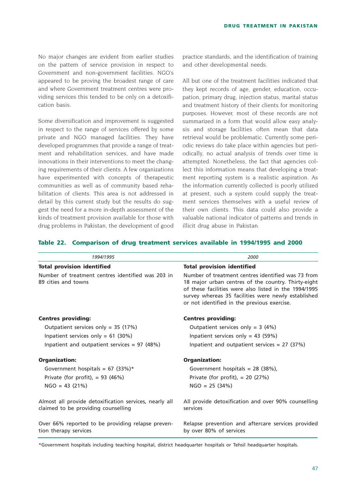No major changes are evident from earlier studies on the pattern of service provision in respect to Government and non-government facilities. NGO's appeared to be proving the broadest range of care and where Government treatment centres were providing services this tended to be only on a detoxification basis.

Some diversification and improvement is suggested in respect to the range of services offered by some private and NGO managed facilities. They have developed programmes that provide a range of treatment and rehabilitation services, and have made innovations in their interventions to meet the changing requirements of their clients. A few organizations have experimented with concepts of therapeutic communities as well as of community based rehabilitation of clients. This area is not addressed in detail by this current study but the results do suggest the need for a more in-depth assessment of the kinds of treatment provision available for those with drug problems in Pakistan, the development of good

practice standards, and the identification of training and other developmental needs.

All but one of the treatment facilities indicated that they kept records of age, gender, education, occupation, primary drug, injection status, marital status and treatment history of their clients for monitoring purposes. However, most of these records are not summarized in a form that would allow easy analysis and storage facilities often mean that data retrieval would be problematic. Currently some periodic reviews do take place within agencies but periodically, no actual analysis of trends over time is attempted. Nonetheless, the fact that agencies collect this information means that developing a treatment reporting system is a realistic aspiration. As the information currently collected is poorly utilized at present, such a system could supply the treatment services themselves with a useful review of their own clients. This data could also provide a valuable national indicator of patterns and trends in illicit drug abuse in Pakistan.

#### **Table 22. Comparison of drug treatment services available in 1994/1995 and 2000**

| 1994/1995                                                                                     | 2000                                                                                                                                                                                                                                                                     |
|-----------------------------------------------------------------------------------------------|--------------------------------------------------------------------------------------------------------------------------------------------------------------------------------------------------------------------------------------------------------------------------|
| <b>Total provision identified</b>                                                             | <b>Total provision identified</b>                                                                                                                                                                                                                                        |
| Number of treatment centres identified was 203 in<br>89 cities and towns                      | Number of treatment centres identified was 73 from<br>18 major urban centres of the country. Thirty-eight<br>of these facilities were also listed in the 1994/1995<br>survey whereas 35 facilities were newly established<br>or not identified in the previous exercise. |
| <b>Centres providing:</b>                                                                     | <b>Centres providing:</b>                                                                                                                                                                                                                                                |
| Outpatient services only = $35$ (17%)                                                         | Outpatient services only = $3(4%)$                                                                                                                                                                                                                                       |
| Inpatient services only = $61$ (30%)                                                          | Inpatient services only = 43 (59%)                                                                                                                                                                                                                                       |
| Inpatient and outpatient services = $97$ (48%)                                                | Inpatient and outpatient services = $27$ (37%)                                                                                                                                                                                                                           |
| <b>Organization:</b>                                                                          | <b>Organization:</b>                                                                                                                                                                                                                                                     |
| Government hospitals = 67 (33%)*                                                              | Government hospitals = $28$ (38%),                                                                                                                                                                                                                                       |
| Private (for profit), $= 93$ (46%)                                                            | Private (for profit), $= 20$ (27%)                                                                                                                                                                                                                                       |
| $NGO = 43 (21%)$                                                                              | $NGO = 25 (34%)$                                                                                                                                                                                                                                                         |
| Almost all provide detoxification services, nearly all<br>claimed to be providing counselling | All provide detoxification and over 90% counselling<br>services                                                                                                                                                                                                          |
| Over 66% reported to be providing relapse preven-<br>tion therapy services                    | Relapse prevention and aftercare services provided<br>by over 80% of services                                                                                                                                                                                            |

\*Government hospitals including teaching hospital, district headquarter hospitals or Tehsil headquarter hospitals.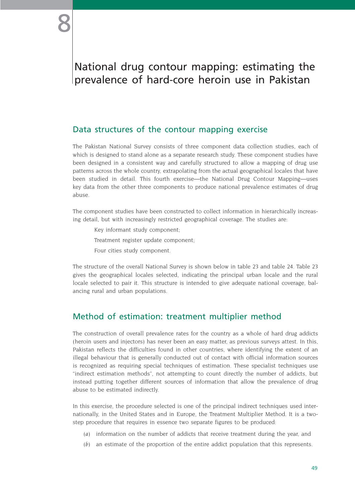# National drug contour mapping: estimating the prevalence of hard-core heroin use in Pakistan

## Data structures of the contour mapping exercise

The Pakistan National Survey consists of three component data collection studies, each of which is designed to stand alone as a separate research study. These component studies have been designed in a consistent way and carefully structured to allow a mapping of drug use patterns across the whole country, extrapolating from the actual geographical locales that have been studied in detail. This fourth exercise—the National Drug Contour Mapping—uses key data from the other three components to produce national prevalence estimates of drug abuse.

The component studies have been constructed to collect information in hierarchically increasing detail, but with increasingly restricted geographical coverage. The studies are:

- Key informant study component;
- Treatment register update component;
- Four cities study component.

The structure of the overall National Survey is shown below in table 23 and table 24. Table 23 gives the geographical locales selected, indicating the principal urban locale and the rural locale selected to pair it. This structure is intended to give adequate national coverage, balancing rural and urban populations.

# Method of estimation: treatment multiplier method

The construction of overall prevalence rates for the country as a whole of hard drug addicts (heroin users and injectors) has never been an easy matter, as previous surveys attest. In this, Pakistan reflects the difficulties found in other countries, where identifying the extent of an illegal behaviour that is generally conducted out of contact with official information sources is recognized as requiring special techniques of estimation. These specialist techniques use "indirect estimation methods", not attempting to count directly the number of addicts, but instead putting together different sources of information that allow the prevalence of drug abuse to be estimated indirectly.

In this exercise, the procedure selected is one of the principal indirect techniques used internationally, in the United States and in Europe, the Treatment Multiplier Method. It is a twostep procedure that requires in essence two separate figures to be produced:

- *(a)* information on the number of addicts that receive treatment during the year, and
- *(b)* an estimate of the proportion of the entire addict population that this represents.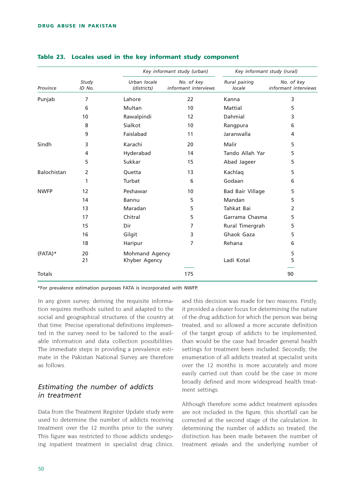|                    |                 |                             | Key informant study (urban)        | Key informant study (rural) |                                    |  |
|--------------------|-----------------|-----------------------------|------------------------------------|-----------------------------|------------------------------------|--|
| Province           | Study<br>ID No. | Urban locale<br>(districts) | No. of key<br>informant interviews | Rural pairing<br>locale     | No. of key<br>informant interviews |  |
| Punjab             | 7               | Lahore                      | 22                                 | Kanna                       | 3                                  |  |
|                    | 6               | Multan                      | 10                                 | Mattial                     | 5                                  |  |
|                    | 10              | Rawalpindi                  | $12 \overline{ }$                  | Dahmial                     | 3                                  |  |
|                    | 8               | Sialkot                     | 10                                 | Rangpura                    | 6                                  |  |
|                    | 9               | Faislabad                   | 11                                 | Jaranwalla                  | 4                                  |  |
| Sindh              | 3               | Karachi                     | 20                                 | Malir                       | 5                                  |  |
|                    | 4               | Hyderabad                   | 14                                 | Tando Allah Yar             | 5                                  |  |
|                    | 5               | Sukkar                      | 15                                 | Abad Jageer                 | 5                                  |  |
| <b>Balochistan</b> | 2               | Quetta                      | 13                                 | Kachlag                     | 5                                  |  |
|                    | 1               | Turbat                      | 6                                  | Godaan                      | 6                                  |  |
| <b>NWFP</b>        | 12              | Peshawar                    | 10                                 | Bad Bair Village            | 5                                  |  |
|                    | 14              | Bannu                       | 5                                  | Mandan                      | 5                                  |  |
|                    | 13              | Maradan                     | 5                                  | Tahkat Bai                  | 2                                  |  |
|                    | 17              | Chitral                     | 5                                  | Garrama Chasma              | 5                                  |  |
|                    | 15              | Dir                         | 7                                  | Rural Timergrah             | 5                                  |  |
|                    | 16              | Gilgit                      | 3                                  | Ghaok Gaza                  | 5                                  |  |
|                    | 18              | Haripur                     | 7                                  | Rehana                      | 6                                  |  |
| $(FATA)*$          | 20              | Mohmand Agency              |                                    |                             | 5                                  |  |
|                    | 21              | Khyber Agency               |                                    | Ladi Kotal                  | 5                                  |  |
| Totals             |                 |                             | 175                                |                             | 90                                 |  |

#### **Table 23. Locales used in the key informant study component**

\*For prevalence estimation purposes FATA is incorporated with NWFP.

In any given survey, deriving the requisite information requires methods suited to and adapted to the social and geographical structures of the country at that time. Precise operational definitions implemented in the survey need to be tailored to the available information and data collection possibilities. The immediate steps in providing a prevalence estimate in the Pakistan National Survey are therefore as follows.

### *Estimating the number of addicts in treatment*

Data from the Treatment Register Update study were used to determine the number of addicts receiving treatment over the 12 months prior to the survey. This figure was restricted to those addicts undergoing inpatient treatment in specialist drug clinics,

and this decision was made for two reasons. Firstly, it provided a clearer focus for determining the nature of the drug addiction for which the person was being treated, and so allowed a more accurate definition of the target group of addicts to be implemented, than would be the case had broader general health settings for treatment been included. Secondly, the enumeration of all addicts treated at specialist units over the 12 months is more accurately and more easily carried out than could be the case in more broadly defined and more widespread health treatment settings.

Although therefore some addict treatment episodes are not included in the figure, this shortfall can be corrected at the second stage of the calculation. In determining the number of addicts so treated, the distinction has been made between the number of treatment *episodes* and the underlying number of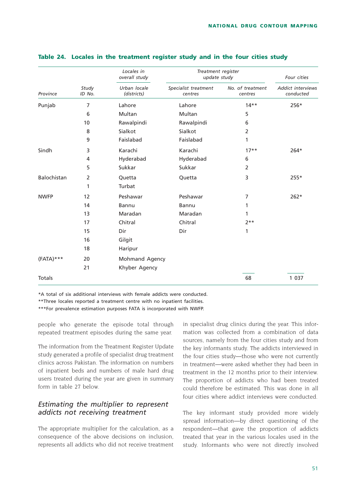|               |                 | Locales in<br>overall study | Treatment register<br>update study | Four cities                 |                                       |  |
|---------------|-----------------|-----------------------------|------------------------------------|-----------------------------|---------------------------------------|--|
| Province      | Study<br>ID No. | Urban locale<br>(districts) | Specialist treatment<br>centres    | No. of treatment<br>centres | <b>Addict interviews</b><br>conducted |  |
| Punjab        | 7               | Lahore                      | Lahore                             | $14**$                      | 256*                                  |  |
|               | 6               | Multan                      | Multan                             | 5                           |                                       |  |
|               | 10              | Rawalpindi                  | Rawalpindi                         | 6                           |                                       |  |
|               | 8               | Sialkot                     | Sialkot                            | $\overline{2}$              |                                       |  |
|               | 9               | Faislabad                   | Faislabad                          | 1                           |                                       |  |
| Sindh         | 3               | Karachi                     | Karachi                            | $17**$                      | $264*$                                |  |
|               | 4               | Hyderabad                   | Hyderabad                          | 6                           |                                       |  |
|               | 5               | Sukkar                      | Sukkar                             | $\overline{2}$              |                                       |  |
| Balochistan   | 2               | Quetta                      | Quetta                             | 3                           | $255*$                                |  |
|               | 1               | Turbat                      |                                    |                             |                                       |  |
| <b>NWFP</b>   | 12              | Peshawar                    | Peshawar                           | 7                           | $262*$                                |  |
|               | 14              | Bannu                       | Bannu                              | 1                           |                                       |  |
|               | 13              | Maradan                     | Maradan                            | 1                           |                                       |  |
|               | 17              | Chitral                     | Chitral                            | $2***$                      |                                       |  |
|               | 15              | Dir                         | Dir                                | 1                           |                                       |  |
|               | 16              | Gilgit                      |                                    |                             |                                       |  |
|               | 18              | Haripur                     |                                    |                             |                                       |  |
| $(FATA)***$   | 20              | Mohmand Agency              |                                    |                             |                                       |  |
|               | 21              | Khyber Agency               |                                    |                             |                                       |  |
| <b>Totals</b> |                 |                             |                                    | 68                          | 1 0 3 7                               |  |

#### **Table 24. Locales in the treatment register study and in the four cities study**

\*A total of six additional interviews with female addicts were conducted.

\*\*Three locales reported a treatment centre with no inpatient facilities.

\*\*\*For prevalence estimation purposes FATA is incorporated with NWFP.

people who generate the episode total through repeated treatment episodes during the same year.

The information from the Treatment Register Update study generated a profile of specialist drug treatment clinics across Pakistan. The information on numbers of inpatient beds and numbers of male hard drug users treated during the year are given in summary form in table 27 below.

### *Estimating the multiplier to represent addicts not receiving treatment*

The appropriate multiplier for the calculation, as a consequence of the above decisions on inclusion, represents all addicts who did not receive treatment

in specialist drug clinics during the year. This information was collected from a combination of data sources, namely from the four cities study and from the key informants study. The addicts interviewed in the four cities study—those who were not currently in treatment—were asked whether they had been in treatment in the 12 months prior to their interview. The proportion of addicts who had been treated could therefore be estimated. This was done in all four cities where addict interviews were conducted.

The key informant study provided more widely spread information—by direct questioning of the respondent—that gave the proportion of addicts treated that year in the various locales used in the study. Informants who were not directly involved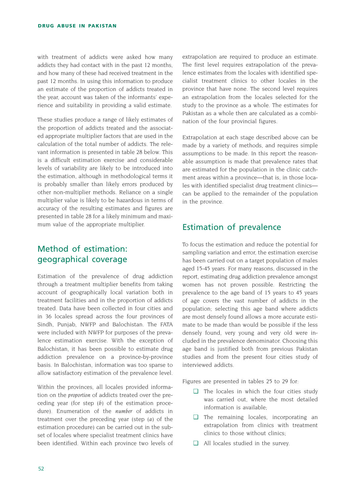with treatment of addicts were asked how many addicts they had contact with in the past 12 months, and how many of these had received treatment in the past 12 months. In using this information to produce an estimate of the proportion of addicts treated in the year, account was taken of the informants' experience and suitability in providing a valid estimate.

These studies produce a range of likely estimates of the proportion of addicts treated and the associated appropriate multiplier factors that are used in the calculation of the total number of addicts. The relevant information is presented in table 28 below. This is a difficult estimation exercise and considerable levels of variability are likely to be introduced into the estimation, although in methodological terms it is probably smaller than likely errors produced by other non-multiplier methods. Reliance on a single multiplier value is likely to be hazardous in terms of accuracy of the resulting estimates and figures are presented in table 28 for a likely minimum and maximum value of the appropriate multiplier.

# Method of estimation: geographical coverage

Estimation of the prevalence of drug addiction through a treatment multiplier benefits from taking account of geographically local variation both in treatment facilities and in the proportion of addicts treated. Data have been collected in four cities and in 36 locales spread across the four provinces of Sindh, Punjab, NWFP and Balochistan. The FATA were included with NWFP for purposes of the prevalence estimation exercise. With the exception of Balochistan, it has been possible to estimate drug addiction prevalence on a province-by-province basis. In Balochistan, information was too sparse to allow satisfactory estimation of the prevalence level.

Within the provinces, all locales provided information on the *proportion* of addicts treated over the preceding year (for step *(b)* of the estimation procedure). Enumeration of the *number* of addicts in treatment over the preceding year (step *(a)* of the estimation procedure) can be carried out in the subset of locales where specialist treatment clinics have been identified. Within each province two levels of extrapolation are required to produce an estimate. The first level requires extrapolation of the prevalence estimates from the locales with identified specialist treatment clinics to other locales in the province that have none. The second level requires an extrapolation from the locales selected for the study to the province as a whole. The estimates for Pakistan as a whole then are calculated as a combination of the four provincial figures.

Extrapolation at each stage described above can be made by a variety of methods, and requires simple assumptions to be made. In this report the reasonable assumption is made that prevalence rates that are estimated for the population in the clinic catchment areas within a province—that is, in those locales with identified specialist drug treatment clinics can be applied to the remainder of the population in the province.

# Estimation of prevalence

To focus the estimation and reduce the potential for sampling variation and error, the estimation exercise has been carried out on a target population of males aged 15-45 years. For many reasons, discussed in the report, estimating drug addiction prevalence amongst women has not proven possible. Restricting the prevalence to the age band of 15 years to 45 years of age covers the vast number of addicts in the population; selecting this age band where addicts are most densely found allows a more accurate estimate to be made than would be possible if the less densely found, very young and very old were included in the prevalence denominator. Choosing this age band is justified both from previous Pakistan studies and from the present four cities study of interviewed addicts.

Figures are presented in tables 25 to 29 for:

- ❏ The locales in which the four cities study was carried out, where the most detailed information is available;
- ❏ The remaining locales, incorporating an extrapolation from clinics with treatment clinics to those without clinics;
- ❏ All locales studied in the survey.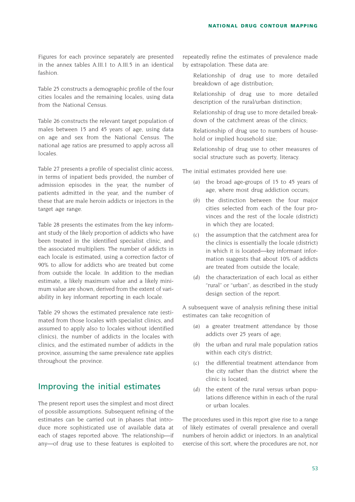Figures for each province separately are presented in the annex tables A.III.1 to A.III.5 in an identical fashion.

Table 25 constructs a demographic profile of the four cities locales and the remaining locales, using data from the National Census.

Table 26 constructs the relevant target population of males between 15 and 45 years of age, using data on age and sex from the National Census. The national age ratios are presumed to apply across all locales.

Table 27 presents a profile of specialist clinic access, in terms of inpatient beds provided, the number of admission episodes in the year, the number of patients admitted in the year, and the number of these that are male heroin addicts or injectors in the target age range.

Table 28 presents the estimates from the key informant study of the likely proportion of addicts who have been treated in the identified specialist clinic, and the associated multipliers. The number of addicts in each locale is estimated, using a correction factor of 90% to allow for addicts who are treated but come from outside the locale. In addition to the median estimate, a likely maximum value and a likely minimum value are shown, derived from the extent of variability in key informant reporting in each locale.

Table 29 shows the estimated prevalence rate (estimated from those locales with specialist clinics, and assumed to apply also to locales without identified clinics), the number of addicts in the locales with clinics, and the estimated number of addicts in the province, assuming the same prevalence rate applies throughout the province.

### Improving the initial estimates

The present report uses the simplest and most direct of possible assumptions. Subsequent refining of the estimates can be carried out in phases that introduce more sophisticated use of available data at each of stages reported above. The relationship—if any—of drug use to these features is exploited to repeatedly refine the estimates of prevalence made by extrapolation. These data are:

- Relationship of drug use to more detailed breakdown of age distribution;
- Relationship of drug use to more detailed description of the rural/urban distinction;
- Relationship of drug use to more detailed breakdown of the catchment areas of the clinics;
- Relationship of drug use to numbers of household or implied household size;
- Relationship of drug use to other measures of social structure such as poverty, literacy.

The initial estimates provided here use:

- *(a)* the broad age-groups of 15 to 45 years of age, where most drug addiction occurs;
- *(b)* the distinction between the four major cities selected from each of the four provinces and the rest of the locale (district) in which they are located;
- *(c)* the assumption that the catchment area for the clinics is essentially the locale (district) in which it is located—key informant information suggests that about 10% of addicts are treated from outside the locale;
- *(d)* the characterization of each local as either "rural" or "urban", as described in the study design section of the report.

A subsequent wave of analysis refining these initial estimates can take recognition of

- *(a)* a greater treatment attendance by those addicts over 25 years of age;
- *(b)* the urban and rural male population ratios within each city's district;
- *(c)* the differential treatment attendance from the city rather than the district where the clinic is located;
- *(d*) the extent of the rural versus urban populations difference within in each of the rural or urban locales.

The procedures used in this report give rise to a range of likely estimates of overall prevalence and overall numbers of heroin addict or injectors. In an analytical exercise of this sort, where the procedures are not, nor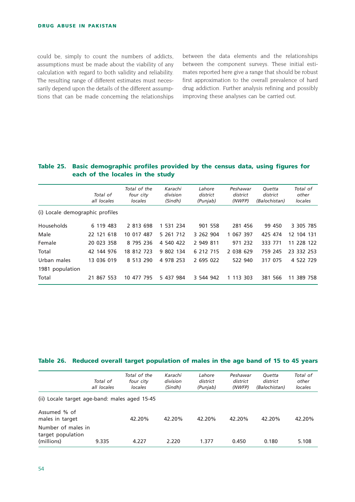could be, simply to count the numbers of addicts, assumptions must be made about the viability of any calculation with regard to both validity and reliability. The resulting range of different estimates must necessarily depend upon the details of the different assumptions that can be made concerning the relationships between the data elements and the relationships between the component surveys. These initial estimates reported here give a range that should be robust first approximation to the overall prevalence of hard drug addiction. Further analysis refining and possibly improving these analyses can be carried out.

#### **Table 25. Basic demographic profiles provided by the census data, using figures for each of the locales in the study**

|                                 | Total of<br>all locales | Total of the<br>four city<br>locales | Karachi<br>division<br>(Sindh) | Lahore<br>district<br>(Punjab) | Peshawar<br>district<br>(NWFP) | Ouetta<br>district<br>(Balochistan) | Total of<br>other<br>locales |
|---------------------------------|-------------------------|--------------------------------------|--------------------------------|--------------------------------|--------------------------------|-------------------------------------|------------------------------|
| (i) Locale demographic profiles |                         |                                      |                                |                                |                                |                                     |                              |
| Households                      | 6 119 483               | 2 813 698                            | 1 531 234                      | 901 558                        | 281 456                        | 99 450                              | 3 305 785                    |
| Male                            | 22 121 618              | 10 017 487                           | 5 261 712                      | 3 262 904                      | 1 067 397                      | 425 474                             | 12 104 131                   |
| Female                          | 20 023 358              | 8 795 236                            | 4 540 422                      | 2 949 811                      | 971 232                        | 333 771                             | 11 228 122                   |
| Total                           | 42 144 976              | 18 812 723                           | 9 802 134                      | 6 212 715                      | 2 038 629                      | 759 245                             | 23 332 253                   |
| Urban males                     | 13 036 019              | 8 513 290                            | 4 978 253                      | 2 695 022                      | 522 940                        | 317 075                             | 4 522 729                    |
| 1981 population                 |                         |                                      |                                |                                |                                |                                     |                              |
| Total                           | 21 867 553              | 10 477 795                           | 5 437 984                      | 3 544 942                      | 1 113 303                      | 381 566                             | 11 389 758                   |

#### **Table 26. Reduced overall target population of males in the age band of 15 to 45 years**

|                                                       | Total of<br>all locales | Total of the<br>four city<br>locales | Karachi<br>division<br>(Sindh) | Lahore<br>district<br>(Punjab) | Peshawar<br>district<br>(NWFP) | <b>Ouetta</b><br>district<br>(Balochistan) | Total of<br>other<br>locales |
|-------------------------------------------------------|-------------------------|--------------------------------------|--------------------------------|--------------------------------|--------------------------------|--------------------------------------------|------------------------------|
| (ii) Locale target age-band: males aged 15-45         |                         |                                      |                                |                                |                                |                                            |                              |
| Assumed % of<br>males in target                       |                         | 42.20%                               | 42.20%                         | 42.20%                         | 42.20%                         | 42.20%                                     | 42.20%                       |
| Number of males in<br>target population<br>(millions) | 9.335                   | 4.227                                | 2.220                          | 1.377                          | 0.450                          | 0.180                                      | 5.108                        |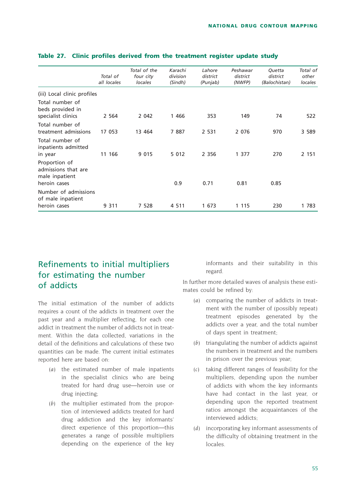| Total of<br>all locales     | Total of the<br>four city<br>locales | Karachi<br>division<br>(Sindh) | Lahore<br>district<br>(Punjab) | Peshawar<br>district<br>(NWFP) | Quetta<br>district<br>(Balochistan) | Total of<br>other<br>locales |
|-----------------------------|--------------------------------------|--------------------------------|--------------------------------|--------------------------------|-------------------------------------|------------------------------|
| (iii) Local clinic profiles |                                      |                                |                                |                                |                                     |                              |
| 2 5 6 4                     | 2 0 4 2                              | 1 4 6 6                        | 353                            | 149                            | 74                                  | 522                          |
| 17 053                      | 13 464                               | 7887                           | 2 5 3 1                        | 2 0 7 6                        | 970                                 | 3 5 8 9                      |
| 11 166                      | 9 0 1 5                              | 5 0 1 2                        | 2 3 5 6                        | 1 377                          | 270                                 | 2 151                        |
|                             |                                      | 0.9                            | 0.71                           | 0.81                           | 0.85                                |                              |
| Number of admissions        |                                      |                                |                                |                                |                                     | 1 783                        |
|                             | 9 3 1 1                              | 7 528                          | 4 5 1 1                        | 1 673                          | 1 1 1 5                             | 230                          |

#### **Table 27. Clinic profiles derived from the treatment register update study**

# Refinements to initial multipliers for estimating the number of addicts

The initial estimation of the number of addicts requires a count of the addicts in treatment over the past year and a multiplier reflecting, for each one addict in treatment the number of addicts not in treatment. Within the data collected, variations in the detail of the definitions and calculations of these two quantities can be made. The current initial estimates reported here are based on:

- *(a)* the estimated number of male inpatients in the specialist clinics who are being treated for hard drug use—heroin use or drug injecting;
- *(b)* the multiplier estimated from the proportion of interviewed addicts treated for hard drug addiction and the key informants' direct experience of this proportion—this generates a range of possible multipliers depending on the experience of the key

informants and their suitability in this regard.

In further more detailed waves of analysis these estimates could be refined by:

- *(a)* comparing the number of addicts in treatment with the number of (possibly repeat) treatment episodes generated by the addicts over a year, and the total number of days spent in treatment;
- *(b)* triangulating the number of addicts against the numbers in treatment and the numbers in prison over the previous year;
- *(c)* taking different ranges of feasibility for the multipliers, depending upon the number of addicts with whom the key informants have had contact in the last year, or depending upon the reported treatment ratios amongst the acquaintances of the interviewed addicts;
- *(d)* incorporating key informant assessments of the difficulty of obtaining treatment in the locales.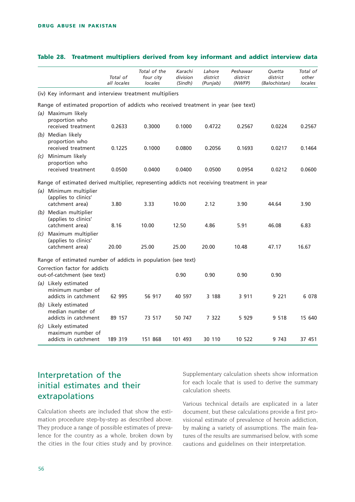|     |                                                                                             | Total of<br>all locales | Total of the<br>four city<br>locales | Karachi<br>division<br>(Sindh) | Lahore<br>district<br>(Punjab) | Peshawar<br>district<br>(NWFP) | Quetta<br>district<br>(Balochistan) | Total of<br>other<br>locales |
|-----|---------------------------------------------------------------------------------------------|-------------------------|--------------------------------------|--------------------------------|--------------------------------|--------------------------------|-------------------------------------|------------------------------|
|     | (iv) Key informant and interview treatment multipliers                                      |                         |                                      |                                |                                |                                |                                     |                              |
|     | Range of estimated proportion of addicts who received treatment in year (see text)          |                         |                                      |                                |                                |                                |                                     |                              |
|     | (a) Maximum likely<br>proportion who<br>received treatment                                  | 0.2633                  | 0.3000                               | 0.1000                         | 0.4722                         | 0.2567                         | 0.0224                              | 0.2567                       |
|     | (b) Median likely<br>proportion who<br>received treatment                                   | 0.1225                  | 0.1000                               | 0.0800                         | 0.2056                         | 0.1693                         | 0.0217                              | 0.1464                       |
| (c) | Minimum likely<br>proportion who<br>received treatment                                      | 0.0500                  | 0.0400                               | 0.0400                         | 0.0500                         | 0.0954                         | 0.0212                              | 0.0600                       |
|     | Range of estimated derived multiplier, representing addicts not receiving treatment in year |                         |                                      |                                |                                |                                |                                     |                              |
|     | (a) Minimum multiplier<br>(applies to clinics'                                              |                         |                                      |                                |                                |                                |                                     |                              |
|     | catchment area)<br>(b) Median multiplier<br>(applies to clinics'<br>catchment area)         | 3.80<br>8.16            | 3.33<br>10.00                        | 10.00<br>12.50                 | 2.12<br>4.86                   | 3.90<br>5.91                   | 44.64<br>46.08                      | 3.90<br>6.83                 |
| (c) | Maximum multiplier<br>(applies to clinics'<br>catchment area)                               | 20.00                   | 25.00                                | 25.00                          | 20.00                          | 10.48                          | 47.17                               | 16.67                        |
|     | Range of estimated number of addicts in population (see text)                               |                         |                                      |                                |                                |                                |                                     |                              |
|     | Correction factor for addicts<br>out-of-catchment (see text)                                |                         |                                      | 0.90                           | 0.90                           | 0.90                           | 0.90                                |                              |
|     | (a) Likely estimated<br>minimum number of<br>addicts in catchment                           | 62 995                  | 56 917                               | 40 597                         | 3 188                          | 3 9 1 1                        | 9 2 2 1                             | 6 0 78                       |
|     | (b) Likely estimated<br>median number of<br>addicts in catchment                            | 89 157                  | 73 517                               | 50 747                         | 7 3 2 2                        | 5 9 2 9                        | 9 5 1 8                             | 15 640                       |
|     | (c) Likely estimated<br>maximum number of<br>addicts in catchment                           | 189 319                 | 151 868                              | 101 493                        | 30 110                         | 10 522                         | 9 7 4 3                             | 37 451                       |

#### **Table 28. Treatment multipliers derived from key informant and addict interview data**

# Interpretation of the initial estimates and their extrapolations

Calculation sheets are included that show the estimation procedure step-by-step as described above. They produce a range of possible estimates of prevalence for the country as a whole, broken down by the cities in the four cities study and by province.

Supplementary calculation sheets show information for each locale that is used to derive the summary calculation sheets.

Various technical details are explicated in a later document, but these calculations provide a first provisional estimate of prevalence of heroin addiction, by making a variety of assumptions. The main features of the results are summarised below, with some cautions and guidelines on their interpretation.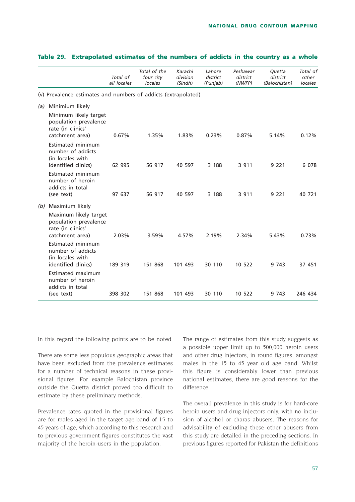|     |                                                                                        | Total of<br>all locales | Total of the<br>four city<br>locales | Karachi<br>division<br>(Sindh) | Lahore<br>district<br>(Punjab) | Peshawar<br>district<br>(NWFP) | Quetta<br>district<br>(Balochistan) | Total of<br>other<br>locales |
|-----|----------------------------------------------------------------------------------------|-------------------------|--------------------------------------|--------------------------------|--------------------------------|--------------------------------|-------------------------------------|------------------------------|
|     | (v) Prevalence estimates and numbers of addicts (extrapolated)                         |                         |                                      |                                |                                |                                |                                     |                              |
| (a) | Minimium likely                                                                        |                         |                                      |                                |                                |                                |                                     |                              |
|     | Minimum likely target<br>population prevalence<br>rate (in clinics'<br>catchment area) | 0.67%                   | 1.35%                                | 1.83%                          | 0.23%                          | 0.87%                          | 5.14%                               | 0.12%                        |
|     | Estimated minimum<br>number of addicts<br>(in locales with<br>identified clinics)      | 62 995                  | 56 917                               | 40 597                         | 3 188                          | 3 9 1 1                        | 9 2 2 1                             | 6 0 7 8                      |
|     | Estimated minimum<br>number of heroin<br>addicts in total<br>(see text)                | 97 637                  | 56 917                               | 40 597                         | 3 188                          | 3 9 1 1                        | 9 2 2 1                             | 40 721                       |
| (b) | Maximium likely                                                                        |                         |                                      |                                |                                |                                |                                     |                              |
|     | Maximum likely target<br>population prevalence<br>rate (in clinics'<br>catchment area) | 2.03%                   | 3.59%                                | 4.57%                          | 2.19%                          | 2.34%                          | 5.43%                               | 0.73%                        |
|     | Estimated minimum<br>number of addicts<br>(in locales with<br>identified clinics)      | 189 319                 | 151 868                              | 101 493                        | 30 110                         | 10 522                         | 9 743                               | 37 451                       |
|     | Estimated maximum<br>number of heroin<br>addicts in total<br>(see text)                | 398 302                 | 151 868                              | 101 493                        | 30 110                         | 10 522                         | 9 743                               | 246 434                      |

#### **Table 29. Extrapolated estimates of the numbers of addicts in the country as a whole**

In this regard the following points are to be noted.

There are some less populous geographic areas that have been excluded from the prevalence estimates for a number of technical reasons in these provisional figures. For example Balochistan province outside the Quetta district proved too difficult to estimate by these preliminary methods.

Prevalence rates quoted in the provisional figures are for males aged in the target age-band of 15 to 45 years of age, which according to this research and to previous government figures constitutes the vast majority of the heroin-users in the population.

The range of estimates from this study suggests as a possible upper limit up to 500,000 heroin users and other drug injectors, in round figures, amongst males in the 15 to 45 year old age band. Whilst this figure is considerably lower than previous national estimates, there are good reasons for the difference.

The overall prevalence in this study is for hard-core heroin users and drug injectors only, with no inclusion of alcohol or charas abusers. The reasons for advisability of excluding these other abusers from this study are detailed in the preceding sections. In previous figures reported for Pakistan the definitions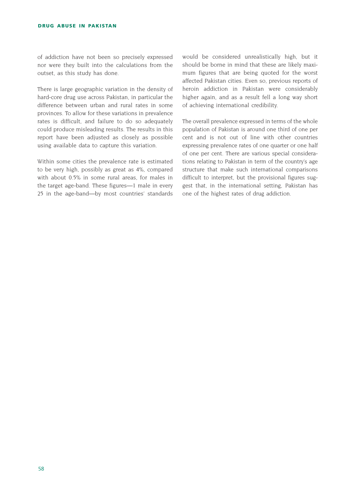of addiction have not been so precisely expressed nor were they built into the calculations from the outset, as this study has done.

There is large geographic variation in the density of hard-core drug use across Pakistan, in particular the difference between urban and rural rates in some provinces. To allow for these variations in prevalence rates is difficult, and failure to do so adequately could produce misleading results. The results in this report have been adjusted as closely as possible using available data to capture this variation.

Within some cities the prevalence rate is estimated to be very high, possibly as great as 4%, compared with about 0.5% in some rural areas, for males in the target age-band. These figures—1 male in every 25 in the age-band—by most countries' standards would be considered unrealistically high, but it should be borne in mind that these are likely maximum figures that are being quoted for the worst affected Pakistan cities. Even so, previous reports of heroin addiction in Pakistan were considerably higher again, and as a result fell a long way short of achieving international credibility.

The overall prevalence expressed in terms of the whole population of Pakistan is around one third of one per cent and is not out of line with other countries expressing prevalence rates of one quarter or one half of one per cent. There are various special considerations relating to Pakistan in term of the country's age structure that make such international comparisons difficult to interpret, but the provisional figures suggest that, in the international setting, Pakistan has one of the highest rates of drug addiction.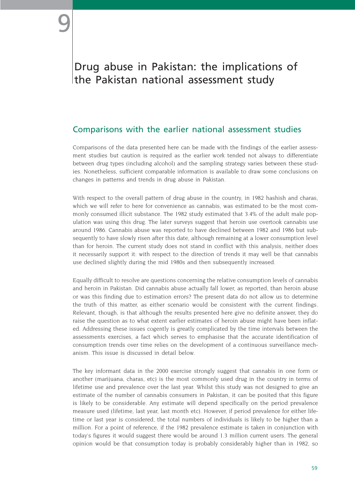# Drug abuse in Pakistan: the implications of the Pakistan national assessment study

# Comparisons with the earlier national assessment studies

Comparisons of the data presented here can be made with the findings of the earlier assessment studies but caution is required as the earlier work tended not always to differentiate between drug types (including alcohol) and the sampling strategy varies between these studies. Nonetheless, sufficient comparable information is available to draw some conclusions on changes in patterns and trends in drug abuse in Pakistan.

With respect to the overall pattern of drug abuse in the country, in 1982 hashish and charas, which we will refer to here for convenience as cannabis, was estimated to be the most commonly consumed illicit substance. The 1982 study estimated that 3.4% of the adult male population was using this drug. The later surveys suggest that heroin use overtook cannabis use around 1986. Cannabis abuse was reported to have declined between 1982 and 1986 but subsequently to have slowly risen after this date, although remaining at a lower consumption level than for heroin. The current study does not stand in conflict with this analysis, neither does it necessarily support it: with respect to the direction of trends it may well be that cannabis use declined slightly during the mid 1980s and then subsequently increased.

Equally difficult to resolve are questions concerning the relative consumption levels of cannabis and heroin in Pakistan. Did cannabis abuse actually fall lower, as reported, than heroin abuse or was this finding due to estimation errors? The present data do not allow us to determine the truth of this matter, as either scenario would be consistent with the current findings. Relevant, though, is that although the results presented here give no definite answer, they do raise the question as to what extent earlier estimates of heroin abuse might have been inflated. Addressing these issues cogently is greatly complicated by the time intervals between the assessments exercises, a fact which serves to emphasise that the accurate identification of consumption trends over time relies on the development of a continuous surveillance mechanism. This issue is discussed in detail below.

The key informant data in the 2000 exercise strongly suggest that cannabis in one form or another (marijuana, charas, etc) is the most commonly used drug in the country in terms of lifetime use and prevalence over the last year. Whilst this study was not designed to give an estimate of the number of cannabis consumers in Pakistan, it can be posited that this figure is likely to be considerable. Any estimate will depend specifically on the period prevalence measure used (lifetime, last year, last month etc). However, if period prevalence for either lifetime or last year is considered, the total numbers of individuals is likely to be higher than a million. For a point of reference, if the 1982 prevalence estimate is taken in conjunction with today's figures it would suggest there would be around 1.3 million current users. The general opinion would be that consumption today is probably considerably higher than in 1982, so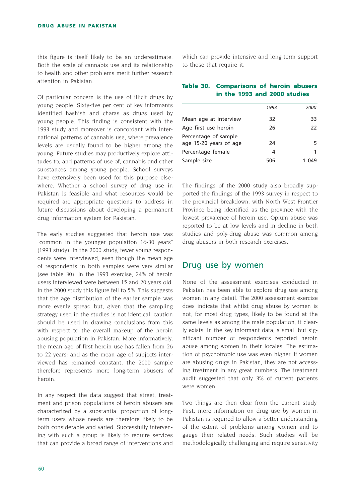this figure is itself likely to be an underestimate. Both the scale of cannabis use and its relationship to health and other problems merit further research attention in Pakistan.

Of particular concern is the use of illicit drugs by young people. Sixty-five per cent of key informants identified hashish and charas as drugs used by young people. This finding is consistent with the 1993 study and moreover is concordant with international patterns of cannabis use, where prevalence levels are usually found to be higher among the young. Future studies may productively explore attitudes to, and patterns of use of, cannabis and other substances among young people. School surveys have extensively been used for this purpose elsewhere. Whether a school survey of drug use in Pakistan is feasible and what resources would be required are appropriate questions to address in future discussions about developing a permanent drug information system for Pakistan.

The early studies suggested that heroin use was "common in the younger population 16-30 years" (1993 study). In the 2000 study, fewer young respondents were interviewed, even though the mean age of respondents in both samples were very similar (see table 30). In the 1993 exercise, 24% of heroin users interviewed were between 15 and 20 years old. In the 2000 study this figure fell to 5%. This suggests that the age distribution of the earlier sample was more evenly spread but, given that the sampling strategy used in the studies is not identical, caution should be used in drawing conclusions from this with respect to the overall makeup of the heroin abusing population in Pakistan. More informatively, the mean age of first heroin use has fallen from 26 to 22 years; and as the mean age of subjects interviewed has remained constant, the 2000 sample therefore represents more long-term abusers of heroin.

In any respect the data suggest that street, treatment and prison populations of heroin abusers are characterized by a substantial proportion of longterm users whose needs are therefore likely to be both considerable and varied. Successfully intervening with such a group is likely to require services that can provide a broad range of interventions and which can provide intensive and long-term support to those that require it.

### **Table 30. Comparisons of heroin abusers in the 1993 and 2000 studies**

|                                                | 1993 | 2000 |
|------------------------------------------------|------|------|
| Mean age at interview                          | 32   | 33   |
| Age first use heroin                           | 26   | 22   |
| Percentage of sample<br>age 15-20 years of age | 24   | 5    |
| Percentage female                              | 4    |      |
| Sample size                                    | 506  |      |

The findings of the 2000 study also broadly supported the findings of the 1993 survey in respect to the provincial breakdown, with North West Frontier Province being identified as the province with the lowest prevalence of heroin use. Opium abuse was reported to be at low levels and in decline in both studies and poly-drug abuse was common among drug abusers in both research exercises.

# Drug use by women

None of the assessment exercises conducted in Pakistan has been able to explore drug use among women in any detail. The 2000 assessment exercise does indicate that whilst drug abuse by women is not, for most drug types, likely to be found at the same levels as among the male population, it clearly exists. In the key informant data, a small but significant number of respondents reported heroin abuse among women in their locales. The estimation of psychotropic use was even higher. If women are abusing drugs in Pakistan, they are not accessing treatment in any great numbers. The treatment audit suggested that only 3% of current patients were women.

Two things are then clear from the current study. First, more information on drug use by women in Pakistan is required to allow a better understanding of the extent of problems among women and to gauge their related needs. Such studies will be methodologically challenging and require sensitivity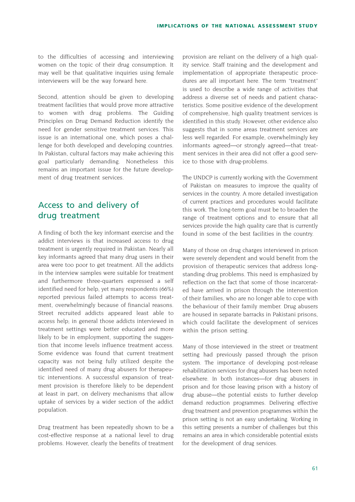to the difficulties of accessing and interviewing women on the topic of their drug consumption. It may well be that qualitative inquiries using female interviewers will be the way forward here.

Second, attention should be given to developing treatment facilities that would prove more attractive to women with drug problems. The Guiding Principles on Drug Demand Reduction identify the need for gender sensitive treatment services. This issue is an international one, which poses a challenge for both developed and developing countries. In Pakistan, cultural factors may make achieving this goal particularly demanding. Nonetheless this remains an important issue for the future development of drug treatment services.

# Access to and delivery of drug treatment

A finding of both the key informant exercise and the addict interviews is that increased access to drug treatment is urgently required in Pakistan. Nearly all key informants agreed that many drug users in their area were too poor to get treatment. All the addicts in the interview samples were suitable for treatment and furthermore three-quarters expressed a self identified need for help, yet many respondents (66%) reported previous failed attempts to access treatment, overwhelmingly because of financial reasons. Street recruited addicts appeared least able to access help; in general those addicts interviewed in treatment settings were better educated and more likely to be in employment, supporting the suggestion that income levels influence treatment access. Some evidence was found that current treatment capacity was not being fully utilized despite the identified need of many drug abusers for therapeutic interventions. A successful expansion of treatment provision is therefore likely to be dependent at least in part, on delivery mechanisms that allow uptake of services by a wider section of the addict population.

Drug treatment has been repeatedly shown to be a cost-effective response at a national level to drug problems. However, clearly the benefits of treatment provision are reliant on the delivery of a high quality service. Staff training and the development and implementation of appropriate therapeutic procedures are all important here. The term "treatment" is used to describe a wide range of activities that address a diverse set of needs and patient characteristics. Some positive evidence of the development of comprehensive, high quality treatment services is identified in this study. However, other evidence also suggests that in some areas treatment services are less well regarded. For example, overwhelmingly key informants agreed—or strongly agreed—that treatment services in their area did not offer a good service to those with drug-problems.

The UNDCP is currently working with the Government of Pakistan on measures to improve the quality of services in the country. A more detailed investigation of current practices and procedures would facilitate this work. The long-term goal must be to broaden the range of treatment options and to ensure that all services provide the high quality care that is currently found in some of the best facilities in the country.

Many of those on drug charges interviewed in prison were severely dependent and would benefit from the provision of therapeutic services that address longstanding drug problems. This need is emphasized by reflection on the fact that some of those incarcerated have arrived in prison through the intervention of their families, who are no longer able to cope with the behaviour of their family member. Drug abusers are housed in separate barracks in Pakistani prisons, which could facilitate the development of services within the prison setting.

Many of those interviewed in the street or treatment setting had previously passed through the prison system. The importance of developing post-release rehabilitation services for drug abusers has been noted elsewhere. In both instances—for drug abusers in prison and for those leaving prison with a history of drug abuse—the potential exists to further develop demand reduction programmes. Delivering effective drug treatment and prevention programmes within the prison setting is not an easy undertaking. Working in this setting presents a number of challenges but this remains an area in which considerable potential exists for the development of drug services.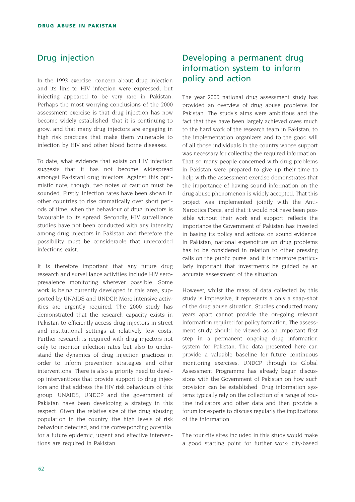# Drug injection

In the 1993 exercise, concern about drug injection and its link to HIV infection were expressed, but injecting appeared to be very rare in Pakistan. Perhaps the most worrying conclusions of the 2000 assessment exercise is that drug injection has now become widely established, that it is continuing to grow, and that many drug injectors are engaging in high risk practices that make them vulnerable to infection by HIV and other blood borne diseases.

To date, what evidence that exists on HIV infection suggests that it has not become widespread amongst Pakistani drug injectors. Against this optimistic note, though, two notes of caution must be sounded. Firstly, infection rates have been shown in other countries to rise dramatically over short periods of time, when the behaviour of drug injectors is favourable to its spread. Secondly, HIV surveillance studies have not been conducted with any intensity among drug injectors in Pakistan and therefore the possibility must be considerable that unrecorded infections exist.

It is therefore important that any future drug research and surveillance activities include HIV seroprevalence monitoring wherever possible. Some work is being currently developed in this area, supported by UNAIDS and UNDCP. More intensive activities are urgently required. The 2000 study has demonstrated that the research capacity exists in Pakistan to efficiently access drug injectors in street and institutional settings at relatively low costs. Further research is required with drug injectors not only to monitor infection rates but also to understand the dynamics of drug injection practices in order to inform prevention strategies and other interventions. There is also a priority need to develop interventions that provide support to drug injectors and that address the HIV risk behaviours of this group. UNAIDS, UNDCP and the government of Pakistan have been developing a strategy in this respect. Given the relative size of the drug abusing population in the country, the high levels of risk behaviour detected, and the corresponding potential for a future epidemic, urgent and effective interventions are required in Pakistan.

# Developing a permanent drug information system to inform policy and action

The year 2000 national drug assessment study has provided an overview of drug abuse problems for Pakistan. The study's aims were ambitious and the fact that they have been largely achieved owes much to the hard work of the research team in Pakistan, to the implementation organizers and to the good will of all those individuals in the country whose support was necessary for collecting the required information. That so many people concerned with drug problems in Pakistan were prepared to give up their time to help with the assessment exercise demonstrates that the importance of having sound information on the drug abuse phenomenon is widely accepted. That this project was implemented jointly with the Anti-Narcotics Force, and that it would not have been possible without their work and support, reflects the importance the Government of Pakistan has invested in basing its policy and actions on sound evidence. In Pakistan, national expenditure on drug problems has to be considered in relation to other pressing calls on the public purse, and it is therefore particularly important that investments be guided by an accurate assessment of the situation.

However, whilst the mass of data collected by this study is impressive, it represents a only a snap-shot of the drug abuse situation. Studies conducted many years apart cannot provide the on-going relevant information required for policy formation. The assessment study should be viewed as an important first step in a permanent ongoing drug information system for Pakistan. The data presented here can provide a valuable baseline for future continuous monitoring exercises. UNDCP through its Global Assessment Programme has already begun discussions with the Government of Pakistan on how such provision can be established. Drug information systems typically rely on the collection of a range of routine indicators and other data and then provide a forum for experts to discuss regularly the implications of the information.

The four city sites included in this study would make a good starting point for further work: city-based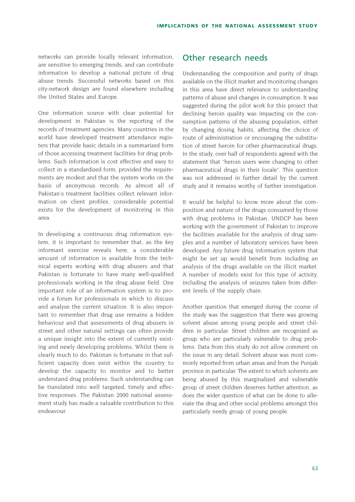networks can provide locally relevant information, are sensitive to emerging trends, and can contribute information to develop a national picture of drug abuse trends. Successful networks based on this city-network design are found elsewhere including the United States and Europe.

One information source with clear potential for development in Pakistan is the reporting of the records of treatment agencies. Many countries in the world have developed treatment attendance registers that provide basic details in a summarized form of those accessing treatment facilities for drug problems. Such information is cost effective and easy to collect in a standardized form, provided the requirements are modest and that the system works on the basis of anonymous records. As almost all of Pakistan's treatment facilities collect relevant information on client profiles, considerable potential exists for the development of monitoring in this area.

In developing a continuous drug information system, it is important to remember that, as the key informant exercise reveals here, a considerable amount of information is available from the technical experts working with drug abusers and that Pakistan is fortunate to have many well-qualified professionals working in the drug abuse field. One important role of an information system is to provide a forum for professionals in which to discuss and analyse the current situation. It is also important to remember that drug use remains a hidden behaviour and that assessments of drug abusers in street and other natural settings can often provide a unique insight into the extent of currently existing and newly developing problems. Whilst there is clearly much to do, Pakistan is fortunate in that sufficient capacity does exist within the country to develop the capacity to monitor and to better understand drug problems. Such understanding can be translated into well targeted, timely and effective responses. The Pakistan 2000 national assessment study has made a valuable contribution to this endeavour.

## Other research needs

Understanding the composition and purity of drugs available on the illicit market and monitoring changes in this area have direct relevance to understanding patterns of abuse and changes in consumption. It was suggested during the pilot work for this project that declining heroin quality was impacting on the consumption patterns of the abusing population, either by changing dosing habits, affecting the choice of route of administration or encouraging the substitution of street heroin for other pharmaceutical drugs. In the study, over half of respondents agreed with the statement that "heroin users were changing to other pharmaceutical drugs in their locale". This question was not addressed in further detail by the current study and it remains worthy of further investigation.

It would be helpful to know more about the composition and nature of the drugs consumed by those with drug problems in Pakistan. UNDCP has been working with the government of Pakistan to improve the facilities available for the analysis of drug samples and a number of laboratory services have been developed. Any future drug information system that might be set up would benefit from including an analysis of the drugs available on the illicit market. A number of models exist for this type of activity, including the analysis of seizures taken from different levels of the supply chain.

Another question that emerged during the course of the study was the suggestion that there was growing solvent abuse among young people and street children in particular. Street children are recognized as group who are particularly vulnerable to drug problems. Data from this study do not allow comment on the issue in any detail. Solvent abuse was most commonly reported from urban areas and from the Punjab province in particular. The extent to which solvents are being abused by this marginalized and vulnerable group of street children deserves further attention, as does the wider question of what can be done to alleviate the drug and other social problems amongst this particularly needy group of young people.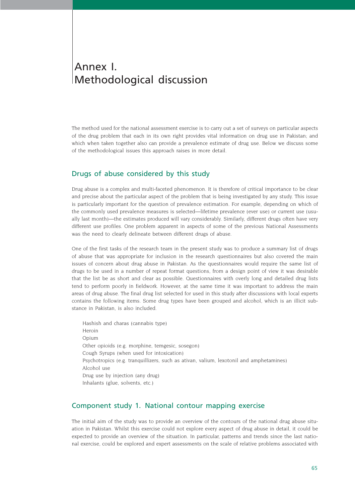# Annex I. Methodological discussion

The method used for the national assessment exercise is to carry out a set of surveys on particular aspects of the drug problem that each in its own right provides vital information on drug use in Pakistan; and which when taken together also can provide a prevalence estimate of drug use. Below we discuss some of the methodological issues this approach raises in more detail.

#### Drugs of abuse considered by this study

Drug abuse is a complex and multi-faceted phenomenon. It is therefore of critical importance to be clear and precise about the particular aspect of the problem that is being investigated by any study. This issue is particularly important for the question of prevalence estimation. For example, depending on which of the commonly used prevalence measures is selected—lifetime prevalence (ever use) or current use (usually last month)—the estimates produced will vary considerably. Similarly, different drugs often have very different use profiles. One problem apparent in aspects of some of the previous National Assessments was the need to clearly delineate between different drugs of abuse.

One of the first tasks of the research team in the present study was to produce a summary list of drugs of abuse that was appropriate for inclusion in the research questionnaires but also covered the main issues of concern about drug abuse in Pakistan. As the questionnaires would require the same list of drugs to be used in a number of repeat format questions, from a design point of view it was desirable that the list be as short and clear as possible. Questionnaires with overly long and detailed drug lists tend to perform poorly in fieldwork. However, at the same time it was important to address the main areas of drug abuse. The final drug list selected for used in this study after discussions with local experts contains the following items. Some drug types have been grouped and alcohol, which is an illicit substance in Pakistan, is also included.

Hashish and charas (cannabis type) Heroin Opium Other opioids (e.g. morphine, temgesic, sosegon) Cough Syrups (when used for intoxication) Psychotropics (e.g. tranquillizers, such as ativan, valium, lexotonil and amphetamines) Alcohol use Drug use by injection (any drug) Inhalants (glue, solvents, etc.)

### Component study 1. National contour mapping exercise

The initial aim of the study was to provide an overview of the contours of the national drug abuse situation in Pakistan. Whilst this exercise could not explore every aspect of drug abuse in detail, it could be expected to provide an overview of the situation. In particular, patterns and trends since the last national exercise, could be explored and expert assessments on the scale of relative problems associated with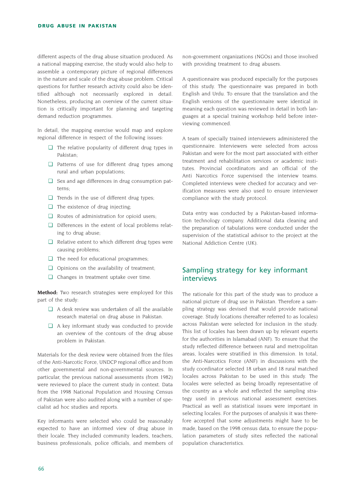different aspects of the drug abuse situation produced. As a national mapping exercise, the study would also help to assemble a contemporary picture of regional differences in the nature and scale of the drug abuse problem. Critical questions for further research activity could also be identified although not necessarily explored in detail. Nonetheless, producing an overview of the current situation is critically important for planning and targeting demand reduction programmes.

In detail, the mapping exercise would map and explore regional difference in respect of the following issues:

- ❏ The relative popularity of different drug types in Pakistan;
- ❏ Patterns of use for different drug types among rural and urban populations;
- ❏ Sex and age differences in drug consumption patterns;
- ❏ Trends in the use of different drug types;
- ❏ The existence of drug injecting;
- ❏ Routes of administration for opioid users;
- ❏ Differences in the extent of local problems relating to drug abuse;
- ❏ Relative extent to which different drug types were causing problems;
- ❏ The need for educational programmes;
- ❏ Opinions on the availability of treatment;
- ❏ Changes in treatment uptake over time.

**Method:** Two research strategies were employed for this part of the study:

- ❏ A desk review was undertaken of all the available research material on drug abuse in Pakistan.
- ❏ A key informant study was conducted to provide an overview of the contours of the drug abuse problem in Pakistan.

Materials for the desk review were obtained from the files of the Anti-Narcotic Force, UNDCP regional office and from other governmental and non-governmental sources. In particular, the previous national assessments (from 1982) were reviewed to place the current study in context. Data from the 1998 National Population and Housing Census of Pakistan were also audited along with a number of specialist ad hoc studies and reports.

Key informants were selected who could be reasonably expected to have an informed view of drug abuse in their locale. They included community leaders, teachers, business professionals, police officials, and members of non-government organizations (NGOs) and those involved with providing treatment to drug abusers.

A questionnaire was produced especially for the purposes of this study. The questionnaire was prepared in both English and Urdu. To ensure that the translation and the English versions of the questionnaire were identical in meaning each question was reviewed in detail in both languages at a special training workshop held before interviewing commenced.

A team of specially trained interviewers administered the questionnaire. Interviewers were selected from across Pakistan and were for the most part associated with either treatment and rehabilitation services or academic institutes. Provincial coordinators and an official of the Anti Narcotics Force supervised the interview teams. Completed interviews were checked for accuracy and verification measures were also used to ensure interviewer compliance with the study protocol.

Data entry was conducted by a Pakistan-based information technology company. Additional data cleaning and the preparation of tabulations were conducted under the supervision of the statistical advisor to the project at the National Addiction Centre (UK).

## Sampling strategy for key informant interviews

The rationale for this part of the study was to produce a national picture of drug use in Pakistan. Therefore a sampling strategy was devised that would provide national coverage. Study locations (hereafter referred to as locales) across Pakistan were selected for inclusion in the study. This list of locales has been drawn up by relevant experts for the authorities in Islamabad (ANF). To ensure that the study reflected difference between rural and metropolitan areas, locales were stratified in this dimension. In total, the Anti-Narcotics Force (ANF) in discussions with the study coordinator selected 18 urban and 18 rural matched locales across Pakistan to be used in this study. The locales were selected as being broadly representative of the country as a whole and reflected the sampling strategy used in previous national assessment exercises. Practical as well as statistical issues were important in selecting locales. For the purposes of analysis it was therefore accepted that some adjustments might have to be made, based on the 1998 census data, to ensure the population parameters of study sites reflected the national population characteristics.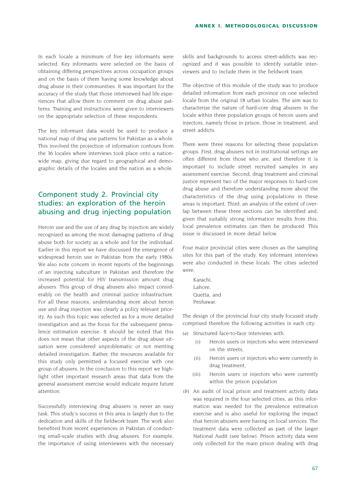In each locale a minimum of five key informants were selected. Key informants were selected on the basis of obtaining differing perspectives across occupation groups and on the basis of them having some knowledge about drug abuse in their communities. It was important for the accuracy of the study that those interviewed had life experiences that allow them to comment on drug abuse patterns. Training and instructions were given to interviewers on the appropriate selection of these respondents.

The key informant data would be used to produce a national map of drug use patterns for Pakistan as a whole. This involved the projection of information contours from the 36 locales where interviews took place onto a nationwide map, giving due regard to geographical and demographic details of the locales and the nation as a whole.

## Component study 2. Provincial city studies: an exploration of the heroin abusing and drug injecting population

Heroin use and the use of any drug by injection are widely recognized as among the most damaging patterns of drug abuse both for society as a whole and for the individual. Earlier in this report we have discussed the emergence of widespread heroin use in Pakistan from the early 1980s. We also note concern in recent reports of the beginnings of an injecting subculture in Pakistan and therefore the increased potential for HIV transmission amount drug abusers. This group of drug abusers also impact considerably on the health and criminal justice infrastructure. For all these reasons, understanding more about heroin use and drug injection was clearly a policy relevant priority. As such this topic was selected as for a more detailed investigation and as the focus for the subsequent prevalence estimation exercise. It should be noted that this does not mean that other aspects of the drug abuse situation were considered unproblematic or not meriting detailed investigation. Rather, the resources available for this study only permitted a focused exercise with one group of abusers. In the conclusion to this report we highlight other important research areas that data from the general assessment exercise would indicate require future attention.

Successfully interviewing drug abusers is never an easy task. This study's success in this area is largely due to the dedication and skills of the fieldwork team. The work also benefited from recent experiences in Pakistan of conducting small-scale studies with drug abusers. For example, the importance of using interviewers with the necessary skills and backgrounds to access street-addicts was recognized and it was possible to identify suitable interviewers and to include them in the fieldwork team.

The objective of this module of the study was to produce detailed information from each province on one selected locale from the original 18 urban locales. The aim was to characterize the nature of hard-core drug abusers in the locale within three population groups of heroin users and injectors, namely those in prison, those in treatment, and street addicts.

There were three reasons for selecting these population groups. First, drug abusers not in institutional settings are often different from those who are, and therefore it is important to include street recruited samples in any assessment exercise. Second, drug treatment and criminal justice represent two of the major responses to hard-core drug abuse and therefore understanding more about the characteristics of the drug using populations in these areas is important. Third, an analysis of the extent of overlap between these three sections can be identified and, given that suitably strong information results from this, local prevalence estimates can then be produced. This issue is discussed in more detail below.

Four major provincial cities were chosen as the sampling sites for this part of the study. Key informant interviews were also conducted in these locals. The cities selected were:

Karachi, Lahore, Quetta, and Peshawar.

The design of the provincial four city study focused study comprised therefore the following activities in each city:

- *(a)* Structured face-to-face interviews with:
	- (i) Heroin users or injectors who were interviewed on the streets,
	- (ii) Heroin users or injectors who were currently in drug treatment,
	- (iii) Heroin users or injectors who were currently within the prison population
- *(b)* An audit of local prison and treatment activity data was required in the four selected cities, as this information was needed for the prevalence estimation exercise and is also useful for exploring the impact that heroin abusers were having on local services. The treatment data were collected as part of the larger National Audit (see below). Prison activity data were only collected for the main prison dealing with drug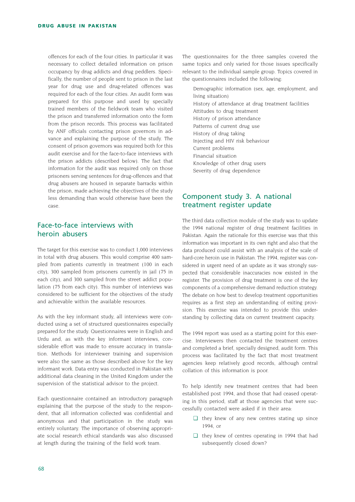offences for each of the four cities. In particular it was necessary to collect detailed information on prison occupancy by drug addicts and drug peddlers. Specifically, the number of people sent to prison in the last year for drug use and drug-related offences was required for each of the four cities. An audit form was prepared for this purpose and used by specially trained members of the fieldwork team who visited the prison and transferred information onto the form from the prison records. This process was facilitated by ANF officials contacting prison governors in advance and explaining the purpose of the study. The consent of prison governors was required both for this audit exercise and for the face-to-face interviews with the prison addicts (described below). The fact that information for the audit was required only on those prisoners serving sentences for drug-offences and that drug abusers are housed in separate barracks within the prison, made achieving the objectives of the study less demanding than would otherwise have been the case.

## Face-to-face interviews with heroin abusers

The target for this exercise was to conduct 1,000 interviews in total with drug abusers. This would comprise 400 sampled from patients currently in treatment (100 in each city), 300 sampled from prisoners currently in jail (75 in each city), and 300 sampled from the street addict population (75 from each city). This number of interviews was considered to be sufficient for the objectives of the study and achievable within the available resources.

As with the key informant study, all interviews were conducted using a set of structured questionnaires especially prepared for the study. Questionnaires were in English and Urdu and, as with the key informant interviews, considerable effort was made to ensure accuracy in translation. Methods for interviewer training and supervision were also the same as those described above for the key informant work. Data entry was conducted in Pakistan with additional data cleaning in the United Kingdom under the supervision of the statistical advisor to the project.

Each questionnaire contained an introductory paragraph explaining that the purpose of the study to the respondent, that all information collected was confidential and anonymous and that participation in the study was entirely voluntary. The importance of observing appropriate social research ethical standards was also discussed at length during the training of the field work team.

The questionnaires for the three samples covered the same topics and only varied for those issues specifically relevant to the individual sample group. Topics covered in the questionnaires included the following:

Demographic information (sex, age, employment, and living situation) History of attendance at drug treatment facilities Attitudes to drug treatment History of prison attendance Patterns of current drug use History of drug taking Injecting and HIV risk behaviour Current problems Financial situation Knowledge of other drug users Severity of drug dependence

### Component study 3. A national treatment register update

The third data collection module of the study was to update the 1994 national register of drug treatment facilities in Pakistan. Again the rationale for this exercise was that this information was important in its own right and also that the data produced could assist with an analysis of the scale of hard-core heroin use in Pakistan. The 1994, register was considered in urgent need of an update as it was strongly suspected that considerable inaccuracies now existed in the register. The provision of drug treatment is one of the key components of a comprehensive demand reduction strategy. The debate on how best to develop treatment opportunities requires as a first step an understanding of exiting provision. This exercise was intended to provide this understanding by collecting data on current treatment capacity.

The 1994 report was used as a starting point for this exercise. Interviewers then contacted the treatment centres and completed a brief, specially designed, audit form. This process was facilitated by the fact that most treatment agencies keep relatively good records, although central collation of this information is poor.

To help identify new treatment centres that had been established post 1994, and those that had ceased operating in this period, staff at those agencies that were successfully contacted were asked if in their area:

- ❏ they knew of any new centres stating up since 1994, or
- ❏ they knew of centres operating in 1994 that had subsequently closed down?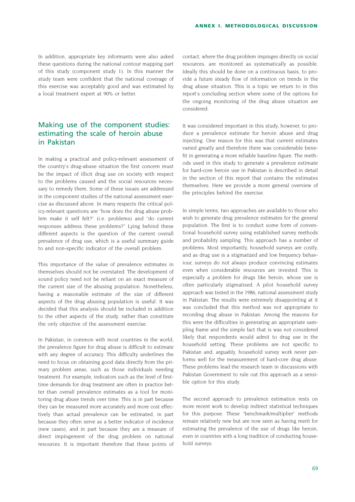In addition, appropriate key informants were also asked these questions during the national contour mapping part of this study (component study 1). In this manner the study team were confident that the national coverage of this exercise was acceptably good and was estimated by a local treatment expert at 90% or better.

## Making use of the component studies: estimating the scale of heroin abuse in Pakistan

In making a practical and policy-relevant assessment of the country's drug-abuse situation the first concern must be the impact of illicit drug use on society with respect to the problems caused and the social resources necessary to remedy them. Some of these issues are addressed in the component studies of the national assessment exercise as discussed above. In many respects the critical policy-relevant questions are "how does the drug abuse problem make it self felt?" (i.e. problems) and "do current responses address these problems?" Lying behind these different aspects is the question of the current overall prevalence of drug use, which is a useful summary guide to and non-specific indicator of the overall problem.

This importance of the value of prevalence estimates in themselves should not be overstated. The development of sound policy need not be reliant on an exact measure of the current size of the abusing population. Nonetheless, having a reasonable estimate of the size of different aspects of the drug abusing population is useful. It was decided that this analysis should be included in addition to the other aspects of the study, rather than constitute the only objective of the assessment exercise.

In Pakistan, in common with most countries in the world, the prevalence figure for drug abuse is difficult to estimate with any degree of accuracy. This difficulty underlines the need to focus on obtaining good data directly from the primary problem areas, such as those individuals needing treatment. For example, indicators such as the level of firsttime demands for drug treatment are often in practice better than overall prevalence estimates as a tool for monitoring drug abuse trends over time. This is in part because they can be measured more accurately and more cost effectively than actual prevalence can be estimated, in part because they often serve as a better indicator of incidence (new cases), and in part because they are a measure of direct impingement of the drug problem on national resources. It is important therefore that these points of

contact, where the drug problem impinges directly on social resources, are monitored as systematically as possible. Ideally this should be done on a continuous basis, to provide a future steady flow of information on trends in the drug abuse situation. This is a topic we return to in this report's concluding section where some of the options for the ongoing monitoring of the drug abuse situation are considered.

It was considered important in this study, however, to produce a prevalence estimate for heroin abuse and drug injecting. One reason for this was that current estimates varied greatly and therefore there was considerable benefit in generating a more reliable baseline figure. The methods used in this study to generate a prevalence estimate for hard-core heroin use in Pakistan is described in detail in the section of this report that contains the estimates themselves. Here we provide a more general overview of the principles behind the exercise.

In simple terms, two approaches are available to those who wish to generate drug prevalence estimates for the general population. The first is to conduct some form of conventional household survey using established survey methods and probability sampling. This approach has a number of problems. Most importantly, household surveys are costly, and as drug use is a stigmatized and low frequency behaviour, surveys do not always produce convincing estimates even when considerable resources are invested. This is especially a problem for drugs like heroin, whose use is often particularly stigmatised. A pilot household survey approach was tested in the 1986, national assessment study in Pakistan. The results were extremely disappointing at it was concluded that this method was not appropriate to recording drug abuse in Pakistan. Among the reasons for this were the difficulties in generating an appropriate sampling frame and the simple fact that is was not considered likely that respondents would admit to drug use in the household setting. These problems are not specific to Pakistan and, arguably, household survey work never performs well for the measurement of hard-core drug abuse. These problems lead the research team in discussions with Pakistan Government to rule out this approach as a sensible option for this study.

The second approach to prevalence estimation rests on more recent work to develop indirect statistical techniques for this purpose. These "benchmark/multiplier" methods remain relatively new but are now seen as having merit for estimating the prevalence of the use of drugs like heroin, even in countries with a long tradition of conducting household surveys.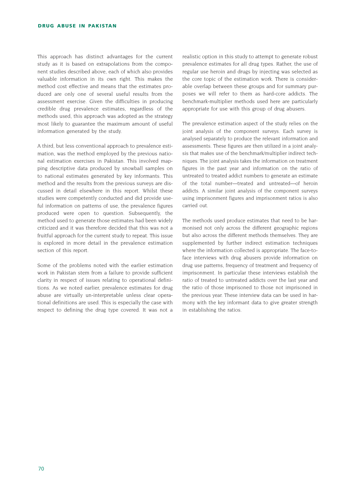This approach has distinct advantages for the current study as it is based on extrapolations from the component studies described above, each of which also provides valuable information in its own right. This makes the method cost effective and means that the estimates produced are only one of several useful results from the assessment exercise. Given the difficulties in producing credible drug prevalence estimates, regardless of the methods used, this approach was adopted as the strategy most likely to guarantee the maximum amount of useful information generated by the study.

A third, but less conventional approach to prevalence estimation, was the method employed by the previous national estimation exercises in Pakistan. This involved mapping descriptive data produced by snowball samples on to national estimates generated by key informants. This method and the results from the previous surveys are discussed in detail elsewhere in this report. Whilst these studies were competently conducted and did provide useful information on patterns of use, the prevalence figures produced were open to question. Subsequently, the method used to generate those estimates had been widely criticized and it was therefore decided that this was not a fruitful approach for the current study to repeat. This issue is explored in more detail in the prevalence estimation section of this report.

Some of the problems noted with the earlier estimation work in Pakistan stem from a failure to provide sufficient clarity in respect of issues relating to operational definitions. As we noted earlier, prevalence estimates for drug abuse are virtually un-interpretable unless clear operational definitions are used. This is especially the case with respect to defining the drug type covered. It was not a realistic option in this study to attempt to generate robust prevalence estimates for all drug types. Rather, the use of regular use heroin and drugs by injecting was selected as the core topic of the estimation work. There is considerable overlap between these groups and for summary purposes we will refer to them as hard-core addicts. The benchmark-multiplier methods used here are particularly appropriate for use with this group of drug abusers.

The prevalence estimation aspect of the study relies on the joint analysis of the component surveys. Each survey is analysed separately to produce the relevant information and assessments. These figures are then utilized in a joint analysis that makes use of the benchmark/multiplier indirect techniques. The joint analysis takes the information on treatment figures in the past year and information on the ratio of untreated to treated addict numbers to generate an estimate of the total number—treated and untreated—of heroin addicts. A similar joint analysis of the component surveys using imprisonment figures and imprisonment ratios is also carried out.

The methods used produce estimates that need to be harmonised not only across the different geographic regions but also across the different methods themselves. They are supplemented by further indirect estimation techniques where the information collected is appropriate. The face-toface interviews with drug abusers provide information on drug use patterns, frequency of treatment and frequency of imprisonment. In particular these interviews establish the ratio of treated to untreated addicts over the last year and the ratio of those imprisoned to those not imprisoned in the previous year. These interview data can be used in harmony with the key informant data to give greater strength in establishing the ratios.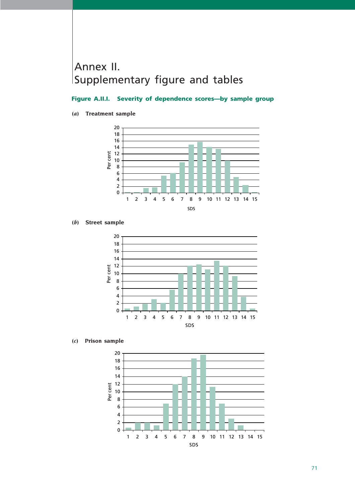# Annex II. Supplementary figure and tables

## **Figure A.II.I. Severity of dependence scores—by sample group**

#### *(a)* **Treatment sample**



*<sup>(</sup>b)* **Street sample**



*(c)* **Prison sample**

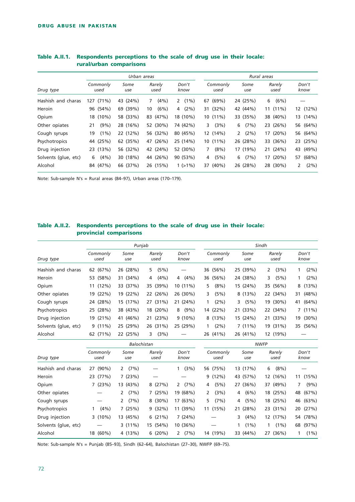|                      |                  | Urban areas |                |               |                  |                         | Rural areas    |                        |
|----------------------|------------------|-------------|----------------|---------------|------------------|-------------------------|----------------|------------------------|
| Drug type            | Commonly<br>used | Some<br>use | Rarely<br>used | Don't<br>know | Commonly<br>used | Some<br>use             | Rarely<br>used | Don't<br>know          |
| Hashish and charas   | $(71\%)$<br>127  | 43 (24%)    | $(4\%)$<br>7   | $(1\%)$<br>2  | 67 (69%)         | 24 (25%)                | (6%)<br>6      |                        |
| Heroin               | 96 (54%)         | 69 (39%)    | (6%)<br>10     | $(2\%)$<br>4  | 31 (32%)         | 42 (44%)                | $11(11\%)$     | 12 (12%)               |
| Opium                | $(10\%)$<br>18   | 58 (33%)    | (47%)<br>83    | 18 (10%)      | $10(11\%)$       | 33 (35%)                | 38 (40%)       | 13 (14%)               |
| Other opiates        | $(9\%)$<br>21    | 28 (16%)    | 52 (30%)       | 74 (42%)      | (3%)<br>3        | (7%)<br>6               | 23 (26%)       | 56 (64%)               |
| Cough syrups         | $(1\%)$<br>19    | 22 (12%)    | 56 (32%)       | 80 (45%)      | 12 (14%)         | $(2\%)$<br>$\mathbf{2}$ | $(20\%)$<br>17 | 56 (64%)               |
| Psychotropics        | (25%)<br>44      | 62 (35%)    | (26%)<br>47    | 25 (14%)      | $10(11\%)$       | 26 (28%)                | (36%)<br>33    | 23 (25%)               |
| Drug injection       | 23 (13%)         | 56 (32%)    | 42 (24%)       | 52 (30%)      | $(8\%)$<br>7     | 17 (19%)                | (24%)<br>21    | (49% )<br>43           |
| Solvents (glue, etc) | (4% )<br>6       | 30 (18%)    | 44 (26%)       | 90 (53%)      | (5%)<br>4        | (7%)<br>6               | $(20\%)$<br>17 | (68%)<br>57            |
| Alcohol              | 84 (47%)         | 66 (37%)    | 26 (15%)       | $1(>1\%)$     | $(40\%)$<br>37   | 26 (28%)                | 28 (30%)       | (2%)<br>$\overline{2}$ |

### **Table A.II.1. Respondents perceptions to the scale of drug use in their locale: rural/urban comparisons**

Note: Sub-sample N's = Rural areas (84–97), Urban areas (170–179).

#### **Table A.II.2. Respondents perceptions to the scale of drug use in their locale: provincial comparisons**

|                      |                  | Punjab      |                |               |                  |             | Sindh                         |               |
|----------------------|------------------|-------------|----------------|---------------|------------------|-------------|-------------------------------|---------------|
| Drug type            | Commonly<br>used | Some<br>use | Rarely<br>used | Don't<br>know | Commonly<br>used | Some<br>use | Rarely<br>used                | Don't<br>know |
| Hashish and charas   | 62 (67%)         | 26 (28%)    | (5%)<br>5.     |               | 36 (56%)         | 25 (39%)    | (3%)<br>$\mathbf{2}^{\prime}$ | (2%)          |
| Heroin               | 53 (58%)         | 31 (34%)    | $(4\%)$<br>4   | $(4\%)$<br>4  | 36 (56%)         | 24 (38%)    | (5%)<br>3                     | $(2\%)$       |
| Opium                | 11 (12%)         | 33 (37%)    | 35 (39%)       | $10(11\%)$    | $(8\%)$<br>5     | 15 (24%)    | 35 (56%)                      | 8(13%)        |
| Other opiates        | 19 (22%)         | 19 (22%)    | 22 (26%)       | 26 (30%)      | (5%)<br>3        | 8(13%)      | 22 (34%)                      | 31 (48%)      |
| Cough syrups         | 24 (28%)         | 15 (17%)    | $(31\%)$<br>27 | 21 (24%)      | $(2\%)$          | (5%)<br>3   | 19 (30%)                      | 41 (64%)      |
| Psychotropics        | 25 (28%)         | 38 (43%)    | 18 (20%)       | $(9\%)$<br>8  | 14 (22%)         | 21 (33%)    | 22 (34%)                      | 7(11%)        |
| Drug injection       | 19 (21%)         | 41 (46%)    | 21 (23%)       | $9(10\%)$     | 8(13%)           | 15 (24%)    | 21 (33%)                      | 19 (30%)      |
| Solvents (glue, etc) | $9(11\%)$        | 25 (29%)    | 26 (31%)       | 25 (29%)      | $(2\%)$          | 7(11%)      | 19 (31%)                      | 35 (56%)      |
| Alcohol              | 62 (71%)         | 22 (25%)    | (3%)<br>3      |               | 26 (41%)         | 26 (41%)    | 12 (19%)                      |               |

|                      |                  | Balochistan          |                |                        |                  |              | <b>NWFP</b>    |               |
|----------------------|------------------|----------------------|----------------|------------------------|------------------|--------------|----------------|---------------|
| Drug type            | Commonly<br>used | Some<br>use          | Rarely<br>used | Don't<br>know          | Commonly<br>used | Some<br>use  | Rarely<br>used | Don't<br>know |
| Hashish and charas   | 27 (90%)         | (7%)<br>$\mathbf{2}$ |                | (3%)                   | 56 (75%)         | 13 (17%)     | $(8\%)$<br>6   |               |
| Heroin               | 23 (77%)         | 7(23%)               |                |                        | $9(12\%)$        | 43 (57%)     | 12 (16%)       | 11(15%)       |
| Opium                | 7(23%)           | 13 (43%)             | 8(27%)         | 2 $(7%)$               | (5%)<br>4        | 27 (36%)     | 37 (49%)       | (9% )<br>7    |
| Other opiates        |                  | (7%)<br>2            | 7(25%)         | 19 (68%)               | (3%)<br>2        | (6%)<br>4    | 18 (25%)       | 48 (67%)      |
| Cough syrups         |                  | (7%)<br>2            | $8(30\%)$      | 17 (63%)               | (7%)<br>5.       | (5%)<br>4    | 18 (25%)       | 46 (63%)      |
| Psychotropics        | (4% )            | 7(25%)               | 9(32%)         | 11 (39%)               | 11 (15%)         | 21 (28%)     | 23 (31%)       | 20 (27%)      |
| Drug injection       | $3(10\%)$        | 13 (45%)             | 6(21%)         | 7(24%)                 |                  | $(4\%)$<br>3 | 12 (17%)       | 54 (78%)      |
| Solvents (glue, etc) |                  | $3(11\%)$            | 15 (54%)       | 10 (36%)               |                  | $(1\%)$      | $(1\%)$        | 68 (97%)      |
| Alcohol              | 18 (60%)         | 4(13%)               | 6(20%)         | (7%)<br>$\overline{2}$ | 14 (19%)         | 33 (44%)     | (36%)<br>27    | $(1\%)$       |

Note: Sub-sample N's = Punjab (85–93), Sindh (62–64), Balochistan (27–30), NWFP (69–75).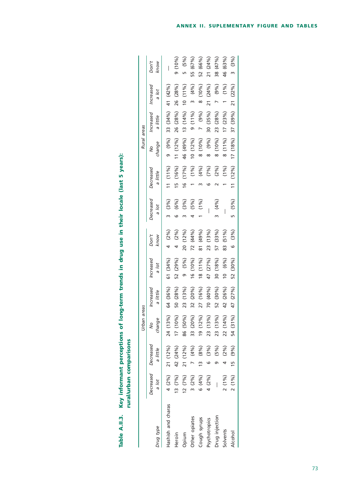| しょ さらご くらく    |   |
|---------------|---|
|               |   |
|               |   |
|               |   |
|               |   |
|               |   |
| Si<br>Si      |   |
| ר<br>ו        |   |
|               |   |
|               |   |
| í             |   |
|               |   |
|               |   |
| as of lor.    |   |
|               |   |
|               |   |
|               |   |
|               | ĺ |
|               |   |
| –<br>D<br>Z   |   |
|               |   |
| <u>:</u><br>: |   |
|               |   |
| able          |   |

|                    |                |                     | Urban areas                           |                       |                        |               |           |                    | Rural areas  |            |                          |          |
|--------------------|----------------|---------------------|---------------------------------------|-----------------------|------------------------|---------------|-----------|--------------------|--------------|------------|--------------------------|----------|
|                    |                | Decreased Decreased | $\infty$                              | ncreased              | Increased              | Don't         | Decreased | Decreased          | Ş            | Increased  | Increased                | Don't    |
| Drug type          | a lot          | a little            | change                                | a little              | a lot                  | know          | a lot     | a little           | change       | a little   | a lot                    | know     |
| Hashish and charas | 4 (2%)         | 21 (12%)            | 24 (13%)                              | 64 (36%)              | 61 (34%)               | $(2\%)$       | 3 (3%)    | $11(11\%)$         | 9 (9%)       | 33 (34%)   | 41 (42%)                 |          |
| Heroin             | 13 (7%)        | 42 (24%)            | 17 (10%)                              | $(28\%)$<br>50        | 52 (29%)               | (2%)          | (6%)      | (16%)<br>ŗ         | $11(12\%)$   | 26 (28%)   | (28%)<br>26 <sup>1</sup> | 9(10%)   |
| Opium              | 12(7%)         | 21 (12%)            | 86 (50%)                              | (13%)<br>23           | (5%)                   | $(12\%)$<br>ລ | (3%)      | (17%)<br>16        | 46 (49%)     | $13(14\%)$ | $10(1\%)$                | 5 (5%)   |
| Other opiates      | $3(2\%)$       | 7(4%)               | 33 (20%)                              | $(20\%)$<br>$\approx$ | 16 (10%)               | 72 (44%)      | (5%)      | (1%)               | $10(12\%)$   | $9(11\%)$  | $3 (4\%)$                | 55 (67%) |
| cough syrups       | 6(4%)          | 13 (8%)             | $\mathcal{S}_{\mathbf{0}}$<br>19(12)  | (16%)<br>27           | (11%)<br>$\frac{8}{2}$ | (49%)<br>81   | (1%)      | (4%)               | $8(10\%)$    | 7 (9%)     | $8(10\%)$                | 52 (66%) |
| Psychotropics      | 4 (2%)         | (3%)                | $\sqrt{6/6}$<br>23 (13)               | 70 (40%)              | (27%)<br>47            | (13%)<br>23   |           | (7%)               | $(9\%)$<br>∞ | 30 (35%)   | 21 (24%)                 | 21 (24%) |
| Orug injection     | $\overline{1}$ | $(5\%)$             | $\mathcal{S}_{\mathbf{0}}$<br>23 (13) | $(30\%)$<br>52        | 30 (18%)               | 57 (33%)      | 3 (4%)    | (2%)               | $8(10\%)$    | 23 (28%)   | 7 (9%)                   | 38 (47%) |
| Solvents           | $2(1\%)$       | $(2\%)$             | $\mathcal{S}_{\mathbf{0}}$<br>22(14)  | 42 (26%)              | $(6\%)$<br>$\approx$   | 83 (51%)      |           | (1%)               | $8(11\%)$    | 17(23%)    | $1 (1\%)$                | 46 (63%) |
| Alcohol            | 2(1%)          | 15 (9%)             | 54 (31%)                              | 47 (27%)              | 52 (30%)               | 6 (3%)        | 5 (5%)    | (12%)<br>$\ddot{}$ | 17 (18%)     | 37 (39%)   | 21 (22%)                 | 3(3%)    |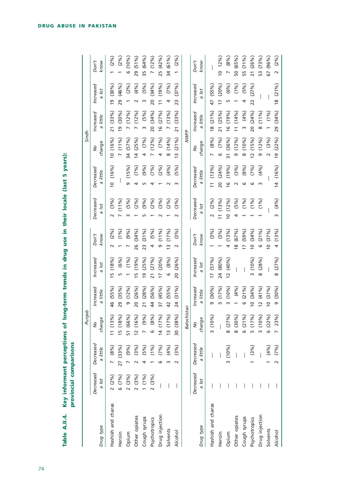|                    |                    |                       | Punjab                                                  |                                  |                          |                          |                            |                         | Sindh                       |                             |                           |                             |
|--------------------|--------------------|-----------------------|---------------------------------------------------------|----------------------------------|--------------------------|--------------------------|----------------------------|-------------------------|-----------------------------|-----------------------------|---------------------------|-----------------------------|
| Drug type          | Decreased<br>a lot | Decreased<br>a little | change<br>$\frac{1}{2}$                                 | Increased<br>a little            | Increased<br>a lot       | Don't<br>know            | Decreased<br>Jol<br>œ      | Decreased<br>a little   | change<br>$\infty$          | Increased<br>a little       | Increased<br>a lot        | Don't<br>know               |
| Hashish and charas | 2(2%)              | (8%)                  | $\mathcal{S}_{\mathbf{0}}$<br>11(13                     | (55%)<br>46                      | (18%)<br>m               | (2%)                     | (3%)                       | 10(16%)                 | 10(16%)                     | $(33\%)$<br>$\overline{21}$ | (30%)<br><u>و</u>         | (2%)                        |
| Heroin             | 6(7%)              | 27 (33%)              | $\mathcal{S}_{\mathbf{0}}$<br>15(18)                    | $(35\%)$<br>29                   | (6%)                     | $(1\%)$                  | (11%)                      |                         | (11%)<br>$\overline{a}$     | (30%)<br><u>ia</u>          | (46%)<br>29               | $(2\%)$                     |
| Opium              | 2(3%)              | (9%)                  | $\mathcal{S}_{\mathbf{0}}$<br>51 (66                    | (12%)<br>o                       | $(1\%)$                  | (9%)                     |                            | (15%)<br>σ              | 34 (57%)                    | $(12\%)$                    | $(2\%)$                   | (10%<br>o                   |
| Other opiates      | 2(3%)              | (3%)                  | %<br>12(16                                              | (26%)<br>$\overline{20}$         | (19%)<br>L               | (34%)<br>26              | $(5%)$<br>$(2%)$<br>$(9%)$ | (7%)                    | (25%)<br>$\overline{4}$     | $(12\%)$                    | (4%)                      | 29 (51%)                    |
| Cough syrups       | (19/6)             | $(5\%)$               | $\mathcal{S}_{\mathbf{0}}$<br>ల్ర                       | $(28\%)$<br>$\overline{21}$      | (25%)<br><b>01</b>       | (31%)<br>23              |                            | (9%)                    | (7%)<br>4                   | (5%)<br>m                   | (5%)                      | 35 (64%)                    |
| Psychotropics      | 2(3%)              | (1%)                  | %<br>$\infty$<br>9                                      | $(56\%)$<br>$\overline{4}$       | (27%)<br>$\overline{21}$ | (5%)<br>4                | $(2\%)$                    | (7%)                    | $(12\%)$                    | 20 (34%)                    | (34%)<br>$\overline{20}$  | (12%)<br>$\overline{a}$     |
| Drug injection     |                    | (7%)                  | 14(17%)                                                 | (45%)<br>37                      | (20%)<br>$\overline{1}$  | (11%)<br>ഗ               | (3%)                       | (2%)                    | $(7\%)$<br>4                | (27%)<br>$\frac{6}{1}$      | (19%)<br>$\overline{}$    | 25 (42%)                    |
| Solvents           |                    | (4%)                  | %<br>13(17)                                             | (55%)<br>42                      | (8%)<br>$\circ$          | (17%)<br>$\infty$        | $(2\%)$                    | (4%)                    | (14%)<br>$\infty$           | (13%)                       | $(7\%)$<br>4              | 34 (61%)                    |
| Alcohol            |                    | (3%)                  | 30 (38%)                                                | $(31\%)$<br>24                   | (26%)<br>$\overline{20}$ | (3%)<br>$\sim$           | (3%)                       | (5%)                    | $(21\%)$<br>$\tilde{c}$     | (33%)<br>$\overline{21}$    | (37%)<br>23               | $(2\%)$                     |
|                    |                    |                       | Balochistan                                             |                                  |                          |                          |                            |                         | <b>NWFP</b>                 |                             |                           |                             |
|                    | Decreased          | Decreased             | $\frac{1}{2}$                                           | Increased                        | Increased                | Don't                    | Decreased                  | Decreased               | Ş                           | Increased                   | Increased                 | Don't                       |
| Drug type          | Jot<br>c,          | a little              | change                                                  | a little                         | a lot                    | know                     | $\overline{a}$<br>a        | a little                | change                      | a little                    | a lot                     | know                        |
| Hashish and charas |                    |                       | $\mathcal{S}_{\mathbf{0}}$<br>$\frac{10}{3}$            | $(30\%)$<br>ഗ                    | (57%)<br>$\overline{1}$  | (3%)                     | (2%)                       | (13%)<br>$\overline{1}$ | (8%)                        | $(21\%)$<br>$\frac{8}{2}$   | (55%)<br>47               |                             |
| Heroin             |                    |                       |                                                         | (17%)<br>m                       | 24 (80%)                 | (3%)                     | (13%)                      | (24%)<br>20             | $(7\%)$<br>ဖ                | (25%)<br>$\overline{2}$     | $(20\%)$                  | 12%<br>$\overline{C}$       |
| Opium              |                    | 3(10%)                | $\mathcal{S}_{\mathbf{0}}$<br>8 (27                     | (10%)<br>m                       | (40%)<br>$\overline{c}$  | (13%)<br>$\overline{a}$  | (12%)<br>$\circ$           | (19%)<br>6              | $(36\%)$<br>$\overline{3}1$ | (19%)<br>$\frac{6}{2}$      | $(6\%)$<br>LN             | (8%)<br>$\overline{ }$      |
| Other opiates      |                    |                       | 8 (30%)                                                 | (4%)                             |                          | 18(67%)                  |                            | (3%)<br>$\sim$          | (12%)<br>ō                  | (14%)<br>$\overline{a}$     | $(1\%)$                   | $(65\%)$<br>50              |
| Cough syrups       |                    |                       | $\mathcal{S}_{\mathbf{0}}$<br>$\overline{2}$<br>$\circ$ | $(21\%)$<br>ဖ                    |                          | (59%)<br>$\overline{17}$ | $(5\%)$<br>(1%)            | (8%)<br>ڡ               | (10%)<br>$\infty$           | (4%)<br>m                   | (5%)                      | $(71\%)$<br>55              |
| Psychotropics      |                    | (3%)                  | %<br>$\overline{17}$<br>m                               | (34%)<br>$\subseteq$             | (10%)<br>m               | (34%)<br>$\overline{a}$  | $(1\%)$                    | (7%)<br>ڡ               | (15%)<br>$\sim$             | (24%)<br>$\overline{20}$    | (27%)<br>$\overline{2}$   | $(26\%)$<br>$\overline{21}$ |
| Drug injection     |                    |                       | (10%)<br>$\mathsf{m}$                                   | (41%)<br>$\overline{\mathbf{C}}$ | (28%)<br>$\infty$        | $(21\%)$<br>$\circ$      | (1%)                       | (4%)<br>m               | (12%)<br>ഗ                  | (11%)<br>$\infty$           |                           | (73%)<br>53                 |
| Solvents           |                    | (4%)                  | %<br>6(22)                                              | 10(37%)                          |                          | 10(37%)                  |                            |                         | $(3\%)$                     | $(1\%)$                     |                           | $(96\%)$<br>67              |
| Alcohol            |                    | (7%)                  | 23%)                                                    | (30%)<br>ō                       | (27%)<br>$\infty$        | (13%)<br>$\overline{a}$  | (4%)<br>w                  | (16%)<br>$\overline{4}$ | (22%)<br>$\overline{6}$     | (34%)<br>29                 | $(21\%)$<br>$\frac{8}{2}$ | (2%)<br>$\sim$              |

Table A.II.4. Key informant perceptions of long-term trends in drug use in their locale (last 5 years):<br>provincial comparisons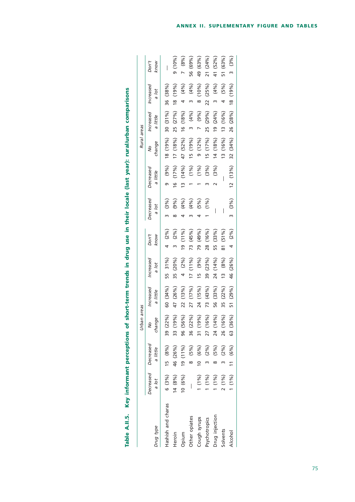|                    |           |                                 | Urban areas |                       |                    |               |                    |                       | Rural areas |                            |                    |               |
|--------------------|-----------|---------------------------------|-------------|-----------------------|--------------------|---------------|--------------------|-----------------------|-------------|----------------------------|--------------------|---------------|
| Drug type          | a lot     | Decreased Decreased<br>a little | change<br>इ | Increased<br>a little | Increased<br>a lot | Don't<br>know | Decreased<br>a lot | Decreased<br>a little | change<br>ş | Increased<br>a little      | Increased<br>a lot | Don't<br>know |
| Hashish and charas |           | $6(3\%)$ 15 $(8\%)$             | 39 (22%)    | 60 (34%)              | 55 31%)            | 4 (2%)        | $(3\%)$            | $(9\%)$               |             | 18 (19%) 30 (31%)          | 36 (38%)           |               |
| Heroin             | $14(8\%)$ | 46 (26%)                        | 33 (19%)    | 47 (26%)              | 35 (20%)           | $(2\%)$       | (9%)               | (17%)                 |             | $17$ $(18\%)\ 25$ $(27\%)$ | 18 (19%)           | $9(10\%)$     |
| Opium              | 10(6%)    | 19(11%)                         | 96 (56%)    | 22 (13%)              | 4 (2%)             | $19(11\%)$    | (4%)               | (14%)                 |             | 47 (52%) 16 (18%)          | (96)               | 7 (8%)        |
| Other opiates      | I         | $8 (5\%)$                       | 36 (22%)    | 27 (17%)              | 17(11%)            | 73 (45%)      | (4%)               | $(1\%)$               |             | $15(19\%)$ 3 $(4\%)$       | 3 (4%)             | 56 (69%)      |
| Cough syrups       | 1(1%)     | 10 (6%)                         | 31 (19%)    | 24 (15%)              | 15 (9%)            | 79 (49%)      | (5%)               | (1%)                  |             | 9 $(12\%)$ 7 $(9\%)$       | 8 (10%)            | 49 (63%)      |
| Psychotropics      | $(1\%)$   | (2%)                            | 27 (16%)    | 73 (43%)              | 39 (23%)           | 28 (16%)      | (1%)               | (3%)                  |             | 15 (17%) 25 (29%)          | 22 (25%)           | 21 (24%)      |
| Drug injection     | (1%)      | (5%)<br>∞                       | 24 (14%)    | 56 (33%)              | 24 (14%)           | 55 (33%)      | I                  | (3%)                  |             | $14(18\%)$ 19 $(24\%)$     | $(4\%)$            | 41 (52%)      |
| Solvents           | 2(1%)     | $(2\%)$                         | 26 (16%)    | 35 (22%)              | $13 (8\%)$         | 81 (51%)      | I                  |                       |             | 13 (16%) 13 (16%)          | $(5\%)$            | 51 (63%)      |
| Alcohol            | $1(1\%)$  | 11 (6%)                         | 63 (36%)    | 51 (29%)              | 46 (26%)           | 4 (2%)        | 3(3%)              | $12(13\%)$            |             | 32 (34%) 26 (28%)          | 18 (19%)           | 3(3%)         |

| use in -                 |  |
|--------------------------|--|
| . In drug use.           |  |
|                          |  |
|                          |  |
| ï                        |  |
| ֦֧֦֧֦֧֦֧֡֕               |  |
| į<br>ļ<br>ner            |  |
| ntorm<br>Ĩ<br><b>Key</b> |  |
|                          |  |
| ŧ<br><u>idaj</u>         |  |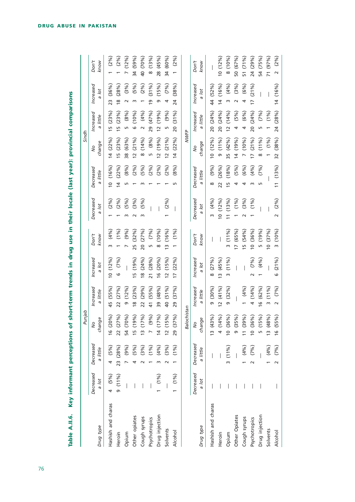| Table A.II.6. Key informant perceptions of |                    |                       | Punjab                                             |                                  |                         |                          |                       | short-term trends in drug use in their locale (last year): provincial comparisons | Sindh                            |                                 |                            |                          |
|--------------------------------------------|--------------------|-----------------------|----------------------------------------------------|----------------------------------|-------------------------|--------------------------|-----------------------|-----------------------------------------------------------------------------------|----------------------------------|---------------------------------|----------------------------|--------------------------|
| Drug type                                  | Decreased<br>a lot | Decreased<br>a little | $\mathbb Q$<br>$\frac{1}{2}$<br>chang <sub>i</sub> | Increased<br>little<br>G         | Increased<br>Jot<br>G,  | Don't<br>know            | Decreased<br>Jol<br>a | Decreased<br>little<br>c,                                                         | change<br>Ş                      | Increased<br>little<br>$\sigma$ | Increased<br>Jol<br>Ø      | Don't<br>know            |
| Hashish and charas                         | (5%)<br>4          | (5%)<br>4             | 16(20%)                                            | (55%)<br>45                      | (12%)<br>$\overline{c}$ | (4%)<br>$\sim$           | (2%)                  | (16%)<br>$\subseteq$                                                              | $(22\%)$<br>$\overline{4}$       | (23%)<br>$\overline{5}$         | (36%)<br>$\overline{23}$   | (2%)                     |
| Heroin                                     | $9(11\%)$          | 23 (28%)              | 22 (27%)                                           | (27%)<br>$\overline{2}$          | (7%)<br>م               | (1%)                     | $(2\%)$               | $(22\%)$<br>$\overline{4}$                                                        | (23%)<br>$\overline{5}$          | (23%)<br>$\overline{5}$         | (28%)<br>$\frac{8}{2}$     | (2%)                     |
| Opium                                      |                    | (9%)                  | 54 (70%)                                           | (12%)<br>თ                       |                         | (9%)                     | (5%)<br>$\sim$        | (8%)<br>m                                                                         | (63%)<br>38                      | (8%)<br>LN                      | (3%)<br>$\scriptstyle\sim$ | (12%)                    |
| Other opiates                              |                    | (5%)<br>4             | (19%)<br>15                                        | (23%)<br>$\frac{8}{2}$           | (19%)<br>LN             | (32%)<br>25              | (3%)                  | (2%)                                                                              | (21%)<br>$\overline{C}$          | (10%)<br>$\circ$                | (5%)<br>m                  | (59%)<br>$\overline{34}$ |
| Cough syrups                               |                    | (3%)                  | (17%)<br>$\frac{1}{2}$                             | (29%)<br>22                      | (24%)<br>$\frac{8}{2}$  | (27%)<br>$\overline{20}$ | (5%)<br>$\sim$        | (5%)                                                                              | (14%)<br>$\infty$                | (4%)<br>$\sim$                  | (2%)                       | (70%)<br>$\overline{a}$  |
| Psychotropics                              |                    | $(1\%)$               | (9%)                                               | (55%)<br>$\frac{4}{1}$           | (28%)<br>$\overline{c}$ | $(7\%)$<br>LN            |                       | (2%)                                                                              | (8%)<br>Б                        | (47%)<br>29                     | (31%)<br>G                 | (13%)<br>$\infty$        |
| Drug injection                             | $(1\%)$            | (4%)<br>m             | 14(17%)                                            | (48%)<br>39                      | (20%)<br>$\frac{6}{1}$  | (10%)<br>$\infty$        |                       | (2%)                                                                              | (19%)<br>$\overline{\mathbf{C}}$ | (19%)<br>$\overline{C}$         | (15%)<br>G                 | (45%)<br>$\frac{8}{2}$   |
| Solvents                                   |                    | (3%)                  | 12(15%)                                            | (51%)<br>$\overline{a}$          | (15%)<br>$\overline{C}$ | (16%)<br>$\tilde{c}$     | (2%)                  | (2%)                                                                              | $(21\%)$<br>$\overline{C}$       | (9%)<br>LN                      | (7%)<br>4                  | 34 (60%)                 |
| Alcohol                                    | $(1\%)$            | (1%)                  | (37%)<br>29                                        | (37%)<br>29                      | (22%)<br>$\overline{C}$ | (1%)                     |                       | (8%)                                                                              | (22%)<br>$\overline{4}$          | (31%)<br>$\overline{20}$        | (38%)<br>24                | (2%)                     |
|                                            |                    |                       | Balochistan                                        |                                  |                         |                          |                       |                                                                                   | <b>NWFP</b>                      |                                 |                            |                          |
|                                            | Decreased          | Decreased             | $\frac{1}{2}$                                      | Increased                        | Increased               | Don't                    | Decreased             | Decreased                                                                         | $\frac{1}{2}$                    | Increased                       | Increased                  | Don't                    |
| Drug type                                  | a lot              | a little              | $\mathsf{\underline{\Phi}}$<br>chang               | a little                         | a lot                   | know                     | a lot                 | little<br>c,                                                                      | change                           | a little                        | Jot                        | know                     |
| Hashish and charas                         |                    |                       | 13(43%)                                            | (30%)<br>ō                       | (27%)<br>$\infty$       |                          | (4%)<br>m             | (9%)<br>∞                                                                         | $10(12\%)$                       | (24%)<br>20                     | (52%)<br>44                |                          |
| Heroin                                     |                    |                       | 4(14%)                                             | (41%)<br>$\overline{\mathbf{C}}$ | (45%)<br>$\overline{m}$ |                          | (12%)<br>ă            | (26%)<br>22                                                                       | (11%)<br>ō                       | (24%)<br>$\overline{20}$        | (16%)<br>$\overline{4}$    | 0(12%)                   |
| Opium                                      |                    | 3(11%)                | 10(36%)                                            | (32%)<br>თ                       | (11%)<br>$\infty$       | (11%)<br>$\infty$        | (13%)                 | (18%)<br>$\overline{5}$                                                           | (42%)<br>35                      | (14%)<br>$\overline{c}$         | (4%)<br>m                  | 8(10%)                   |
| Other Opiates                              |                    |                       | (35%)<br>ഐ                                         |                                  |                         | (65%)<br>$\overline{C}$  | $(1\%)$               | (5%)<br>4                                                                         | (19%)<br>$\overline{4}$          | (5%)<br>4                       | (3%)                       | 50 (67%)                 |
| Cough syrups                               |                    | (4%)                  | (39%)<br>$\frac{1}{1}$                             | (4%)                             |                         | (54%)<br>ம்              | (3%)                  | (6%)<br>4                                                                         | (10%)<br>$\overline{ }$          | $(6\%)$<br>4                    | $(6\%)$<br>4               | (71%)<br>51              |
| Psychotropics                              |                    | (7%)<br>$\sim$        | 10(36%)                                            | (14%)<br>$\overline{a}$          | (7%)                    | (36%)<br>$\tilde{a}$     | (1%)                  | (4%)<br>$\sim$                                                                    | $(21\%)$<br>$\overline{1}$       | 20 (24%)                        | $(21\%)$<br>$\overline{1}$ | 24 (29%)                 |
| Drug injection                             |                    |                       | (15%)<br>Ln                                        | (62%)<br>$\frac{6}{2}$           | (4%)                    | (19%)<br>Ь٥              |                       | (7%)<br>S                                                                         | (11%)<br>∞                       | (7%)<br>Ln                      |                            | (75%)<br>54              |
| Solvents                                   |                    | (4%)                  | (48%)<br>$\frac{1}{2}$                             | (11%)<br>$\infty$                |                         | (37%)<br>$\tilde{a}$     |                       |                                                                                   | $(1\%)$                          | (1%)                            |                            | (97%)<br>$\overline{7}$  |
| Alcohol                                    |                    | (7%)<br>$\sim$        | (55%)<br>$\frac{6}{1}$                             | $(7\%)$<br>$\sim$                | (21%)<br>9              | (10%)<br>$\omega$        | (2%)<br>$\sim$        | (13%)<br>$\overline{1}$                                                           | (38%)<br>$\overline{32}$         | (28%)<br>24                     | (16%)<br>$\overline{4}$    | $(2\%)$<br>$\sim$        |

Key informant perceptions of short-term trends in drug use in their locale (last year): provincial comparisons Table A.II.6.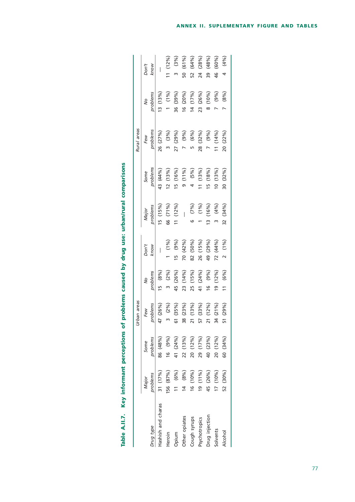|                    |            |                   | Urban areas |            |             |                        |             | Rural areas |          |                          |
|--------------------|------------|-------------------|-------------|------------|-------------|------------------------|-------------|-------------|----------|--------------------------|
|                    | Major      | Some              | Few         | Ş          | Don't       | Major                  | Some        | Few         | Ş        | Don't                    |
| Drug type          | problems   | problems          | problems    | problems   | know        | problems               | problems    | problems    | problems | know                     |
| Hashish and charas | 31 (17%)   | 86 (48%)          | 47 (26%)    | 15 (8%)    | I           | 15 (15%)               | 43 (44%)    | 26 (27%)    | 13(13%)  | $\overline{\phantom{a}}$ |
| Heroin             | 56 (87%)   | 16(9%)            | 3(2%)       | (2%)<br>w  | $(1\%)$     | 66 (71%)               | 12(13%)     | 3 (3%)      | (19/6)   | $11(12\%)$               |
| Opium              | 11 (6%)    | 41 (24%)          | 61 (35%)    | 45 (26%)   | (9%)<br>15  | (12%)<br>$\frac{1}{1}$ | (16%)<br>Ŀ  | 27 (29%)    | 36 (39%) | (3%)                     |
| Other opiates      | $14 (8\%)$ | 22 (13%)          | 38 (23%)    | 23 (14%)   | 70 (42%)    |                        | 9(11%)      | (9%)        | 16(20%)  | 50 (61%)                 |
| Cough syrups       | 16 (10%)   | 20 (12%)          | 21 (13%)    | 25 (15%)   | 82 (50%)    | (7%)                   | (5%)<br>4   | $(6\%)$     | 14 (17%) | (64%)<br>52              |
| Psychotropics      | (19(11%)   | (17%)<br><u>ღ</u> | 57 (33%)    | 41 (24%)   | (15%)<br>26 | (1%)                   | $11(13\%)$  | 28 (32%)    | 23 (26%) | (28%)<br>24              |
| Drug injection     | 45 (26%)   | 40 (23%)          | 21 (12%)    | $(9\%)$    | 49 (29%)    | (16%)<br>m             | (18%)<br>15 | 7 (9%)      | 8(10%)   | (48%)<br>თ<br>ო          |
| Solvents           | 17(10%)    | 20 (12%)          | 34 (21%)    | $19(12\%)$ | 72 (44%)    | (4%)                   | 10(13%)     | $11(14\%)$  | (9%)     | (60%)<br>46              |
| Alcohol            | 52 (30%)   | 60 (34%)          | 51 (29%)    | 11 (6%)    | $2(1\%)$    | 32 (34%)               | 30 (32%)    | 20 (22%)    | (8%)     | (4%)<br>4                |
|                    |            |                   |             |            |             |                        |             |             |          |                          |

|                                                                                              | פרסים בירות |
|----------------------------------------------------------------------------------------------|-------------|
|                                                                                              |             |
|                                                                                              |             |
|                                                                                              |             |
|                                                                                              |             |
| Table A.II.7. Key informant perceptions of problems caused by drug use: urban/rural comparis |             |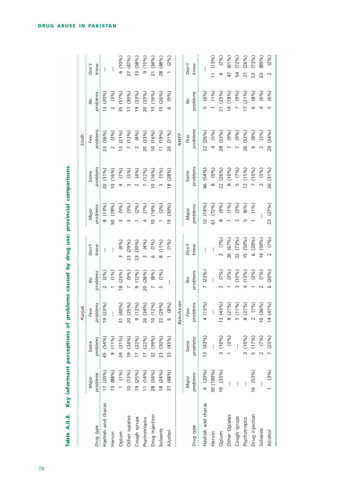|                    |                   |                           | Punjab                                 |                           |                             |                          |                                  | Sindh                       |                             |                          |
|--------------------|-------------------|---------------------------|----------------------------------------|---------------------------|-----------------------------|--------------------------|----------------------------------|-----------------------------|-----------------------------|--------------------------|
| Drug type          | problems<br>Major | problems<br>Some          | problems<br>Few                        | problems<br>$\frac{1}{2}$ | Don't<br>know               | problems<br>Major        | problems<br>Some                 | problems<br>Few             | problems<br>$\frac{1}{2}$   | Don't<br>know            |
| Hashish and charas | 17(20%)           | 45 (54%)                  | 9(23%)                                 | (2%)                      |                             | (13%)<br>$\infty$        | 20 (31%)                         | $(36\%)$<br>$\overline{23}$ | $13(20\%)$                  |                          |
| Heroin             | 73 (88%)          | (11%)<br>$\sigma$         |                                        | $(1\%)$                   |                             | 50 (78%)                 | 10(16%)                          | (3%)<br>$\sim$              | (3%)<br>$\sim$              |                          |
| Opium              | $(1\%)$           | 24 (31%)                  | (40%)<br>$\overline{\phantom{0}}$<br>m | (23%)<br>$\frac{8}{2}$    | $(4\%)$<br>m                | $(5\%)$                  | $(7\%)$                          | $(21\%)$<br>$\frac{1}{2}$   | (57%)<br>55                 | 6(10%)                   |
| Other opiates      | 10(13%)           | (24%)<br>$\frac{1}{2}$    | (25%)<br>$\circ$<br>$\bar{N}$          | (9%)<br>$\overline{ }$    | (29%)<br>23                 | (5%)                     | $(5\%)$                          | $(12\%)$<br>$\overline{a}$  | $(30\%)$<br>$\overline{1}$  | 27 (47%)                 |
| Cough syrups       | 19 (25%)          | 17(22%)                   | (12%)<br>൭                             | $(12\%)$<br>ō             | $(30\%)$<br>$\overline{23}$ | $(2\%)$                  | $(4\%)$                          | $(4\%)$<br>$\sim$           | (33%)<br>ഇ                  | 33 (58%)                 |
| Psychotropics      | $11(14\%)$        | 17(22%)                   | (34%)<br>26                            | 20 (26%)                  | $(4\%)$<br>m                | (7%)                     | $(12\%)$                         | 20 (33%)                    | $(33\%)$<br>$\overline{20}$ | (15%)<br>თ,              |
| Drug injection     | 28 (34%)          | (39%)<br>$\overline{32}$  | $(12\%)$<br>$\circ$                    | $(8\%)$                   | $(7\%)$<br>G                | (16%)<br>$\overline{a}$  | (16%)<br>$\overline{c}$          | 10(16%)                     | (16%)<br>$\overline{c}$     | 21 (34%)                 |
| Solvents           | $18(24\%)$        | (30%)<br>$\overline{23}$  | 22 (29%)                               | (7%)<br>Ln                | (11%)<br>$\infty$           | $(2\%)$                  | (5%)<br>ω                        | (19%)<br>$\overline{a}$     | (26%)<br>$\frac{5}{2}$      | 28 (48%)                 |
| Alcohol            | 37 (48%)          | (43%)<br>33               | (8%)<br>$\circ$                        |                           | (1%)                        | (30%)<br>$\overline{0}$  | (28%)<br>$\overline{\mathbf{8}}$ | $(31\%)$<br>$\overline{6}$  | (9%)<br>ဖ                   | (2%)                     |
|                    |                   |                           | lochistan<br>Ba                        |                           |                             |                          |                                  | <b>NWFP</b>                 |                             |                          |
|                    | Major             | Some                      | Few                                    | $\frac{1}{2}$             | Don't                       | Major                    | Some                             | Few                         | $\frac{1}{2}$               | Don't                    |
| Drug type          | problems          | problems                  | problems                               | problems                  | know                        | problems                 | problems                         | problems                    | problems                    | know                     |
| Hashish and charas | (20%)<br>o        | 13(43%)                   | 4(13%)                                 | (23%)<br>$\overline{a}$   |                             | $12(14\%)$               | 46 (54%)                         | 22 (26%)                    | $(6\%)$<br>Ln               |                          |
| Heroin             | 30 (100%)         |                           |                                        |                           |                             | (72%)<br><u>ნ</u>        | (9%)<br>$\infty$                 | (5%)<br>$\overline{a}$      | $(1\%)$                     | (13%)                    |
| Opium              | 10(33%)           | $(10\%)$<br>$\mathsf{m}$  | (43%)<br>$\infty$                      | $(7\%)$                   | (7%)<br>$\sim$              | $(9\%)$<br>$\infty$      | 22 (26%)                         | 28 (33%)                    | (25%)<br>$\overline{21}$    | $(7\%)$<br>ဖ             |
| Other Opiates      |                   | $(3\%)$                   | (27%)<br>$\infty$                      | (3%)                      | 20 (67%)                    | $(1\%)$                  | (10%)<br>$\infty$                | (9%)<br>$\overline{ }$      | (18%)<br>$\overline{4}$     | (61%)<br>47              |
| Cough syrups       |                   |                           | (17%)<br>LO                            | (10%                      | (73%)<br>$\overline{2}$     | (3%)                     | $(7\%)$<br>m                     | (9%)<br>$\overline{ }$      | (9%)<br>$\overline{ }$      | $(72\%)$<br>54           |
| Psychotropics      |                   | $(10\%$<br>$\omega$       | (27%)<br>$\infty$                      | (13%)<br>4                | $(50\%)$<br>$\overline{5}$  | $(6\%)$                  | (15%)<br>$\overline{5}$          | 26 (32%)                    | $17(21\%)$                  | (26%)<br>$\overline{21}$ |
| Drug injection     | 16(53%)           | (17%)<br>$\overline{5}$   | (7%)<br>$\sim$                         | (3%)                      | $(20\%)$<br>$\circ$         | (1%)                     | (10%)                            | $(8\%)$<br>6                | $(8\%)$<br>ဖ                | (73%)<br>S               |
| Solvents           |                   | $(7\%)$<br>$\overline{a}$ | $(36\%)$<br>$\circ$                    | $(7\%)$                   | 14 (50%)                    |                          | $(3\%)$                          | (3%)<br>$\sim$              | $(6\%)$<br>4                | (89%)<br>63              |
| Alcohol            | (3%)              | (23%)                     | (47%)<br>$\overline{a}$                | $(20\%)$<br>م             | (7%)<br>$\sim$              | (27%)<br>$\overline{23}$ | (31%)<br>26                      | (34%)<br>29                 | $(6\%)$<br>Б                | (2%)<br>$\sim$           |

Table A.II.8. Key informant perceptions of problems caused by drug use: provincial comparisons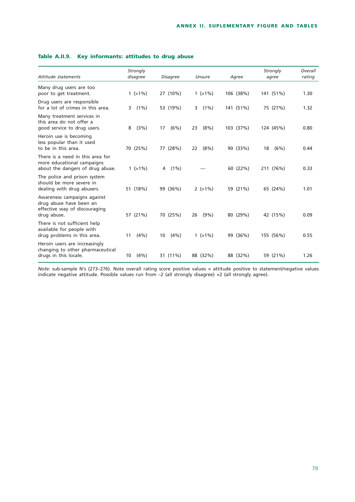| Attitude statements                                                                                | Strongly<br>disagree | Disagree     | Unsure         | Agree     | Strongly<br>agree | Overall<br>rating |
|----------------------------------------------------------------------------------------------------|----------------------|--------------|----------------|-----------|-------------------|-------------------|
| Many drug users are too<br>poor to get treatment.                                                  | $1(>1\%)$            | 27 (10%)     | $1(>1\%)$      | 106 (38%) | 141 (51%)         | 1.30              |
| Drug users are responsible<br>for a lot of crimes in this area.                                    | $(1\%)$<br>3         | 53 (19%)     | $(1\%)$<br>3   | 141 (51%) | 75 (27%)          | 1.32              |
| Many treatment services in<br>this area do not offer a<br>good service to drug users.              | (3%)<br>8            | (6%)<br>17   | $(8\%)$<br>23  | 103 (37%) | 124 (45%)         | 0.80              |
| Heroin use is becoming<br>less popular than it used<br>to be in this area.                         | 70 (25%)             | 77 (28%)     | $(8\%)$<br>22  | 90 (33%)  | (6%)<br>18        | 0.44              |
| There is a need in this area for<br>more educational campaigns<br>about the dangers of drug abuse. | $1(>1\%)$            | $(1\%)$<br>4 |                | 60 (22%)  | 211 (76%)         | 0.33              |
| The police and prison system<br>should be more severe in<br>dealing with drug abusers.             | 51 (18%)             | 99 (36%)     | $2$ ( $>1\%$ ) | 59 (21%)  | 65 (24%)          | 1.01              |
| Awareness campaigns against<br>drug abuse have been an<br>effective way of discouraging            |                      |              |                |           |                   |                   |
| drug abuse.<br>There is not sufficient help                                                        | 57 (21%)             | 70 (25%)     | $(9\%)$<br>26  | 80 (29%)  | 42 (15%)          | 0.09              |
| available for people with<br>drug problems in this area.                                           | (4% )<br>11          | (4% )<br>10  | $1(>1\%)$      | 99 (36%)  | 155 (56%)         | 0.55              |
| Heroin users are increasingly<br>changing to other pharmaceutical<br>drugs in this locale.         | (4% )<br>10          | 31 (11%)     | 88 (32%)       | 88 (32%)  | 59 (21%)          | 1.26              |

### **Table A.II.9. Key informants: attitudes to drug abuse**

*Note:* sub-sample N's (273–276). Note overall rating score positive values = attitude positive to statement/negative values indicate negative attitude. Possible values run from –2 (all strongly disagree) +2 (all strongly agree).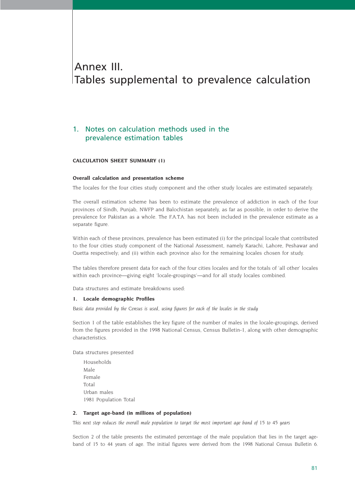# Annex III. Tables supplemental to prevalence calculation

## 1. Notes on calculation methods used in the prevalence estimation tables

#### **CALCULATION SHEET SUMMARY (1)**

#### **Overall calculation and presentation scheme**

The locales for the four cities study component and the other study locales are estimated separately.

The overall estimation scheme has been to estimate the prevalence of addiction in each of the four provinces of Sindh, Punjab, NWFP and Balochistan separately, as far as possible, in order to derive the prevalence for Pakistan as a whole. The F.A.T.A. has not been included in the prevalence estimate as a separate figure.

Within each of these provinces, prevalence has been estimated (i) for the principal locale that contributed to the four cities study component of the National Assessment, namely Karachi, Lahore, Peshawar and Quetta respectively; and (ii) within each province also for the remaining locales chosen for study.

The tables therefore present data for each of the four cities locales and for the totals of 'all other' locales within each province—giving eight 'locale-groupings'—and for all study locales combined.

Data structures and estimate breakdowns used:

#### **1. Locale demographic Profiles**

*Basic data provided by the Census is used, using figures for each of the locales in the study*

Section 1 of the table establishes the key figure of the number of males in the locale-groupings, derived from the figures provided in the 1998 National Census, Census Bulletin-1, along with other demographic characteristics.

Data structures presented

Households Male Female Total Urban males 1981 Population Total

#### **2. Target age-band (in millions of population)**

*This next step reduces the overall male population to target the most important age band of 15 to 45 years*

Section 2 of the table presents the estimated percentage of the male population that lies in the target ageband of 15 to 44 years of age. The initial figures were derived from the 1998 National Census Bulletin 6.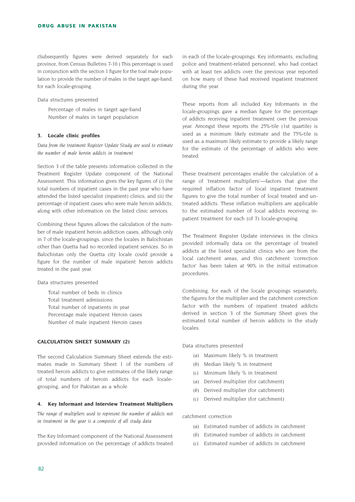(Subsequently figures were derived separately for each province, from Census Bulletins 7-10.) This percentage is used in conjunction with the section 1 figure for the toal male population to provide the number of males in the target age-band, for each locale-grouping.

Data structures presented

Percentage of males in target age-band Number of males in target population

#### **3. Locale clinic profiles**

*Data from the treatment Register Update Study are used to estimate the number of male heroin addicts in treatment*

Section 3 of the table presents information collected in the Treatment Register Update component of the National Assessment. This information gives the key figures of (i) the total numbers of inpatient cases in the past year who have attended the listed specialist (inpatient) clinics; and (ii) the percentage of inpatient cases who were male heroin addicts, along with other information on the listed clinic services.

Combining these figures allows the calculation of the number of male inpatient heroin addiction cases, although only in 7 of the locale-groupings, since the locales in Balochistan other than Quetta had no recorded inpatient services. So in Balochistan only the Quetta city locale could provide a figure for the number of male inpatient heroin addicts treated in the past year.

Data structures presented

Total number of beds in clinics Total treatment admissions Total number of inpatients in year Percentage male inpatient Heroin cases Number of male inpatient Heroin cases

#### **CALCULATION SHEET SUMMARY (2)**

The second Calculation Summary Sheet extends the estimates made in Summary Sheet 1 of the numbers of treated heroin addicts to give estimates of the likely range of total numbers of heroin addicts for each localegrouping, and for Pakistan as a whole.

#### **4. Key Informant and Interview Treatment Multipliers**

*The range of multipliers used to represent the number of addicts not in treatment in the year is a composite of all study data*

The Key Informant component of the National Assessment provided information on the percentage of addicts treated

in each of the locale-groupings. Key informants, excluding police and treatment-related personnel, who had contact with at least ten addicts over the previous year reported on how many of these had received inpatient treatment during the year.

These reports from all included Key Informants in the locale-groupings gave a median figure for the percentage of addicts receiving inpatient treatment over the previous year. Amongst these reports the 25%-tile (1st quartile) is used as a minimum likely estimate and the 75%-tile is used as a maximum likely estimate to provide a likely range for the estimate of the percentage of addicts who were treated.

These treatment percentages enable the calculation of a range of 'treatment multipliers'—factors that give the required inflation factor of local inpatient treatment figures to give the total number of local treated and untreated addicts. These inflation multipliers are applicable to the estimated number of local addicts receiving inpatient treatment for each (of 7) locale-grouping.

The Treatment Register Update interviews in the clinics provided informally data on the percentage of treated addicts at the listed specialist clinics who are from the local catchment areas, and this catchment 'correction factor' has been taken at 90% in the initial estimation procedures.

Combining, for each of the locale groupings separately, the figures for the multiplier and the catchment correction factor with the numbers of inpatient treated addicts derived in section 3 of the Summary Sheet gives the estimated total number of heroin addicts in the study locales.

Data structures presented

- *(a)* Maximum likely % in treatment
- *(b)* Median likely % in treatment
- *(c)* Minimum likely % in treatment
- *(a)* Derived multiplier (for catchment)
- *(b)* Derived multiplier (for catchment)
- *(c)* Derived multiplier (for catchment)

catchment correction

- *(a)* Estimated number of addicts in catchment
- *(b)* Estimated number of addicts in catchment
- *(c)* Estimated number of addicts in catchment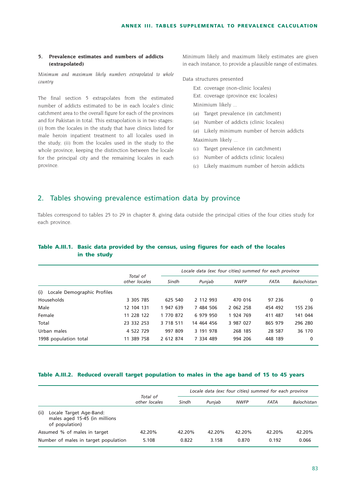#### **5. Prevalence estimates and numbers of addicts (extrapolated)**

*Minimum and maximum likely numbers extrapolated to whole country*

The final section 5 extrapolates from the estimated number of addicts estimated to be in each locale's clinic catchment area to the overall figure for each of the provinces and for Pakistan in total. This extrapolation is in two stages: (i) from the locales in the study that have clinics listed for male heroin inpatient treatment to all locales used in the study; (ii) from the locales used in the study to the whole province, keeping the distinction between the locale for the principal city and the remaining locales in each province.

Minimum likely and maximum likely estimates are given in each instance, to provide a plausible range of estimates.

#### Data structures presented

- Ext. coverage (non-clinic locales)
- Ext. coverage (province exc locales)
- Minimium likely ...
- *(a)* Target prevalence (in catchment)
- *(a)* Number of addicts (clinic locales)
- *(a)* Likely minimum number of heroin addicts Maximium likely ...
- *(c)* Target prevalence (in catchment)
- *(c)* Number of addicts (clinic locales)
- *(c)* Likely maximum number of heroin addicts

### 2. Tables showing prevalence estimation data by province

Tables correspond to tables 25 to 29 in chapter 8, giving data outside the principal cities of the four cities study for each province.

# **Table A.III.1. Basic data provided by the census, using figures for each of the locales in the study**

|                                    |                           |           |            | Locale data (exc four cities) summed for each province |             |             |
|------------------------------------|---------------------------|-----------|------------|--------------------------------------------------------|-------------|-------------|
|                                    | Total of<br>other locales | Sindh     | Punjab     | <b>NWFP</b>                                            | <b>FATA</b> | Balochistan |
| Locale Demographic Profiles<br>(i) |                           |           |            |                                                        |             |             |
| Households                         | 3 305 785                 | 625 540   | 2 112 993  | 470 016                                                | 97 236      | 0           |
| Male                               | 12 104 131                | 1 947 639 | 7 484 506  | 2 062 258                                              | 454 492     | 155 236     |
| Female                             | 11 228 122                | 1 770 872 | 6 979 950  | 1 924 769                                              | 411 487     | 141 044     |
| Total                              | 23 332 253                | 3 718 511 | 14 464 456 | 3 987 027                                              | 865 979     | 296 280     |
| Urban males                        | 4 522 729                 | 997 809   | 3 191 978  | 268 185                                                | 28 587      | 36 170      |
| 1998 population total              | 11 389 758                | 2 612 874 | 7 334 489  | 994 206                                                | 448 189     | 0           |

#### **Table A.III.2. Reduced overall target population to males in the age band of 15 to 45 years**

|      |                                                                            | Total of      |        | Locale data (exc four cities) summed for each province |             |        |             |
|------|----------------------------------------------------------------------------|---------------|--------|--------------------------------------------------------|-------------|--------|-------------|
|      |                                                                            | other locales | Sindh  | Punjab                                                 | <b>NWFP</b> | FATA   | Balochistan |
| (ii) | Locale Target Age-Band:<br>males aged 15-45 (in millions<br>of population) |               |        |                                                        |             |        |             |
|      | Assumed % of males in target                                               | 42.20%        | 42.20% | 42.20%                                                 | 42.20%      | 42.20% | 42.20%      |
|      | Number of males in target population                                       | 5.108         | 0.822  | 3.158                                                  | 0.870       | 0.192  | 0.066       |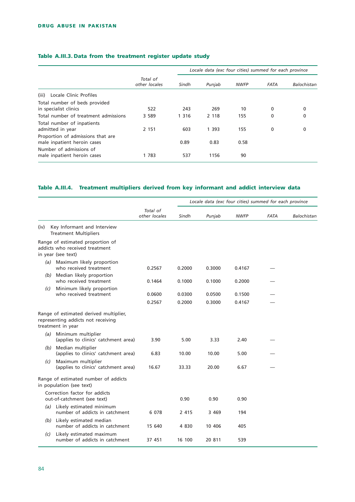## **Table A.III.3. Data from the treatment register update study**

|                                                                  |                           | Locale data (exc four cities) summed for each province |         |             |             |             |  |
|------------------------------------------------------------------|---------------------------|--------------------------------------------------------|---------|-------------|-------------|-------------|--|
|                                                                  | Total of<br>other locales | Sindh                                                  | Punjab  | <b>NWFP</b> | <b>FATA</b> | Balochistan |  |
| Locale Clinic Profiles<br>(iii)                                  |                           |                                                        |         |             |             |             |  |
| Total number of beds provided<br>in specialist clinics           | 522                       | 243                                                    | 269     | 10          | 0           | 0           |  |
| Total number of treatment admissions                             | 3 5 8 9                   | 1 3 1 6                                                | 2 1 1 8 | 155         | 0           | 0           |  |
| Total number of inpatients<br>admitted in year                   | 2 1 5 1                   | 603                                                    | 1 3 9 3 | 155         | 0           | 0           |  |
| Proportion of admissions that are<br>male inpatient heroin cases |                           | 0.89                                                   | 0.83    | 0.58        |             |             |  |
| Number of admissions of<br>male inpatient heroin cases           | 1 783                     | 537                                                    | 1156    | 90          |             |             |  |

#### **Table A.III.4. Treatment multipliers derived from key informant and addict interview data**

|      |                                                                                                   |                           | Locale data (exc four cities) summed for each province |         |             |             |             |  |
|------|---------------------------------------------------------------------------------------------------|---------------------------|--------------------------------------------------------|---------|-------------|-------------|-------------|--|
|      |                                                                                                   | Total of<br>other locales | Sindh                                                  | Punjab  | <b>NWFP</b> | <b>FATA</b> | Balochistan |  |
| (iv) | Key Informant and Interview<br><b>Treatment Multipliers</b>                                       |                           |                                                        |         |             |             |             |  |
|      | Range of estimated proportion of<br>addicts who received treatment<br>in year (see text)          |                           |                                                        |         |             |             |             |  |
|      | (a) Maximum likely proportion<br>who received treatment                                           | 0.2567                    | 0.2000                                                 | 0.3000  | 0.4167      |             |             |  |
|      | Median likely proportion<br>(b)<br>who received treatment                                         | 0.1464                    | 0.1000                                                 | 0.1000  | 0.2000      |             |             |  |
| (c)  | Minimum likely proportion<br>who received treatment                                               | 0.0600                    | 0.0300                                                 | 0.0500  | 0.1500      |             |             |  |
|      |                                                                                                   | 0.2567                    | 0.2000                                                 | 0.3000  | 0.4167      |             |             |  |
|      | Range of estimated derived multiplier,<br>representing addicts not receiving<br>treatment in year |                           |                                                        |         |             |             |             |  |
|      | Minimum multiplier<br>(a)<br>(applies to clinics' catchment area)                                 | 3.90                      | 5.00                                                   | 3.33    | 2.40        |             |             |  |
|      | (b) Median multiplier<br>(applies to clinics' catchment area)                                     | 6.83                      | 10.00                                                  | 10.00   | 5.00        |             |             |  |
|      | Maximum multiplier<br>(c)<br>(applies to clinics' catchment area)                                 | 16.67                     | 33.33                                                  | 20.00   | 6.67        |             |             |  |
|      | Range of estimated number of addicts<br>in population (see text)                                  |                           |                                                        |         |             |             |             |  |
|      | Correction factor for addicts<br>out-of-catchment (see text)                                      |                           | 0.90                                                   | 0.90    | 0.90        |             |             |  |
|      | (a) Likely estimated minimum<br>number of addicts in catchment                                    | 6 0 7 8                   | 2 4 1 5                                                | 3 4 6 9 | 194         |             |             |  |
|      | (b) Likely estimated median<br>number of addicts in catchment                                     | 15 640                    | 4 8 3 0                                                | 10 406  | 405         |             |             |  |
| (c)  | Likely estimated maximum<br>number of addicts in catchment                                        | 37 451                    | 16 100                                                 | 20 811  | 539         |             |             |  |
|      |                                                                                                   |                           |                                                        |         |             |             |             |  |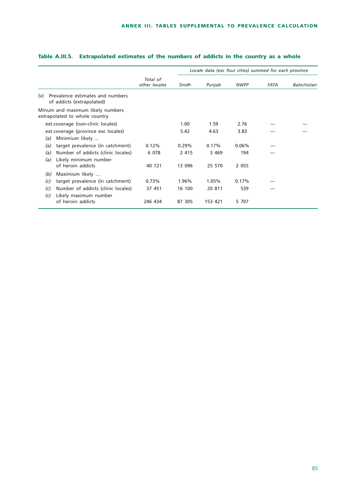|            |                                                                                  |                           |                   | Locale data (exc four cities) summed for each province |                |      |             |
|------------|----------------------------------------------------------------------------------|---------------------------|-------------------|--------------------------------------------------------|----------------|------|-------------|
|            |                                                                                  | Total of<br>other locales | Sindh             | Punjab                                                 | <b>NWFP</b>    | FATA | Balochistan |
| (v)        | Prevalence estimates and numbers<br>of addicts (extrapolated)                    |                           |                   |                                                        |                |      |             |
|            | Minum and maximum likely numbers<br>extrapolated to whole country                |                           |                   |                                                        |                |      |             |
|            | ext.coverage (non-clinic locales)                                                |                           | 1.00              | 1.59                                                   | 2.76           |      |             |
| (a)        | ext.coverage (province exc locales)<br>Minimium likely                           |                           | 5.42              | 4.63                                                   | 3.83           |      |             |
| (a)        | target prevalence (in catchment)                                                 | 0.12%                     | 0.29%             | 0.17%                                                  | 0.06%          |      |             |
| (a)<br>(a) | Number of addicts (clinic locales)<br>Likely minimum number<br>of heroin addicts | 6 0 7 8<br>40 721         | 2 4 1 5<br>13 096 | 3 4 6 9<br>25 570                                      | 194<br>2 0 5 5 |      |             |
| (b)        | Maximium likely                                                                  |                           |                   |                                                        |                |      |             |
| (c)        | target prevalence (in catchment)                                                 | 0.73%                     | 1.96%             | 1.05%                                                  | 0.17%          |      |             |
| (c)<br>(c) | Number of addicts (clinic locales)<br>Likely maximum number                      | 37 451                    | 16 100            | 20 811                                                 | 539            |      |             |
|            | of heroin addicts                                                                | 246 434                   | 87 305            | 153 421                                                | 5 707          |      |             |

# **Table A.III.5. Extrapolated estimates of the numbers of addicts in the country as a whole**